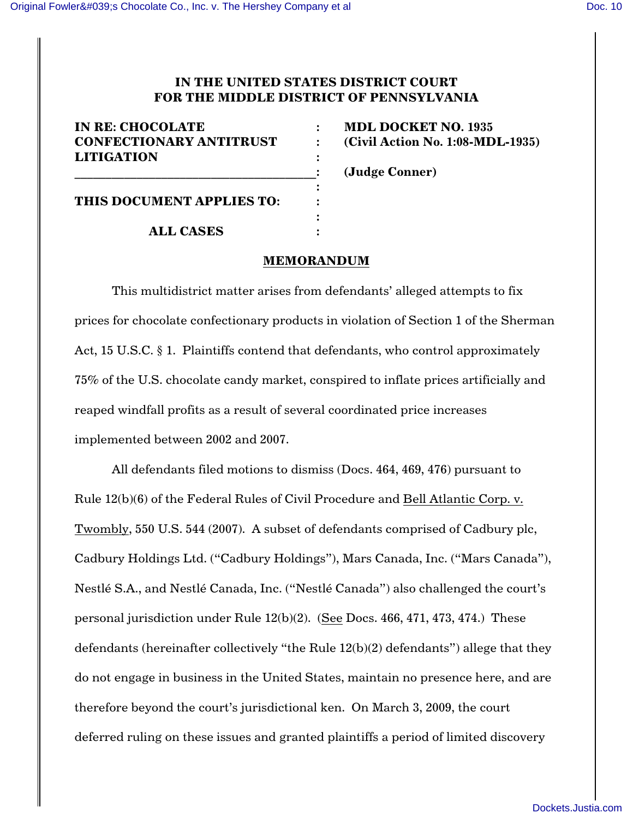# **IN THE UNITED STATES DISTRICT COURT FOR THE MIDDLE DISTRICT OF PENNSYLVANIA**

| <b>IN RE: CHOCOLATE</b>                             |  |
|-----------------------------------------------------|--|
| <b>CONFECTIONARY ANTITRUST</b><br><b>LITIGATION</b> |  |
|                                                     |  |
| THIS DOCUMENT APPLIES TO:                           |  |
| <b>ALL CASES</b>                                    |  |

**INDL DOCKET NO. 1935 Civil Action No. 1:08-MDL-1935)** 

\_\_\_\_\_\_\_\_\_\_\_\_\_\_\_\_\_\_\_\_\_\_\_\_\_\_\_\_\_\_\_\_\_\_\_\_\_\_\_**: (Judge Conner)**

## **MEMORANDUM**

This multidistrict matter arises from defendants' alleged attempts to fix prices for chocolate confectionary products in violation of Section 1 of the Sherman Act, 15 U.S.C. § 1. Plaintiffs contend that defendants, who control approximately 75% of the U.S. chocolate candy market, conspired to inflate prices artificially and reaped windfall profits as a result of several coordinated price increases implemented between 2002 and 2007.

All defendants filed motions to dismiss (Docs. 464, 469, 476) pursuant to Rule 12(b)(6) of the Federal Rules of Civil Procedure and Bell Atlantic Corp. v. Twombly, 550 U.S. 544 (2007). A subset of defendants comprised of Cadbury plc, Cadbury Holdings Ltd. ("Cadbury Holdings"), Mars Canada, Inc. ("Mars Canada"), Nestlé S.A., and Nestlé Canada, Inc. ("Nestlé Canada") also challenged the court's personal jurisdiction under Rule 12(b)(2). (See Docs. 466, 471, 473, 474.) These defendants (hereinafter collectively "the Rule 12(b)(2) defendants") allege that they do not engage in business in the United States, maintain no presence here, and are therefore beyond the court's jurisdictional ken. On March 3, 2009, the court deferred ruling on these issues and granted plaintiffs a period of limited discovery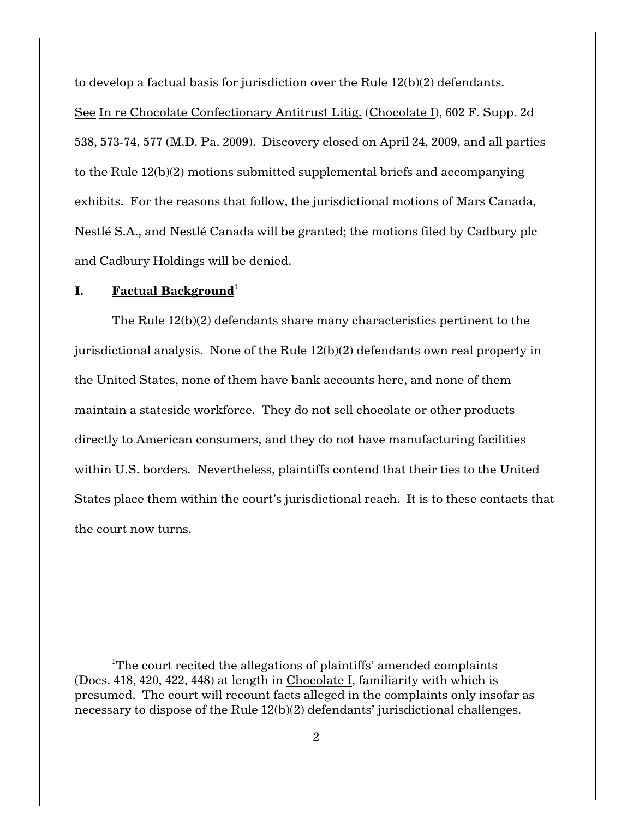to develop a factual basis for jurisdiction over the Rule 12(b)(2) defendants.

See In re Chocolate Confectionary Antitrust Litig. (Chocolate I), 602 F. Supp. 2d 538, 573-74, 577 (M.D. Pa. 2009). Discovery closed on April 24, 2009, and all parties to the Rule 12(b)(2) motions submitted supplemental briefs and accompanying exhibits. For the reasons that follow, the jurisdictional motions of Mars Canada, Nestlé S.A., and Nestlé Canada will be granted; the motions filed by Cadbury plc and Cadbury Holdings will be denied.

# **I.** Factual Background<sup>1</sup>

The Rule 12(b)(2) defendants share many characteristics pertinent to the jurisdictional analysis. None of the Rule 12(b)(2) defendants own real property in the United States, none of them have bank accounts here, and none of them maintain a stateside workforce. They do not sell chocolate or other products directly to American consumers, and they do not have manufacturing facilities within U.S. borders. Nevertheless, plaintiffs contend that their ties to the United States place them within the court's jurisdictional reach. It is to these contacts that the court now turns.

<sup>&</sup>lt;sup>1</sup>The court recited the allegations of plaintiffs' amended complaints (Docs. 418, 420, 422, 448) at length in Chocolate I, familiarity with which is presumed. The court will recount facts alleged in the complaints only insofar as necessary to dispose of the Rule 12(b)(2) defendants' jurisdictional challenges.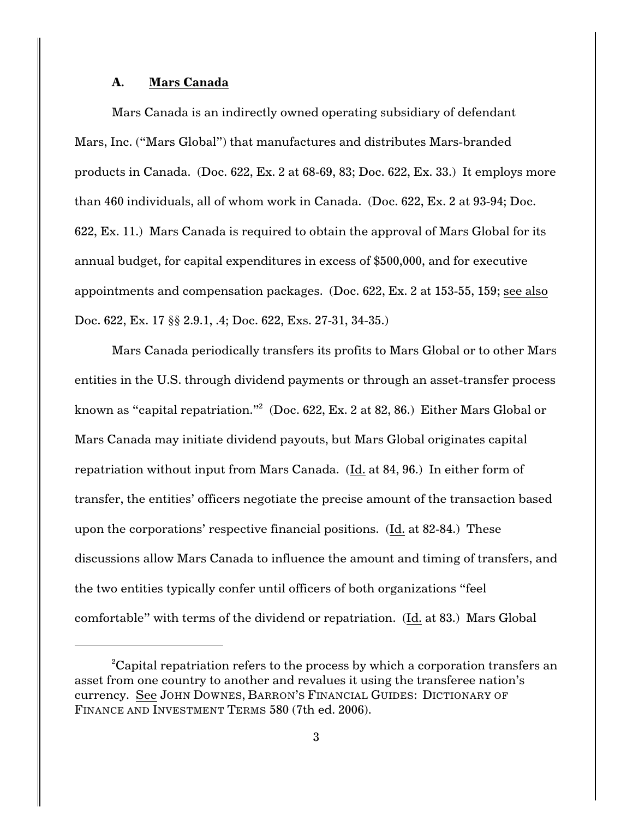## **A. Mars Canada**

Mars Canada is an indirectly owned operating subsidiary of defendant Mars, Inc. ("Mars Global") that manufactures and distributes Mars-branded products in Canada. (Doc. 622, Ex. 2 at 68-69, 83; Doc. 622, Ex. 33.) It employs more than 460 individuals, all of whom work in Canada. (Doc. 622, Ex. 2 at 93-94; Doc. 622, Ex. 11.) Mars Canada is required to obtain the approval of Mars Global for its annual budget, for capital expenditures in excess of \$500,000, and for executive appointments and compensation packages. (Doc. 622, Ex. 2 at 153-55, 159; see also Doc. 622, Ex. 17 §§ 2.9.1, .4; Doc. 622, Exs. 27-31, 34-35.)

Mars Canada periodically transfers its profits to Mars Global or to other Mars entities in the U.S. through dividend payments or through an asset-transfer process known as "capital repatriation."<sup>2</sup> (Doc. 622, Ex. 2 at 82, 86.) Either Mars Global or Mars Canada may initiate dividend payouts, but Mars Global originates capital repatriation without input from Mars Canada. (Id. at 84, 96.) In either form of transfer, the entities' officers negotiate the precise amount of the transaction based upon the corporations' respective financial positions. (Id. at 82-84.) These discussions allow Mars Canada to influence the amount and timing of transfers, and the two entities typically confer until officers of both organizations "feel comfortable" with terms of the dividend or repatriation. (Id. at 83.) Mars Global

<sup>&</sup>lt;sup>2</sup>Capital repatriation refers to the process by which a corporation transfers an asset from one country to another and revalues it using the transferee nation's currency. See JOHN DOWNES, BARRON'S FINANCIAL GUIDES: DICTIONARY OF FINANCE AND INVESTMENT TERMS 580 (7th ed. 2006).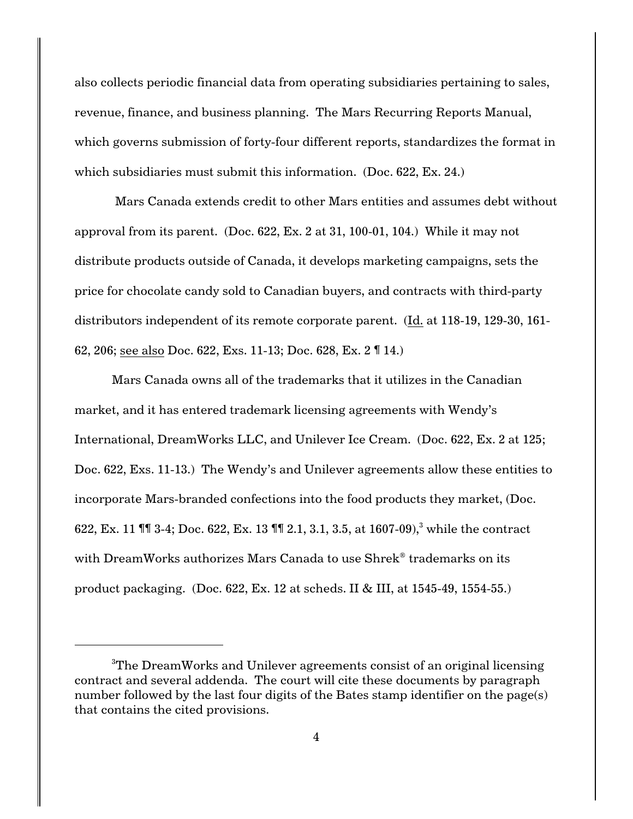also collects periodic financial data from operating subsidiaries pertaining to sales, revenue, finance, and business planning. The Mars Recurring Reports Manual, which governs submission of forty-four different reports, standardizes the format in which subsidiaries must submit this information. (Doc. 622, Ex. 24.)

 Mars Canada extends credit to other Mars entities and assumes debt without approval from its parent. (Doc. 622, Ex. 2 at 31, 100-01, 104.) While it may not distribute products outside of Canada, it develops marketing campaigns, sets the price for chocolate candy sold to Canadian buyers, and contracts with third-party distributors independent of its remote corporate parent. (Id. at 118-19, 129-30, 161- 62, 206; see also Doc. 622, Exs. 11-13; Doc. 628, Ex. 2 ¶ 14.)

Mars Canada owns all of the trademarks that it utilizes in the Canadian market, and it has entered trademark licensing agreements with Wendy's International, DreamWorks LLC, and Unilever Ice Cream. (Doc. 622, Ex. 2 at 125; Doc. 622, Exs. 11-13.) The Wendy's and Unilever agreements allow these entities to incorporate Mars-branded confections into the food products they market, (Doc. 622, Ex. 11 ¶¶ 3-4; Doc. 622, Ex. 13 ¶¶ 2.1, 3.1, 3.5, at 1607-09), while the contract <sup>3</sup> with DreamWorks authorizes Mars Canada to use Shrek<sup>®</sup> trademarks on its product packaging. (Doc. 622, Ex. 12 at scheds. II & III, at 1545-49, 1554-55.)

<sup>&</sup>lt;sup>3</sup>The DreamWorks and Unilever agreements consist of an original licensing contract and several addenda. The court will cite these documents by paragraph number followed by the last four digits of the Bates stamp identifier on the page(s) that contains the cited provisions.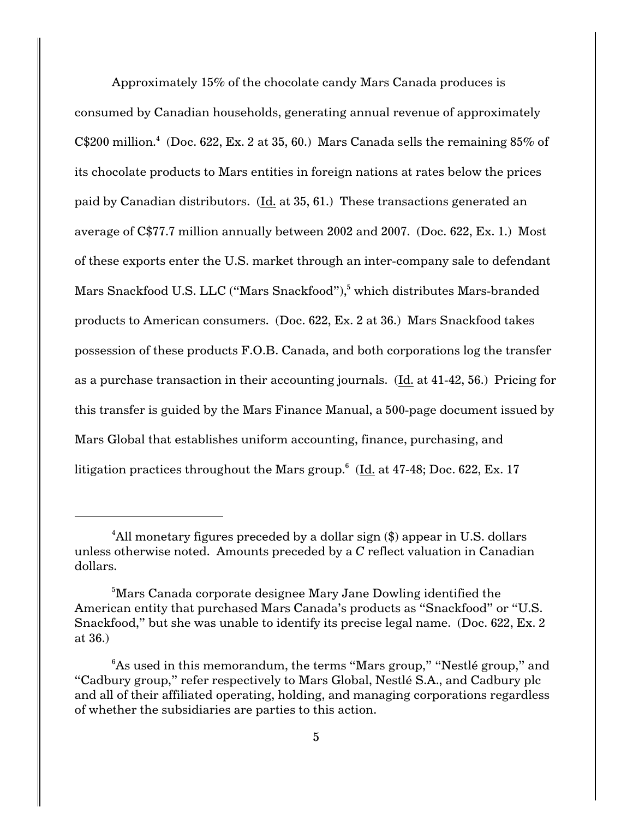Approximately 15% of the chocolate candy Mars Canada produces is consumed by Canadian households, generating annual revenue of approximately  $C$200 million<sup>4</sup> (Doc. 622, Ex. 2 at 35, 60.)$  Mars Canada sells the remaining  $85\%$  of its chocolate products to Mars entities in foreign nations at rates below the prices paid by Canadian distributors. (Id. at 35, 61.) These transactions generated an average of C\$77.7 million annually between 2002 and 2007. (Doc. 622, Ex. 1.) Most of these exports enter the U.S. market through an inter-company sale to defendant Mars Snackfood U.S. LLC ("Mars Snackfood"),<sup>5</sup> which distributes Mars-branded products to American consumers. (Doc. 622, Ex. 2 at 36.) Mars Snackfood takes possession of these products F.O.B. Canada, and both corporations log the transfer as a purchase transaction in their accounting journals. (Id. at 41-42, 56.) Pricing for this transfer is guided by the Mars Finance Manual, a 500-page document issued by Mars Global that establishes uniform accounting, finance, purchasing, and litigation practices throughout the Mars group. $6$  (Id. at 47-48; Doc. 622, Ex. 17)

<sup>&</sup>lt;sup>4</sup>All monetary figures preceded by a dollar sign  $(\$)$  appear in U.S. dollars unless otherwise noted. Amounts preceded by a *C* reflect valuation in Canadian dollars.

<sup>&</sup>lt;sup>5</sup>Mars Canada corporate designee Mary Jane Dowling identified the American entity that purchased Mars Canada's products as "Snackfood" or "U.S. Snackfood," but she was unable to identify its precise legal name. (Doc. 622, Ex. 2 at 36.)

 ${}^{6}$ As used in this memorandum, the terms "Mars group," "Nestlé group," and "Cadbury group," refer respectively to Mars Global, Nestlé S.A., and Cadbury plc and all of their affiliated operating, holding, and managing corporations regardless of whether the subsidiaries are parties to this action.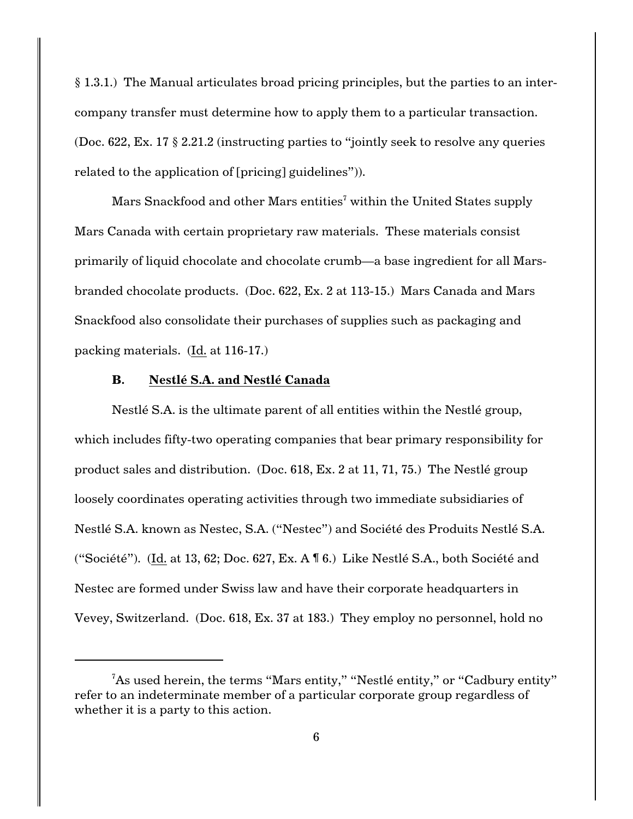§ 1.3.1.) The Manual articulates broad pricing principles, but the parties to an intercompany transfer must determine how to apply them to a particular transaction. (Doc. 622, Ex. 17 § 2.21.2 (instructing parties to "jointly seek to resolve any queries related to the application of [pricing] guidelines")).

Mars Snackfood and other Mars entities<sup>7</sup> within the United States supply Mars Canada with certain proprietary raw materials. These materials consist primarily of liquid chocolate and chocolate crumb—a base ingredient for all Marsbranded chocolate products. (Doc. 622, Ex. 2 at 113-15.) Mars Canada and Mars Snackfood also consolidate their purchases of supplies such as packaging and packing materials. (Id. at 116-17.)

## **B. Nestlé S.A. and Nestlé Canada**

Nestlé S.A. is the ultimate parent of all entities within the Nestlé group, which includes fifty-two operating companies that bear primary responsibility for product sales and distribution. (Doc. 618, Ex. 2 at 11, 71, 75.) The Nestlé group loosely coordinates operating activities through two immediate subsidiaries of Nestlé S.A. known as Nestec, S.A. ("Nestec") and Société des Produits Nestlé S.A. ("Société"). (Id. at 13, 62; Doc. 627, Ex. A ¶ 6.) Like Nestlé S.A., both Société and Nestec are formed under Swiss law and have their corporate headquarters in Vevey, Switzerland. (Doc. 618, Ex. 37 at 183.) They employ no personnel, hold no

 ${}^{7}$ As used herein, the terms "Mars entity," "Nestlé entity," or "Cadbury entity" refer to an indeterminate member of a particular corporate group regardless of whether it is a party to this action.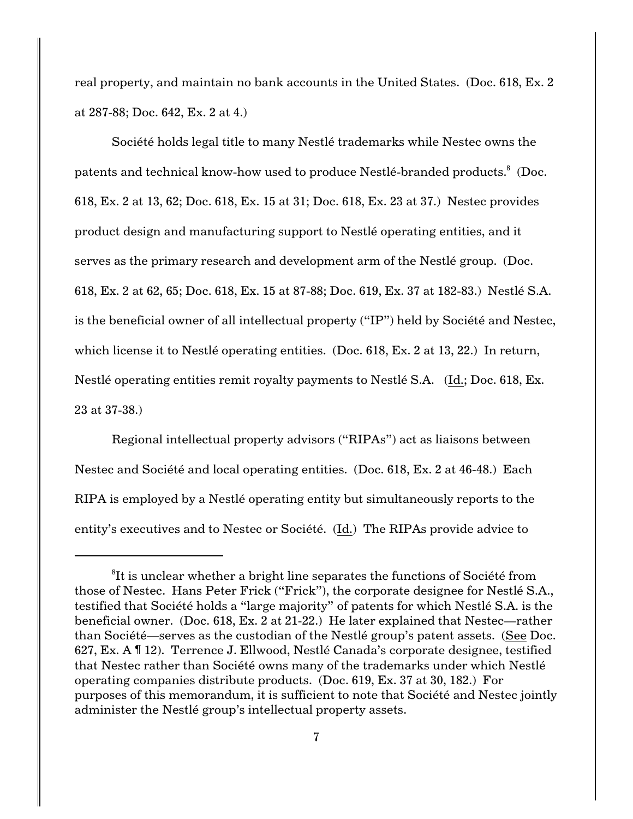real property, and maintain no bank accounts in the United States. (Doc. 618, Ex. 2 at 287-88; Doc. 642, Ex. 2 at 4.)

Société holds legal title to many Nestlé trademarks while Nestec owns the patents and technical know-how used to produce Nestlé-branded products.<sup>8</sup> (Doc. 618, Ex. 2 at 13, 62; Doc. 618, Ex. 15 at 31; Doc. 618, Ex. 23 at 37.) Nestec provides product design and manufacturing support to Nestlé operating entities, and it serves as the primary research and development arm of the Nestlé group. (Doc. 618, Ex. 2 at 62, 65; Doc. 618, Ex. 15 at 87-88; Doc. 619, Ex. 37 at 182-83.) Nestlé S.A. is the beneficial owner of all intellectual property ("IP") held by Société and Nestec, which license it to Nestlé operating entities. (Doc. 618, Ex. 2 at 13, 22.) In return, Nestlé operating entities remit royalty payments to Nestlé S.A. (Id.; Doc. 618, Ex. 23 at 37-38.)

Regional intellectual property advisors ("RIPAs") act as liaisons between Nestec and Société and local operating entities. (Doc. 618, Ex. 2 at 46-48.) Each RIPA is employed by a Nestlé operating entity but simultaneously reports to the entity's executives and to Nestec or Société. (Id.) The RIPAs provide advice to

 ${}^{8}$ It is unclear whether a bright line separates the functions of Société from those of Nestec. Hans Peter Frick ("Frick"), the corporate designee for Nestlé S.A., testified that Société holds a "large majority" of patents for which Nestlé S.A. is the beneficial owner. (Doc. 618, Ex. 2 at 21-22.) He later explained that Nestec—rather than Société—serves as the custodian of the Nestlé group's patent assets. (See Doc. 627, Ex. A ¶ 12). Terrence J. Ellwood, Nestlé Canada's corporate designee, testified that Nestec rather than Société owns many of the trademarks under which Nestlé operating companies distribute products. (Doc. 619, Ex. 37 at 30, 182.) For purposes of this memorandum, it is sufficient to note that Société and Nestec jointly administer the Nestlé group's intellectual property assets.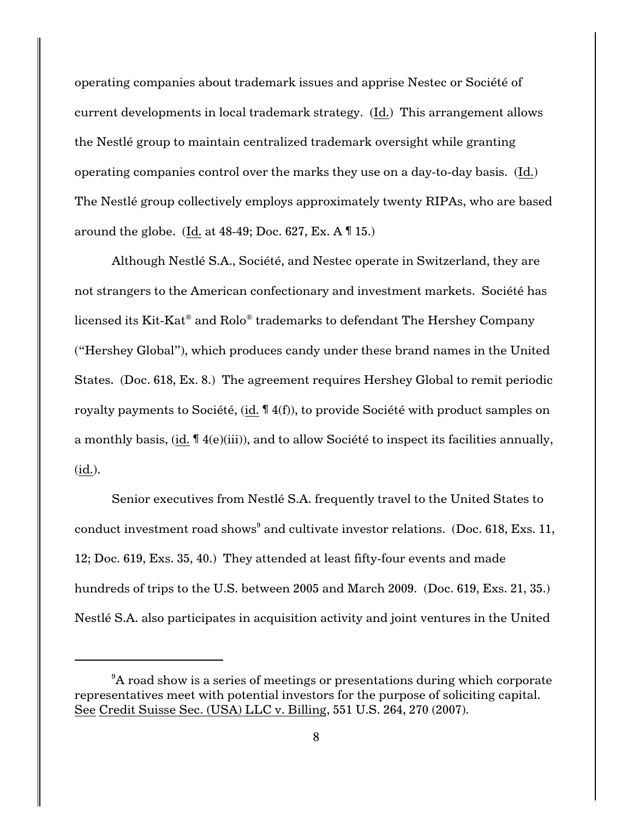operating companies about trademark issues and apprise Nestec or Société of current developments in local trademark strategy. (Id.) This arrangement allows the Nestlé group to maintain centralized trademark oversight while granting operating companies control over the marks they use on a day-to-day basis. (Id.) The Nestlé group collectively employs approximately twenty RIPAs, who are based around the globe. (Id. at  $48-49$ ; Doc.  $627$ , Ex. A  $\P$  15.)

Although Nestlé S.A., Société, and Nestec operate in Switzerland, they are not strangers to the American confectionary and investment markets. Société has licensed its Kit-Kat<sup>®</sup> and Rolo<sup>®</sup> trademarks to defendant The Hershey Company ("Hershey Global"), which produces candy under these brand names in the United States. (Doc. 618, Ex. 8.) The agreement requires Hershey Global to remit periodic royalty payments to Société, (id. ¶ 4(f)), to provide Société with product samples on a monthly basis, (id. ¶ 4(e)(iii)), and to allow Société to inspect its facilities annually, (id.).

Senior executives from Nestlé S.A. frequently travel to the United States to conduct investment road shows<sup>9</sup> and cultivate investor relations. (Doc. 618, Exs. 11, 12; Doc. 619, Exs. 35, 40.) They attended at least fifty-four events and made hundreds of trips to the U.S. between 2005 and March 2009. (Doc. 619, Exs. 21, 35.) Nestlé S.A. also participates in acquisition activity and joint ventures in the United

<sup>&</sup>lt;sup>9</sup>A road show is a series of meetings or presentations during which corporate representatives meet with potential investors for the purpose of soliciting capital. See Credit Suisse Sec. (USA) LLC v. Billing, 551 U.S. 264, 270 (2007).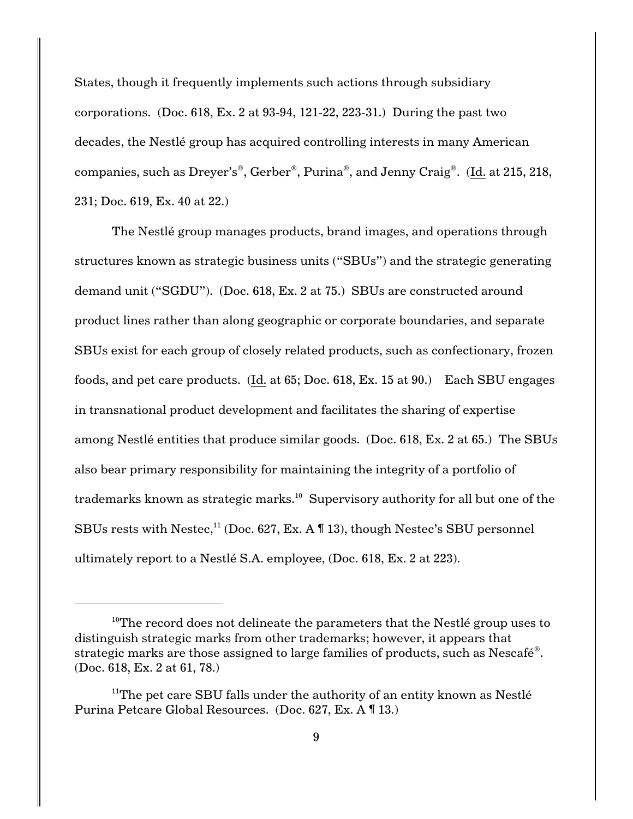States, though it frequently implements such actions through subsidiary corporations. (Doc. 618, Ex. 2 at 93-94, 121-22, 223-31.) During the past two decades, the Nestlé group has acquired controlling interests in many American companies, such as Dreyer's<sup>®</sup>, Gerber<sup>®</sup>, Purina<sup>®</sup>, and Jenny Craig<sup>®</sup>. (Id. at 215, 218, 231; Doc. 619, Ex. 40 at 22.)

The Nestlé group manages products, brand images, and operations through structures known as strategic business units ("SBUs") and the strategic generating demand unit ("SGDU"). (Doc. 618, Ex. 2 at 75.) SBUs are constructed around product lines rather than along geographic or corporate boundaries, and separate SBUs exist for each group of closely related products, such as confectionary, frozen foods, and pet care products. (Id. at 65; Doc. 618, Ex. 15 at 90.) Each SBU engages in transnational product development and facilitates the sharing of expertise among Nestlé entities that produce similar goods. (Doc. 618, Ex. 2 at 65.) The SBUs also bear primary responsibility for maintaining the integrity of a portfolio of trademarks known as strategic marks. $^{10}$  Supervisory authority for all but one of the SBUs rests with Nestec,<sup>11</sup> (Doc. 627, Ex. A  $\P$  13), though Nestec's SBU personnel ultimately report to a Nestlé S.A. employee, (Doc. 618, Ex. 2 at 223).

<sup>&</sup>lt;sup>10</sup>The record does not delineate the parameters that the Nestlé group uses to distinguish strategic marks from other trademarks; however, it appears that strategic marks are those assigned to large families of products, such as  $Nescafé$ <sup>®</sup>. (Doc. 618, Ex. 2 at 61, 78.)

 $11$ <sup>The</sup> pet care SBU falls under the authority of an entity known as Nestlé Purina Petcare Global Resources. (Doc. 627, Ex. A ¶ 13.)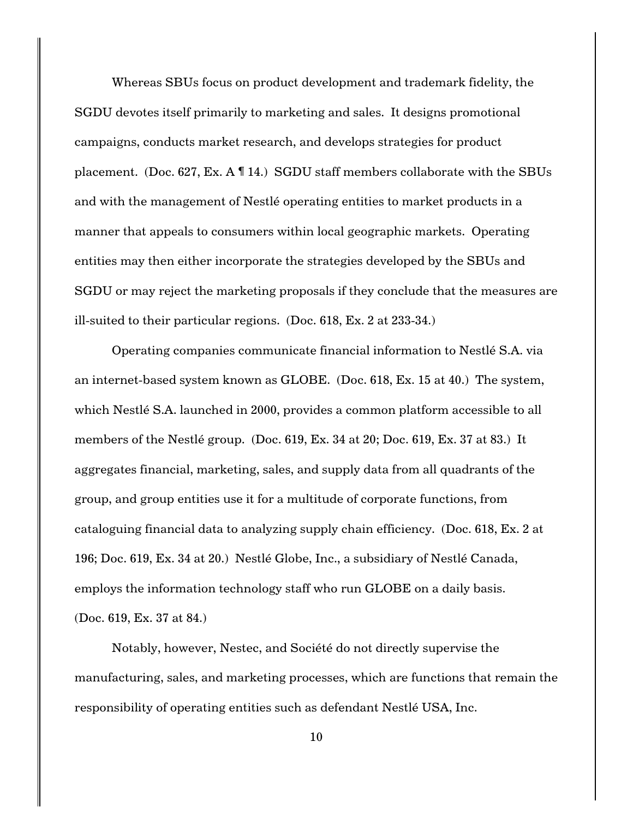Whereas SBUs focus on product development and trademark fidelity, the SGDU devotes itself primarily to marketing and sales. It designs promotional campaigns, conducts market research, and develops strategies for product placement. (Doc. 627, Ex. A ¶ 14.) SGDU staff members collaborate with the SBUs and with the management of Nestlé operating entities to market products in a manner that appeals to consumers within local geographic markets. Operating entities may then either incorporate the strategies developed by the SBUs and SGDU or may reject the marketing proposals if they conclude that the measures are ill-suited to their particular regions. (Doc. 618, Ex. 2 at 233-34.)

Operating companies communicate financial information to Nestlé S.A. via an internet-based system known as GLOBE. (Doc. 618, Ex. 15 at 40.) The system, which Nestlé S.A. launched in 2000, provides a common platform accessible to all members of the Nestlé group. (Doc. 619, Ex. 34 at 20; Doc. 619, Ex. 37 at 83.) It aggregates financial, marketing, sales, and supply data from all quadrants of the group, and group entities use it for a multitude of corporate functions, from cataloguing financial data to analyzing supply chain efficiency. (Doc. 618, Ex. 2 at 196; Doc. 619, Ex. 34 at 20.) Nestlé Globe, Inc., a subsidiary of Nestlé Canada, employs the information technology staff who run GLOBE on a daily basis. (Doc. 619, Ex. 37 at 84.)

Notably, however, Nestec, and Société do not directly supervise the manufacturing, sales, and marketing processes, which are functions that remain the responsibility of operating entities such as defendant Nestlé USA, Inc.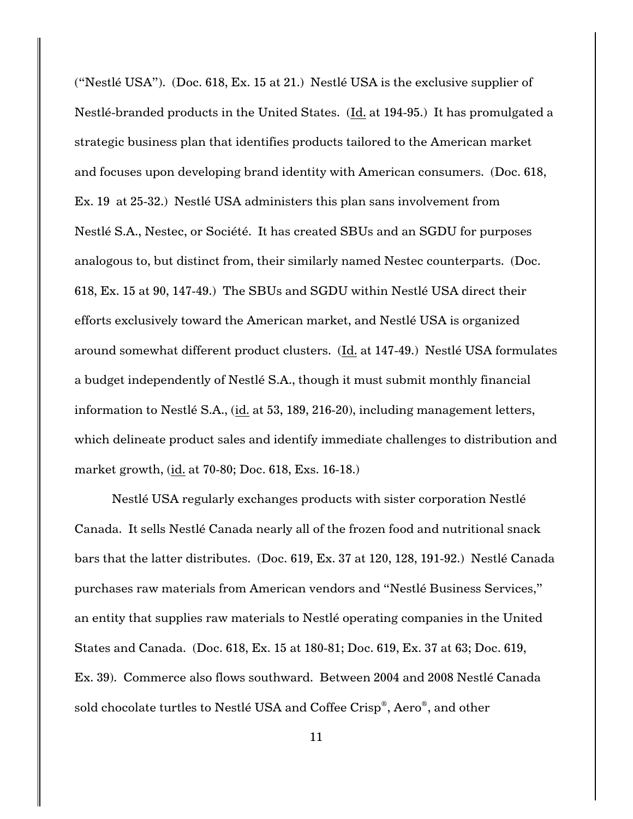("Nestlé USA"). (Doc. 618, Ex. 15 at 21.) Nestlé USA is the exclusive supplier of Nestlé-branded products in the United States. (Id. at 194-95.) It has promulgated a strategic business plan that identifies products tailored to the American market and focuses upon developing brand identity with American consumers. (Doc. 618, Ex. 19 at 25-32.) Nestlé USA administers this plan sans involvement from Nestlé S.A., Nestec, or Société. It has created SBUs and an SGDU for purposes analogous to, but distinct from, their similarly named Nestec counterparts. (Doc. 618, Ex. 15 at 90, 147-49.) The SBUs and SGDU within Nestlé USA direct their efforts exclusively toward the American market, and Nestlé USA is organized around somewhat different product clusters. (Id. at 147-49.) Nestlé USA formulates a budget independently of Nestlé S.A., though it must submit monthly financial information to Nestlé S.A., (id. at 53, 189, 216-20), including management letters, which delineate product sales and identify immediate challenges to distribution and market growth, (id. at 70-80; Doc. 618, Exs. 16-18.)

Nestlé USA regularly exchanges products with sister corporation Nestlé Canada. It sells Nestlé Canada nearly all of the frozen food and nutritional snack bars that the latter distributes. (Doc. 619, Ex. 37 at 120, 128, 191-92.) Nestlé Canada purchases raw materials from American vendors and "Nestlé Business Services," an entity that supplies raw materials to Nestlé operating companies in the United States and Canada. (Doc. 618, Ex. 15 at 180-81; Doc. 619, Ex. 37 at 63; Doc. 619, Ex. 39). Commerce also flows southward. Between 2004 and 2008 Nestlé Canada sold chocolate turtles to Nestlé USA and Coffee Crisp®, Aero®, and other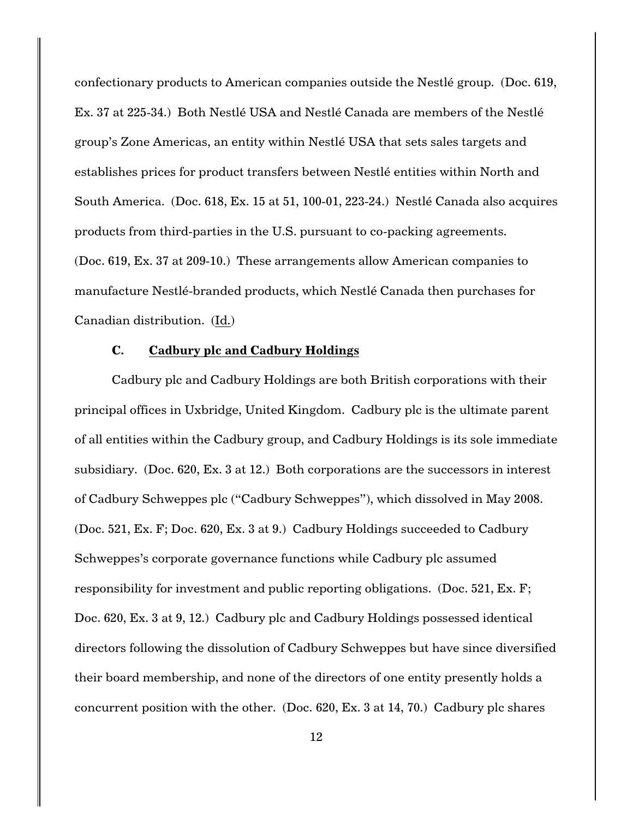confectionary products to American companies outside the Nestlé group. (Doc. 619, Ex. 37 at 225-34.) Both Nestlé USA and Nestlé Canada are members of the Nestlé group's Zone Americas, an entity within Nestlé USA that sets sales targets and establishes prices for product transfers between Nestlé entities within North and South America. (Doc. 618, Ex. 15 at 51, 100-01, 223-24.) Nestlé Canada also acquires products from third-parties in the U.S. pursuant to co-packing agreements. (Doc. 619, Ex. 37 at 209-10.) These arrangements allow American companies to manufacture Nestlé-branded products, which Nestlé Canada then purchases for Canadian distribution. (Id.)

### **C. Cadbury plc and Cadbury Holdings**

Cadbury plc and Cadbury Holdings are both British corporations with their principal offices in Uxbridge, United Kingdom. Cadbury plc is the ultimate parent of all entities within the Cadbury group, and Cadbury Holdings is its sole immediate subsidiary. (Doc. 620, Ex. 3 at 12.) Both corporations are the successors in interest of Cadbury Schweppes plc ("Cadbury Schweppes"), which dissolved in May 2008. (Doc. 521, Ex. F; Doc. 620, Ex. 3 at 9.) Cadbury Holdings succeeded to Cadbury Schweppes's corporate governance functions while Cadbury plc assumed responsibility for investment and public reporting obligations. (Doc. 521, Ex. F; Doc. 620, Ex. 3 at 9, 12.) Cadbury plc and Cadbury Holdings possessed identical directors following the dissolution of Cadbury Schweppes but have since diversified their board membership, and none of the directors of one entity presently holds a concurrent position with the other. (Doc. 620, Ex. 3 at 14, 70.) Cadbury plc shares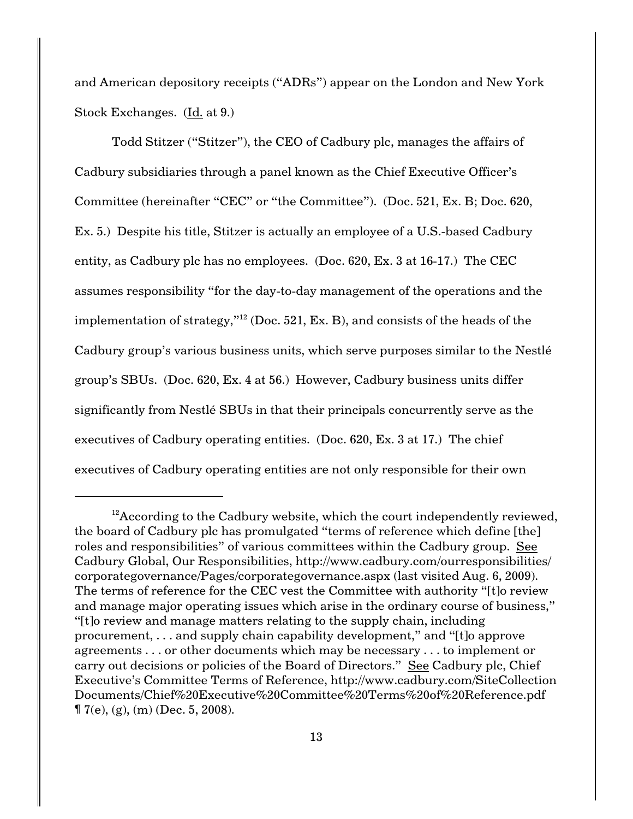and American depository receipts ("ADRs") appear on the London and New York Stock Exchanges. (Id. at 9.)

Todd Stitzer ("Stitzer"), the CEO of Cadbury plc, manages the affairs of Cadbury subsidiaries through a panel known as the Chief Executive Officer's Committee (hereinafter "CEC" or "the Committee"). (Doc. 521, Ex. B; Doc. 620, Ex. 5.) Despite his title, Stitzer is actually an employee of a U.S.-based Cadbury entity, as Cadbury plc has no employees. (Doc. 620, Ex. 3 at 16-17.) The CEC assumes responsibility "for the day-to-day management of the operations and the implementation of strategy,"<sup>12</sup> (Doc. 521, Ex. B), and consists of the heads of the Cadbury group's various business units, which serve purposes similar to the Nestlé group's SBUs. (Doc. 620, Ex. 4 at 56.) However, Cadbury business units differ significantly from Nestlé SBUs in that their principals concurrently serve as the executives of Cadbury operating entities. (Doc. 620, Ex. 3 at 17.) The chief executives of Cadbury operating entities are not only responsible for their own

 $^{12}$ According to the Cadbury website, which the court independently reviewed, the board of Cadbury plc has promulgated "terms of reference which define [the] roles and responsibilities" of various committees within the Cadbury group. See Cadbury Global, Our Responsibilities, http://www.cadbury.com/ourresponsibilities/ corporategovernance/Pages/corporategovernance.aspx (last visited Aug. 6, 2009). The terms of reference for the CEC vest the Committee with authority "[t]o review and manage major operating issues which arise in the ordinary course of business," "[t]o review and manage matters relating to the supply chain, including procurement, . . . and supply chain capability development," and "[t]o approve agreements . . . or other documents which may be necessary . . . to implement or carry out decisions or policies of the Board of Directors." See Cadbury plc, Chief Executive's Committee Terms of Reference, http://www.cadbury.com/SiteCollection Documents/Chief%20Executive%20Committee%20Terms%20of%20Reference.pdf  $\P$  7(e), (g), (m) (Dec. 5, 2008).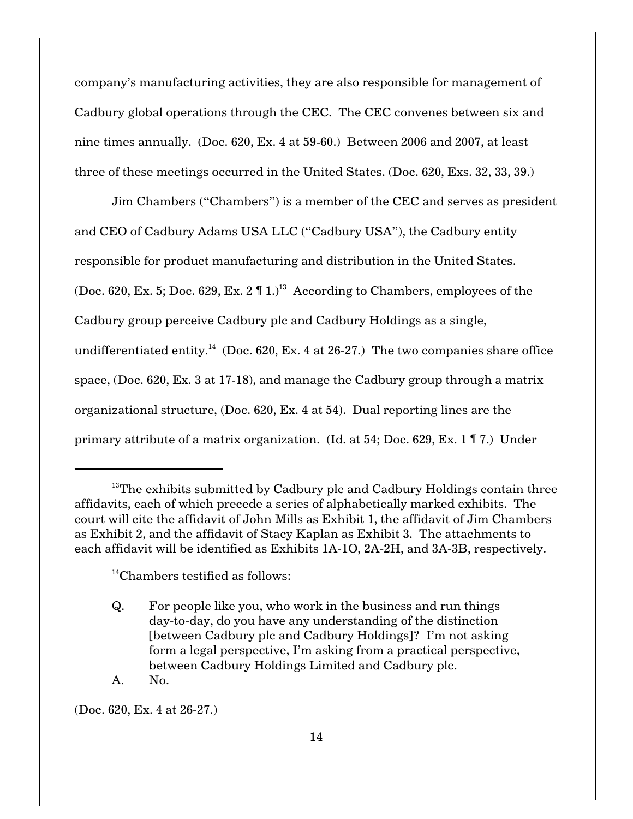company's manufacturing activities, they are also responsible for management of Cadbury global operations through the CEC. The CEC convenes between six and nine times annually. (Doc. 620, Ex. 4 at 59-60.) Between 2006 and 2007, at least three of these meetings occurred in the United States. (Doc. 620, Exs. 32, 33, 39.)

Jim Chambers ("Chambers") is a member of the CEC and serves as president and CEO of Cadbury Adams USA LLC ("Cadbury USA"), the Cadbury entity responsible for product manufacturing and distribution in the United States. (Doc. 620, Ex. 5; Doc. 629, Ex. 2  $\P$  1.)<sup>13</sup> According to Chambers, employees of the Cadbury group perceive Cadbury plc and Cadbury Holdings as a single, undifferentiated entity.<sup>14</sup> (Doc. 620, Ex. 4 at 26-27.) The two companies share office space, (Doc. 620, Ex. 3 at 17-18), and manage the Cadbury group through a matrix organizational structure, (Doc. 620, Ex. 4 at 54). Dual reporting lines are the primary attribute of a matrix organization. (Id. at 54; Doc. 629, Ex. 1 ¶ 7.) Under

 $13$ <sup>13</sup>The exhibits submitted by Cadbury plc and Cadbury Holdings contain three affidavits, each of which precede a series of alphabetically marked exhibits. The court will cite the affidavit of John Mills as Exhibit 1, the affidavit of Jim Chambers as Exhibit 2, and the affidavit of Stacy Kaplan as Exhibit 3. The attachments to each affidavit will be identified as Exhibits 1A-1O, 2A-2H, and 3A-3B, respectively.

 $14$ Chambers testified as follows:

Q. For people like you, who work in the business and run things day-to-day, do you have any understanding of the distinction [between Cadbury plc and Cadbury Holdings]? I'm not asking form a legal perspective, I'm asking from a practical perspective, between Cadbury Holdings Limited and Cadbury plc.

A. No.

(Doc. 620, Ex. 4 at 26-27.)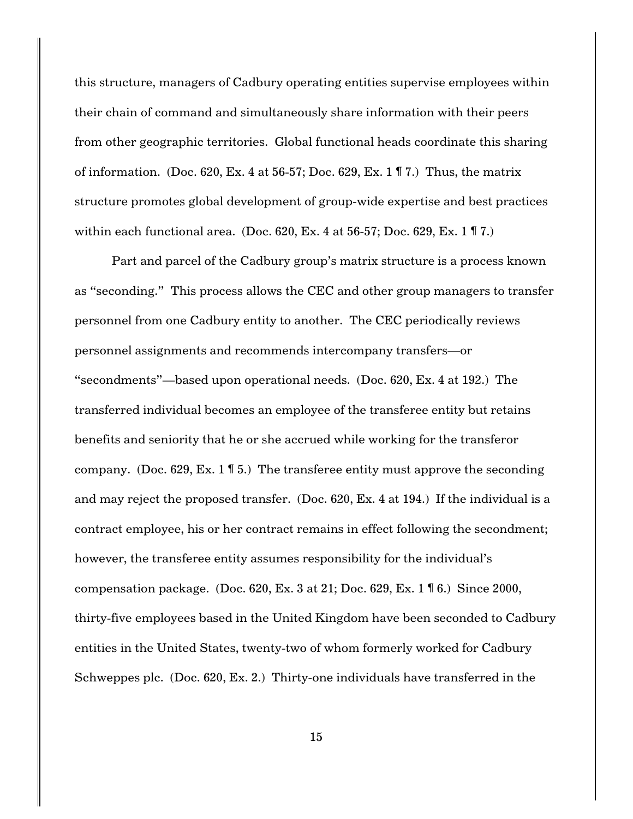this structure, managers of Cadbury operating entities supervise employees within their chain of command and simultaneously share information with their peers from other geographic territories. Global functional heads coordinate this sharing of information. (Doc. 620, Ex. 4 at 56-57; Doc. 629, Ex. 1  $\mathbb{T}$  7.) Thus, the matrix structure promotes global development of group-wide expertise and best practices within each functional area. (Doc. 620, Ex. 4 at 56-57; Doc. 629, Ex. 1  $\mathbb{T}$  7.)

Part and parcel of the Cadbury group's matrix structure is a process known as "seconding." This process allows the CEC and other group managers to transfer personnel from one Cadbury entity to another. The CEC periodically reviews personnel assignments and recommends intercompany transfers—or "secondments"—based upon operational needs. (Doc. 620, Ex. 4 at 192.) The transferred individual becomes an employee of the transferee entity but retains benefits and seniority that he or she accrued while working for the transferor company. (Doc. 629, Ex. 1  $\mathbb{I}$  5.) The transferee entity must approve the seconding and may reject the proposed transfer. (Doc. 620, Ex. 4 at 194.) If the individual is a contract employee, his or her contract remains in effect following the secondment; however, the transferee entity assumes responsibility for the individual's compensation package. (Doc. 620, Ex. 3 at 21; Doc. 629, Ex. 1 ¶ 6.) Since 2000, thirty-five employees based in the United Kingdom have been seconded to Cadbury entities in the United States, twenty-two of whom formerly worked for Cadbury Schweppes plc. (Doc. 620, Ex. 2.) Thirty-one individuals have transferred in the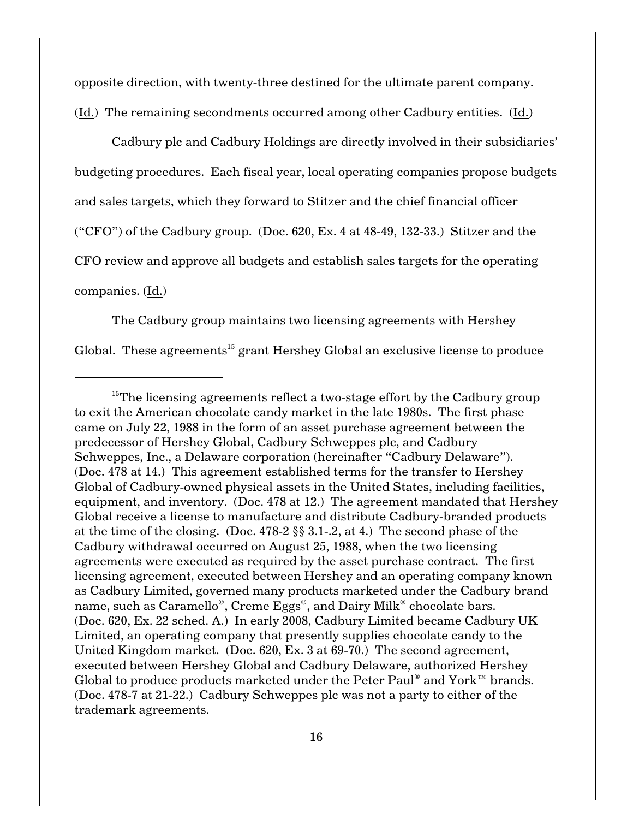opposite direction, with twenty-three destined for the ultimate parent company.

(Id.) The remaining secondments occurred among other Cadbury entities. (Id.)

Cadbury plc and Cadbury Holdings are directly involved in their subsidiaries' budgeting procedures. Each fiscal year, local operating companies propose budgets and sales targets, which they forward to Stitzer and the chief financial officer ("CFO") of the Cadbury group. (Doc.  $620$ , Ex. 4 at  $48-49$ ,  $132-33$ .) Stitzer and the CFO review and approve all budgets and establish sales targets for the operating companies. (Id.)

The Cadbury group maintains two licensing agreements with Hershey Global. These agreements<sup>15</sup> grant Hershey Global an exclusive license to produce

<sup>&</sup>lt;sup>15</sup>The licensing agreements reflect a two-stage effort by the Cadbury group to exit the American chocolate candy market in the late 1980s. The first phase came on July 22, 1988 in the form of an asset purchase agreement between the predecessor of Hershey Global, Cadbury Schweppes plc, and Cadbury Schweppes, Inc., a Delaware corporation (hereinafter "Cadbury Delaware"). (Doc. 478 at 14.) This agreement established terms for the transfer to Hershey Global of Cadbury-owned physical assets in the United States, including facilities, equipment, and inventory. (Doc. 478 at 12.) The agreement mandated that Hershey Global receive a license to manufacture and distribute Cadbury-branded products at the time of the closing. (Doc. 478-2 §§ 3.1-.2, at 4.) The second phase of the Cadbury withdrawal occurred on August 25, 1988, when the two licensing agreements were executed as required by the asset purchase contract. The first licensing agreement, executed between Hershey and an operating company known as Cadbury Limited, governed many products marketed under the Cadbury brand name, such as Caramello<sup>®</sup>, Creme Eggs<sup>®</sup>, and Dairy Milk<sup>®</sup> chocolate bars. (Doc. 620, Ex. 22 sched. A.) In early 2008, Cadbury Limited became Cadbury UK Limited, an operating company that presently supplies chocolate candy to the United Kingdom market. (Doc. 620, Ex. 3 at 69-70.) The second agreement, executed between Hershey Global and Cadbury Delaware, authorized Hershey Global to produce products marketed under the Peter Paul<sup>®</sup> and York<sup>™</sup> brands. (Doc. 478-7 at 21-22.) Cadbury Schweppes plc was not a party to either of the trademark agreements.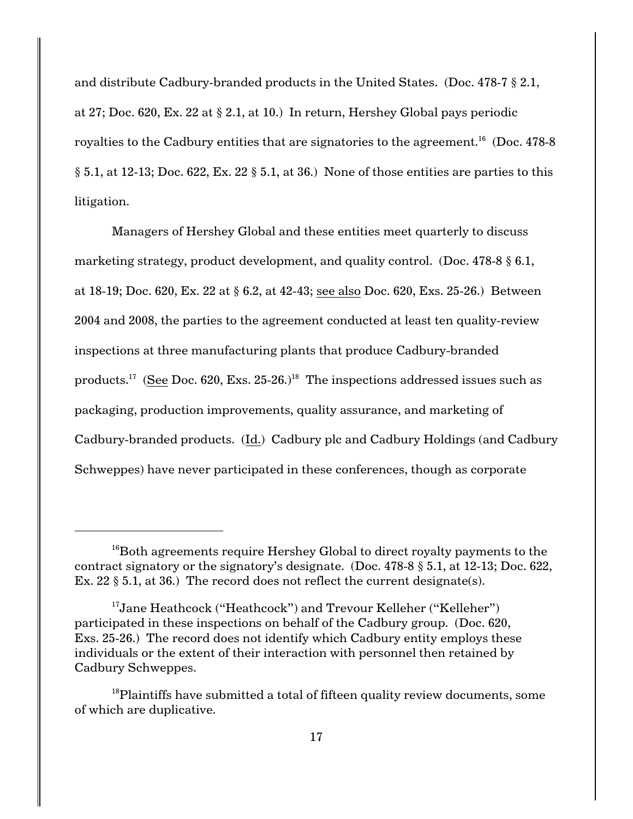and distribute Cadbury-branded products in the United States. (Doc. 478-7 § 2.1, at 27; Doc. 620, Ex. 22 at § 2.1, at 10.) In return, Hershey Global pays periodic royalties to the Cadbury entities that are signatories to the agreement.<sup>16</sup> (Doc. 478-8)  $\S 5.1$ , at 12-13; Doc. 622, Ex. 22  $\S 5.1$ , at 36.) None of those entities are parties to this litigation.

Managers of Hershey Global and these entities meet quarterly to discuss marketing strategy, product development, and quality control. (Doc. 478-8  $\S$  6.1, at 18-19; Doc. 620, Ex. 22 at § 6.2, at 42-43; see also Doc. 620, Exs. 25-26.) Between 2004 and 2008, the parties to the agreement conducted at least ten quality-review inspections at three manufacturing plants that produce Cadbury-branded products.<sup>17</sup> (See Doc. 620, Exs. 25-26.)<sup>18</sup> The inspections addressed issues such as packaging, production improvements, quality assurance, and marketing of Cadbury-branded products. (Id.) Cadbury plc and Cadbury Holdings (and Cadbury Schweppes) have never participated in these conferences, though as corporate

 $16$ Both agreements require Hershey Global to direct royalty payments to the contract signatory or the signatory's designate. (Doc. 478-8 § 5.1, at 12-13; Doc. 622, Ex. 22 § 5.1, at 36.) The record does not reflect the current designate(s).

<sup>&</sup>lt;sup>17</sup>Jane Heathcock ("Heathcock") and Trevour Kelleher ("Kelleher") participated in these inspections on behalf of the Cadbury group. (Doc. 620, Exs. 25-26.) The record does not identify which Cadbury entity employs these individuals or the extent of their interaction with personnel then retained by Cadbury Schweppes.

 $^{18}$ Plaintiffs have submitted a total of fifteen quality review documents, some of which are duplicative.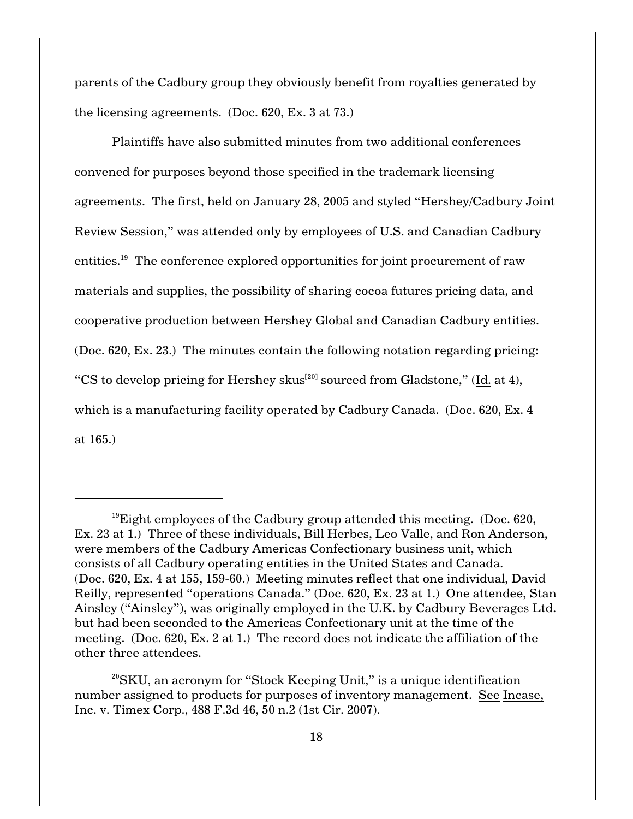parents of the Cadbury group they obviously benefit from royalties generated by the licensing agreements. (Doc. 620, Ex. 3 at 73.)

Plaintiffs have also submitted minutes from two additional conferences convened for purposes beyond those specified in the trademark licensing agreements. The first, held on January 28, 2005 and styled "Hershey/Cadbury Joint Review Session," was attended only by employees of U.S. and Canadian Cadbury entities.<sup>19</sup> The conference explored opportunities for joint procurement of raw materials and supplies, the possibility of sharing cocoa futures pricing data, and cooperative production between Hershey Global and Canadian Cadbury entities. (Doc. 620, Ex. 23.) The minutes contain the following notation regarding pricing: "CS to develop pricing for Hershey skus $^{[20]}$  sourced from Gladstone," (Id. at 4), which is a manufacturing facility operated by Cadbury Canada. (Doc. 620, Ex. 4) at 165.)

<sup>&</sup>lt;sup>19</sup>Eight employees of the Cadbury group attended this meeting. (Doc.  $620$ , Ex. 23 at 1.) Three of these individuals, Bill Herbes, Leo Valle, and Ron Anderson, were members of the Cadbury Americas Confectionary business unit, which consists of all Cadbury operating entities in the United States and Canada. (Doc. 620, Ex. 4 at 155, 159-60.) Meeting minutes reflect that one individual, David Reilly, represented "operations Canada." (Doc. 620, Ex. 23 at 1.) One attendee, Stan Ainsley ("Ainsley"), was originally employed in the U.K. by Cadbury Beverages Ltd. but had been seconded to the Americas Confectionary unit at the time of the meeting. (Doc. 620, Ex. 2 at 1.) The record does not indicate the affiliation of the other three attendees.

 $^{20}$ SKU, an acronym for "Stock Keeping Unit," is a unique identification number assigned to products for purposes of inventory management. See Incase, Inc. v. Timex Corp., 488 F.3d 46, 50 n.2 (1st Cir. 2007).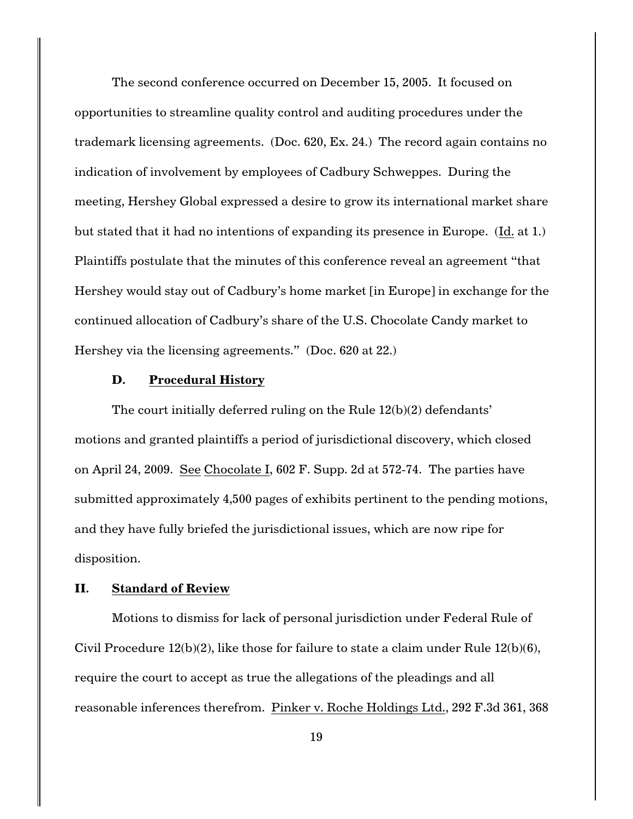The second conference occurred on December 15, 2005. It focused on opportunities to streamline quality control and auditing procedures under the trademark licensing agreements. (Doc. 620, Ex. 24.) The record again contains no indication of involvement by employees of Cadbury Schweppes. During the meeting, Hershey Global expressed a desire to grow its international market share but stated that it had no intentions of expanding its presence in Europe. (Id. at 1.) Plaintiffs postulate that the minutes of this conference reveal an agreement "that Hershey would stay out of Cadbury's home market [in Europe] in exchange for the continued allocation of Cadbury's share of the U.S. Chocolate Candy market to Hershey via the licensing agreements." (Doc. 620 at 22.)

## **D. Procedural History**

The court initially deferred ruling on the Rule 12(b)(2) defendants' motions and granted plaintiffs a period of jurisdictional discovery, which closed on April 24, 2009. See Chocolate I, 602 F. Supp. 2d at 572-74. The parties have submitted approximately 4,500 pages of exhibits pertinent to the pending motions, and they have fully briefed the jurisdictional issues, which are now ripe for disposition.

## **II. Standard of Review**

Motions to dismiss for lack of personal jurisdiction under Federal Rule of Civil Procedure 12(b)(2), like those for failure to state a claim under Rule 12(b)(6), require the court to accept as true the allegations of the pleadings and all reasonable inferences therefrom. Pinker v. Roche Holdings Ltd., 292 F.3d 361, 368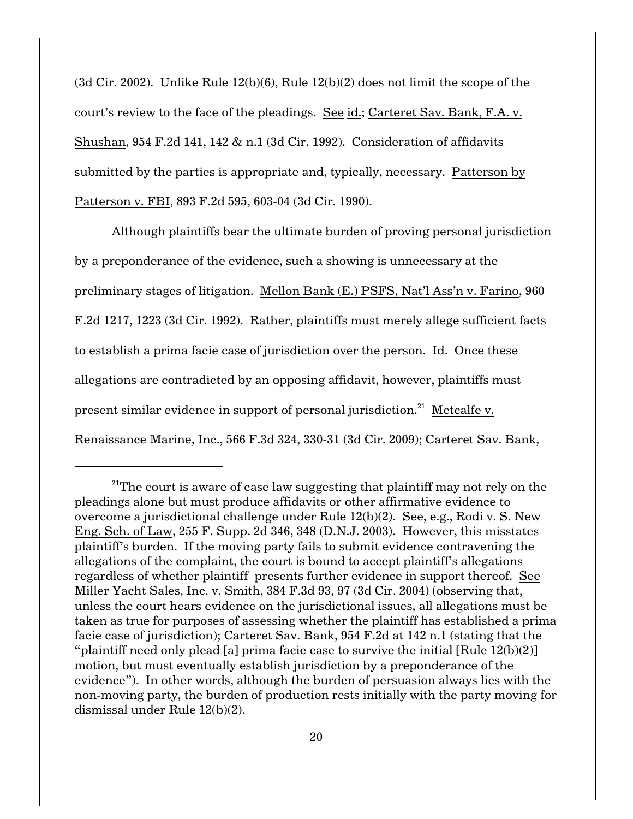(3d Cir. 2002). Unlike Rule 12(b)(6), Rule 12(b)(2) does not limit the scope of the court's review to the face of the pleadings. See id.; Carteret Sav. Bank, F.A. v. Shushan, 954 F.2d 141, 142 & n.1 (3d Cir. 1992). Consideration of affidavits submitted by the parties is appropriate and, typically, necessary. Patterson by Patterson v. FBI, 893 F.2d 595, 603-04 (3d Cir. 1990).

Although plaintiffs bear the ultimate burden of proving personal jurisdiction by a preponderance of the evidence, such a showing is unnecessary at the preliminary stages of litigation. Mellon Bank (E.) PSFS, Nat'l Ass'n v. Farino, 960 F.2d 1217, 1223 (3d Cir. 1992). Rather, plaintiffs must merely allege sufficient facts to establish a prima facie case of jurisdiction over the person. Id. Once these allegations are contradicted by an opposing affidavit, however, plaintiffs must present similar evidence in support of personal jurisdiction.<sup>21</sup> Metcalfe v. Renaissance Marine, Inc., 566 F.3d 324, 330-31 (3d Cir. 2009); Carteret Sav. Bank,

<sup>&</sup>lt;sup>21</sup>The court is aware of case law suggesting that plaintiff may not rely on the pleadings alone but must produce affidavits or other affirmative evidence to overcome a jurisdictional challenge under Rule 12(b)(2). See, e.g., Rodi v. S. New Eng. Sch. of Law, 255 F. Supp. 2d 346, 348 (D.N.J. 2003). However, this misstates plaintiff's burden. If the moving party fails to submit evidence contravening the allegations of the complaint, the court is bound to accept plaintiff's allegations regardless of whether plaintiff presents further evidence in support thereof. See Miller Yacht Sales, Inc. v. Smith, 384 F.3d 93, 97 (3d Cir. 2004) (observing that, unless the court hears evidence on the jurisdictional issues, all allegations must be taken as true for purposes of assessing whether the plaintiff has established a prima facie case of jurisdiction); Carteret Sav. Bank, 954 F.2d at 142 n.1 (stating that the "plaintiff need only plead [a] prima facie case to survive the initial  $\lceil \text{Rule } 12(b)(2) \rceil$ motion, but must eventually establish jurisdiction by a preponderance of the evidence"). In other words, although the burden of persuasion always lies with the non-moving party, the burden of production rests initially with the party moving for dismissal under Rule 12(b)(2).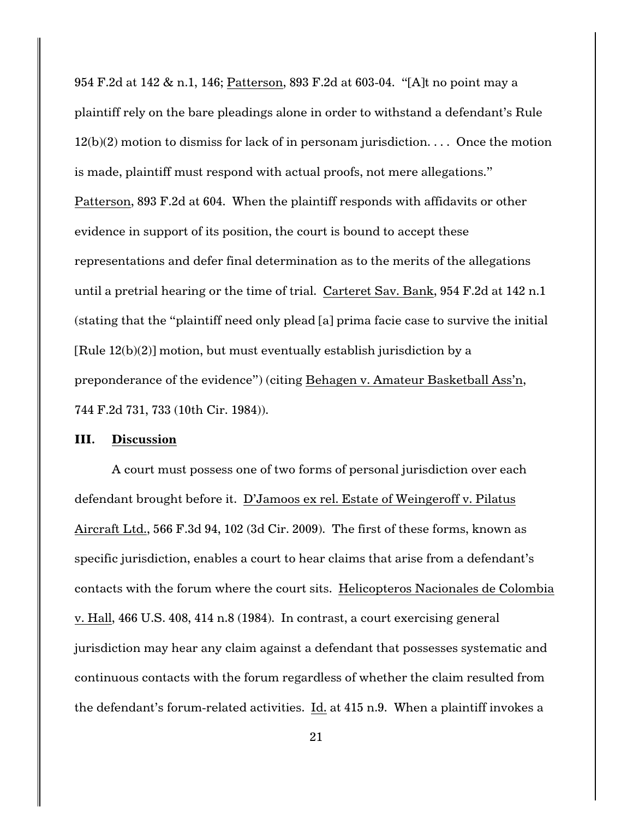954 F.2d at 142 & n.1, 146; Patterson, 893 F.2d at 603-04. "[A]t no point may a plaintiff rely on the bare pleadings alone in order to withstand a defendant's Rule  $12(b)(2)$  motion to dismiss for lack of in personam jurisdiction. . . . Once the motion is made, plaintiff must respond with actual proofs, not mere allegations." Patterson, 893 F.2d at 604. When the plaintiff responds with affidavits or other evidence in support of its position, the court is bound to accept these representations and defer final determination as to the merits of the allegations until a pretrial hearing or the time of trial. Carteret Sav. Bank, 954 F.2d at 142 n.1 (stating that the "plaintiff need only plead [a] prima facie case to survive the initial [Rule 12(b)(2)] motion, but must eventually establish jurisdiction by a preponderance of the evidence") (citing Behagen v. Amateur Basketball Ass'n, 744 F.2d 731, 733 (10th Cir. 1984)).

#### **III. Discussion**

A court must possess one of two forms of personal jurisdiction over each defendant brought before it. D'Jamoos ex rel. Estate of Weingeroff v. Pilatus Aircraft Ltd., 566 F.3d 94, 102 (3d Cir. 2009). The first of these forms, known as specific jurisdiction, enables a court to hear claims that arise from a defendant's contacts with the forum where the court sits. Helicopteros Nacionales de Colombia v. Hall, 466 U.S. 408, 414 n.8 (1984). In contrast, a court exercising general jurisdiction may hear any claim against a defendant that possesses systematic and continuous contacts with the forum regardless of whether the claim resulted from the defendant's forum-related activities. Id. at 415 n.9. When a plaintiff invokes a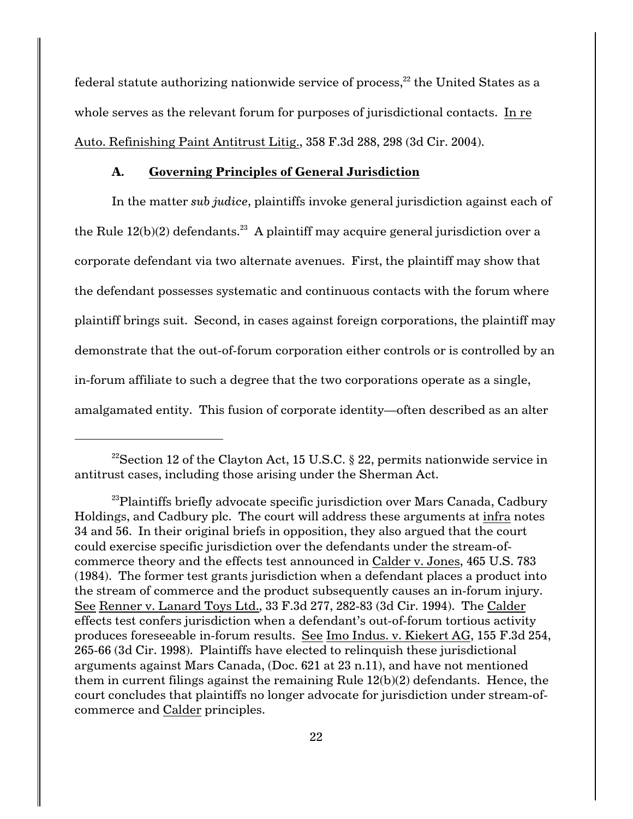federal statute authorizing nationwide service of process, $^{22}$  the United States as a whole serves as the relevant forum for purposes of jurisdictional contacts. In re Auto. Refinishing Paint Antitrust Litig., 358 F.3d 288, 298 (3d Cir. 2004).

## **A. Governing Principles of General Jurisdiction**

In the matter *sub judice*, plaintiffs invoke general jurisdiction against each of the Rule  $12(b)(2)$  defendants.<sup>23</sup> A plaintiff may acquire general jurisdiction over a corporate defendant via two alternate avenues. First, the plaintiff may show that the defendant possesses systematic and continuous contacts with the forum where plaintiff brings suit. Second, in cases against foreign corporations, the plaintiff may demonstrate that the out-of-forum corporation either controls or is controlled by an in-forum affiliate to such a degree that the two corporations operate as a single, amalgamated entity. This fusion of corporate identity—often described as an alter

<sup>&</sup>lt;sup>22</sup> Section 12 of the Clayton Act, 15 U.S.C. § 22, permits nationwide service in antitrust cases, including those arising under the Sherman Act.

 $^{23}$ Plaintiffs briefly advocate specific jurisdiction over Mars Canada, Cadbury Holdings, and Cadbury plc. The court will address these arguments at infra notes 34 and 56. In their original briefs in opposition, they also argued that the court could exercise specific jurisdiction over the defendants under the stream-ofcommerce theory and the effects test announced in Calder v. Jones, 465 U.S. 783 (1984). The former test grants jurisdiction when a defendant places a product into the stream of commerce and the product subsequently causes an in-forum injury. See Renner v. Lanard Toys Ltd., 33 F.3d 277, 282-83 (3d Cir. 1994). The Calder effects test confers jurisdiction when a defendant's out-of-forum tortious activity produces foreseeable in-forum results. See Imo Indus. v. Kiekert AG, 155 F.3d 254, 265-66 (3d Cir. 1998). Plaintiffs have elected to relinquish these jurisdictional arguments against Mars Canada, (Doc. 621 at 23 n.11), and have not mentioned them in current filings against the remaining Rule 12(b)(2) defendants. Hence, the court concludes that plaintiffs no longer advocate for jurisdiction under stream-ofcommerce and Calder principles.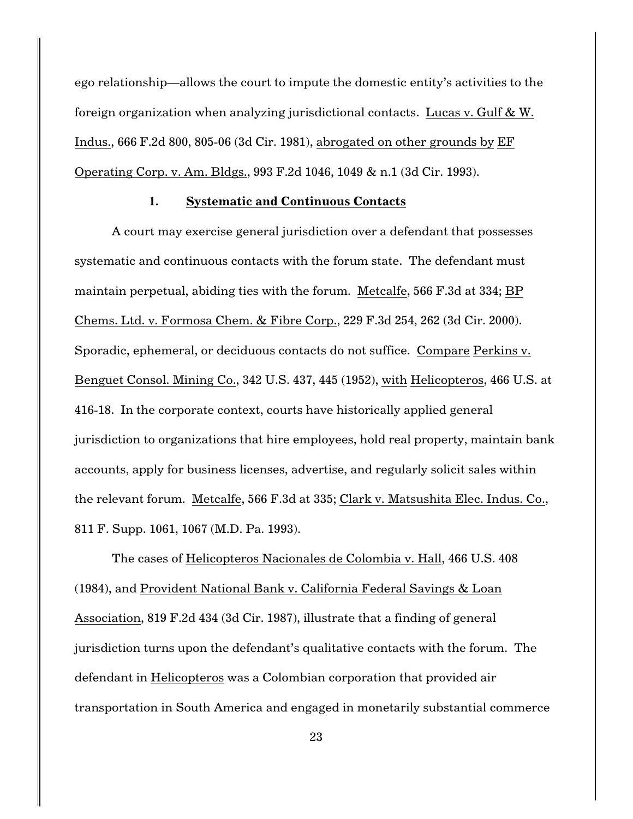ego relationship—allows the court to impute the domestic entity's activities to the foreign organization when analyzing jurisdictional contacts. Lucas v. Gulf & W. Indus., 666 F.2d 800, 805-06 (3d Cir. 1981), abrogated on other grounds by EF Operating Corp. v. Am. Bldgs., 993 F.2d 1046, 1049 & n.1 (3d Cir. 1993).

#### **1. Systematic and Continuous Contacts**

A court may exercise general jurisdiction over a defendant that possesses systematic and continuous contacts with the forum state. The defendant must maintain perpetual, abiding ties with the forum. Metcalfe, 566 F.3d at 334; BP Chems. Ltd. v. Formosa Chem. & Fibre Corp., 229 F.3d 254, 262 (3d Cir. 2000). Sporadic, ephemeral, or deciduous contacts do not suffice. Compare Perkins v. Benguet Consol. Mining Co., 342 U.S. 437, 445 (1952), with Helicopteros, 466 U.S. at 416-18. In the corporate context, courts have historically applied general jurisdiction to organizations that hire employees, hold real property, maintain bank accounts, apply for business licenses, advertise, and regularly solicit sales within the relevant forum. Metcalfe, 566 F.3d at 335; Clark v. Matsushita Elec. Indus. Co., 811 F. Supp. 1061, 1067 (M.D. Pa. 1993).

The cases of Helicopteros Nacionales de Colombia v. Hall, 466 U.S. 408 (1984), and Provident National Bank v. California Federal Savings & Loan Association, 819 F.2d 434 (3d Cir. 1987), illustrate that a finding of general jurisdiction turns upon the defendant's qualitative contacts with the forum. The defendant in Helicopteros was a Colombian corporation that provided air transportation in South America and engaged in monetarily substantial commerce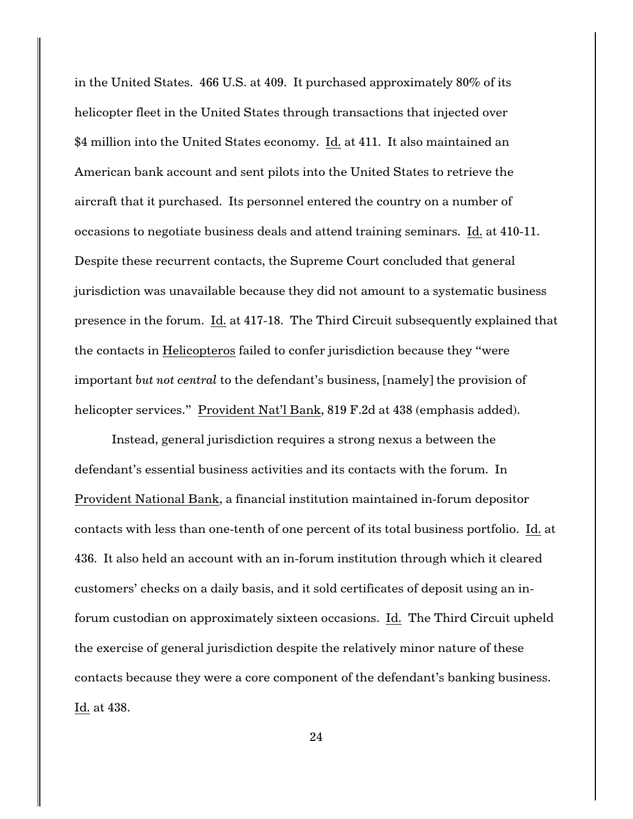in the United States. 466 U.S. at 409. It purchased approximately 80% of its helicopter fleet in the United States through transactions that injected over \$4 million into the United States economy. Id. at 411. It also maintained an American bank account and sent pilots into the United States to retrieve the aircraft that it purchased. Its personnel entered the country on a number of occasions to negotiate business deals and attend training seminars. Id. at 410-11. Despite these recurrent contacts, the Supreme Court concluded that general jurisdiction was unavailable because they did not amount to a systematic business presence in the forum. Id. at 417-18. The Third Circuit subsequently explained that the contacts in Helicopteros failed to confer jurisdiction because they "were important *but not central* to the defendant's business, [namely] the provision of helicopter services." Provident Nat'l Bank, 819 F.2d at 438 (emphasis added).

Instead, general jurisdiction requires a strong nexus a between the defendant's essential business activities and its contacts with the forum. In Provident National Bank, a financial institution maintained in-forum depositor contacts with less than one-tenth of one percent of its total business portfolio. Id. at 436. It also held an account with an in-forum institution through which it cleared customers' checks on a daily basis, and it sold certificates of deposit using an inforum custodian on approximately sixteen occasions. Id. The Third Circuit upheld the exercise of general jurisdiction despite the relatively minor nature of these contacts because they were a core component of the defendant's banking business. Id. at 438.

24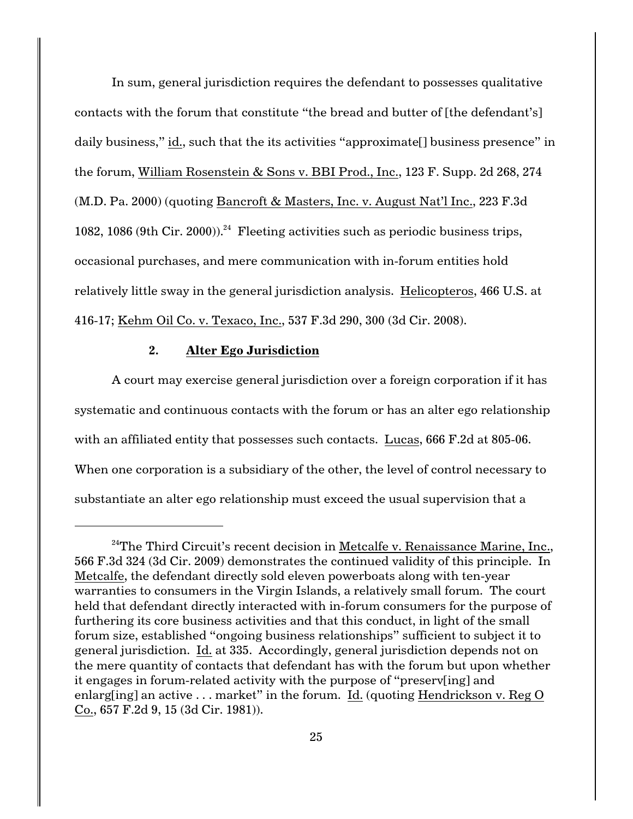In sum, general jurisdiction requires the defendant to possesses qualitative contacts with the forum that constitute "the bread and butter of [the defendant's] daily business," id., such that the its activities "approximate[] business presence" in the forum, William Rosenstein & Sons v. BBI Prod., Inc., 123 F. Supp. 2d 268, 274 (M.D. Pa. 2000) (quoting Bancroft & Masters, Inc. v. August Nat'l Inc., 223 F.3d 1082, 1086 (9th Cir. 2000)).<sup>24</sup> Fleeting activities such as periodic business trips, occasional purchases, and mere communication with in-forum entities hold relatively little sway in the general jurisdiction analysis. Helicopteros, 466 U.S. at 416-17; Kehm Oil Co. v. Texaco, Inc., 537 F.3d 290, 300 (3d Cir. 2008).

### **2. Alter Ego Jurisdiction**

A court may exercise general jurisdiction over a foreign corporation if it has systematic and continuous contacts with the forum or has an alter ego relationship with an affiliated entity that possesses such contacts. Lucas, 666 F.2d at 805-06. When one corporation is a subsidiary of the other, the level of control necessary to substantiate an alter ego relationship must exceed the usual supervision that a

 $24$ The Third Circuit's recent decision in Metcalfe v. Renaissance Marine, Inc., 566 F.3d 324 (3d Cir. 2009) demonstrates the continued validity of this principle. In Metcalfe, the defendant directly sold eleven powerboats along with ten-year warranties to consumers in the Virgin Islands, a relatively small forum. The court held that defendant directly interacted with in-forum consumers for the purpose of furthering its core business activities and that this conduct, in light of the small forum size, established "ongoing business relationships" sufficient to subject it to general jurisdiction. Id. at 335. Accordingly, general jurisdiction depends not on the mere quantity of contacts that defendant has with the forum but upon whether it engages in forum-related activity with the purpose of "preserv[ing] and enlarg[ing] an active . . . market" in the forum. Id. (quoting Hendrickson v. Reg O Co., 657 F.2d 9, 15 (3d Cir. 1981)).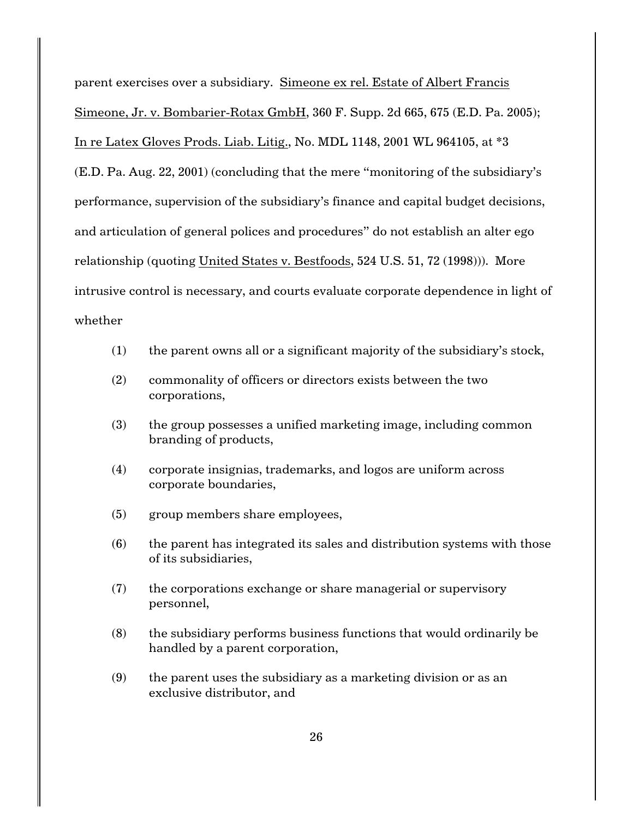parent exercises over a subsidiary. Simeone ex rel. Estate of Albert Francis Simeone, Jr. v. Bombarier-Rotax GmbH, 360 F. Supp. 2d 665, 675 (E.D. Pa. 2005); In re Latex Gloves Prods. Liab. Litig., No. MDL 1148, 2001 WL 964105, at \*3 (E.D. Pa. Aug. 22, 2001) (concluding that the mere "monitoring of the subsidiary's performance, supervision of the subsidiary's finance and capital budget decisions, and articulation of general polices and procedures" do not establish an alter ego relationship (quoting United States v. Bestfoods, 524 U.S. 51, 72 (1998))). More intrusive control is necessary, and courts evaluate corporate dependence in light of whether

- (1) the parent owns all or a significant majority of the subsidiary's stock,
- (2) commonality of officers or directors exists between the two corporations,
- (3) the group possesses a unified marketing image, including common branding of products,
- (4) corporate insignias, trademarks, and logos are uniform across corporate boundaries,
- (5) group members share employees,
- (6) the parent has integrated its sales and distribution systems with those of its subsidiaries,
- (7) the corporations exchange or share managerial or supervisory personnel,
- (8) the subsidiary performs business functions that would ordinarily be handled by a parent corporation,
- (9) the parent uses the subsidiary as a marketing division or as an exclusive distributor, and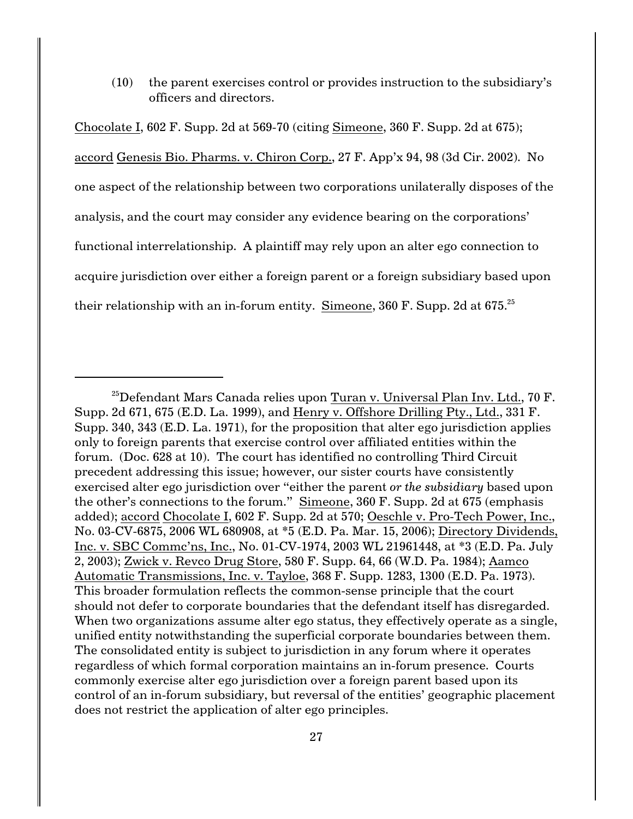(10) the parent exercises control or provides instruction to the subsidiary's officers and directors.

Chocolate I, 602 F. Supp. 2d at 569-70 (citing Simeone, 360 F. Supp. 2d at 675); accord Genesis Bio. Pharms. v. Chiron Corp., 27 F. App'x 94, 98 (3d Cir. 2002). No one aspect of the relationship between two corporations unilaterally disposes of the analysis, and the court may consider any evidence bearing on the corporations' functional interrelationship. A plaintiff may rely upon an alter ego connection to acquire jurisdiction over either a foreign parent or a foreign subsidiary based upon their relationship with an in-forum entity. Simeone, 360 F. Supp. 2d at  $675.^{25}$ 

 $^{25}$ Defendant Mars Canada relies upon Turan v. Universal Plan Inv. Ltd., 70 F. Supp. 2d 671, 675 (E.D. La. 1999), and Henry v. Offshore Drilling Pty., Ltd., 331 F. Supp. 340, 343 (E.D. La. 1971), for the proposition that alter ego jurisdiction applies only to foreign parents that exercise control over affiliated entities within the forum. (Doc. 628 at 10). The court has identified no controlling Third Circuit precedent addressing this issue; however, our sister courts have consistently exercised alter ego jurisdiction over "either the parent *or the subsidiary* based upon the other's connections to the forum." Simeone, 360 F. Supp. 2d at 675 (emphasis added); accord Chocolate I, 602 F. Supp. 2d at 570; Oeschle v. Pro-Tech Power, Inc., No. 03-CV-6875, 2006 WL 680908, at \*5 (E.D. Pa. Mar. 15, 2006); Directory Dividends, Inc. v. SBC Commc'ns, Inc., No. 01-CV-1974, 2003 WL 21961448, at \*3 (E.D. Pa. July 2, 2003); Zwick v. Revco Drug Store, 580 F. Supp. 64, 66 (W.D. Pa. 1984); Aamco Automatic Transmissions, Inc. v. Tayloe, 368 F. Supp. 1283, 1300 (E.D. Pa. 1973). This broader formulation reflects the common-sense principle that the court should not defer to corporate boundaries that the defendant itself has disregarded. When two organizations assume alter ego status, they effectively operate as a single, unified entity notwithstanding the superficial corporate boundaries between them. The consolidated entity is subject to jurisdiction in any forum where it operates regardless of which formal corporation maintains an in-forum presence. Courts commonly exercise alter ego jurisdiction over a foreign parent based upon its control of an in-forum subsidiary, but reversal of the entities' geographic placement does not restrict the application of alter ego principles.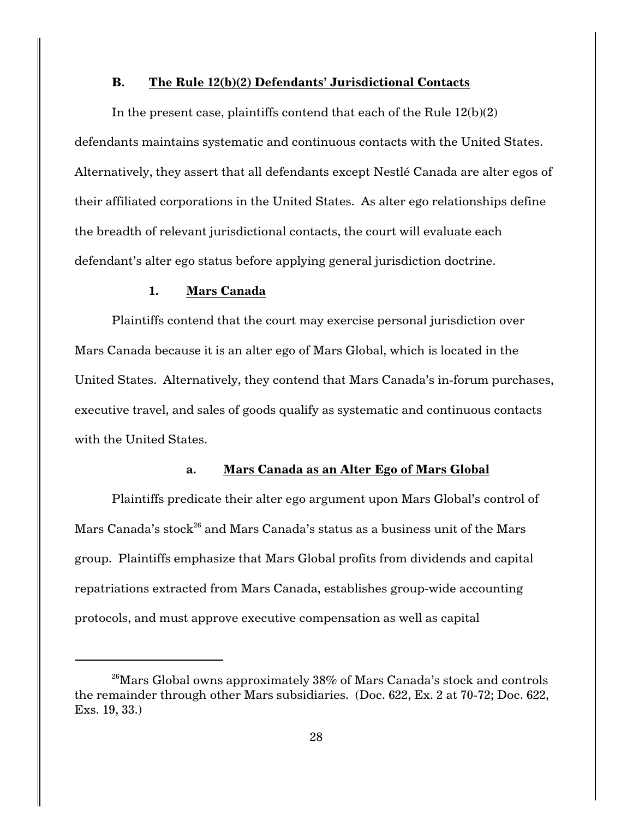### **B. The Rule 12(b)(2) Defendants' Jurisdictional Contacts**

In the present case, plaintiffs contend that each of the Rule 12(b)(2) defendants maintains systematic and continuous contacts with the United States. Alternatively, they assert that all defendants except Nestlé Canada are alter egos of their affiliated corporations in the United States. As alter ego relationships define the breadth of relevant jurisdictional contacts, the court will evaluate each defendant's alter ego status before applying general jurisdiction doctrine.

### **1. Mars Canada**

Plaintiffs contend that the court may exercise personal jurisdiction over Mars Canada because it is an alter ego of Mars Global, which is located in the United States. Alternatively, they contend that Mars Canada's in-forum purchases, executive travel, and sales of goods qualify as systematic and continuous contacts with the United States.

# **a. Mars Canada as an Alter Ego of Mars Global**

Plaintiffs predicate their alter ego argument upon Mars Global's control of Mars Canada's stock<sup>26</sup> and Mars Canada's status as a business unit of the Mars group. Plaintiffs emphasize that Mars Global profits from dividends and capital repatriations extracted from Mars Canada, establishes group-wide accounting protocols, and must approve executive compensation as well as capital

<sup>&</sup>lt;sup>26</sup> Mars Global owns approximately  $38\%$  of Mars Canada's stock and controls the remainder through other Mars subsidiaries. (Doc. 622, Ex. 2 at 70-72; Doc. 622, Exs. 19, 33.)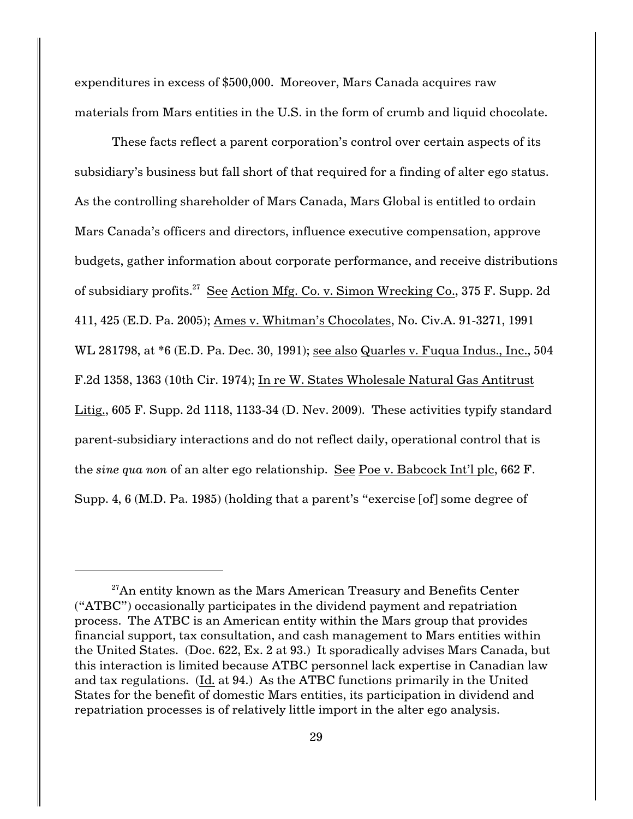expenditures in excess of \$500,000. Moreover, Mars Canada acquires raw materials from Mars entities in the U.S. in the form of crumb and liquid chocolate.

These facts reflect a parent corporation's control over certain aspects of its subsidiary's business but fall short of that required for a finding of alter ego status. As the controlling shareholder of Mars Canada, Mars Global is entitled to ordain Mars Canada's officers and directors, influence executive compensation, approve budgets, gather information about corporate performance, and receive distributions of subsidiary profits.<sup>27</sup> See Action Mfg. Co. v. Simon Wrecking Co., 375 F. Supp. 2d 411, 425 (E.D. Pa. 2005); Ames v. Whitman's Chocolates, No. Civ.A. 91-3271, 1991 WL 281798, at \*6 (E.D. Pa. Dec. 30, 1991); see also Quarles v. Fuqua Indus., Inc., 504 F.2d 1358, 1363 (10th Cir. 1974); In re W. States Wholesale Natural Gas Antitrust Litig., 605 F. Supp. 2d 1118, 1133-34 (D. Nev. 2009). These activities typify standard parent-subsidiary interactions and do not reflect daily, operational control that is the *sine qua non* of an alter ego relationship. See Poe v. Babcock Int'l plc, 662 F. Supp. 4, 6 (M.D. Pa. 1985) (holding that a parent's "exercise [of] some degree of

 $27$ An entity known as the Mars American Treasury and Benefits Center ("ATBC") occasionally participates in the dividend payment and repatriation process. The ATBC is an American entity within the Mars group that provides financial support, tax consultation, and cash management to Mars entities within the United States. (Doc. 622, Ex. 2 at 93.) It sporadically advises Mars Canada, but this interaction is limited because ATBC personnel lack expertise in Canadian law and tax regulations. (Id. at 94.) As the ATBC functions primarily in the United States for the benefit of domestic Mars entities, its participation in dividend and repatriation processes is of relatively little import in the alter ego analysis.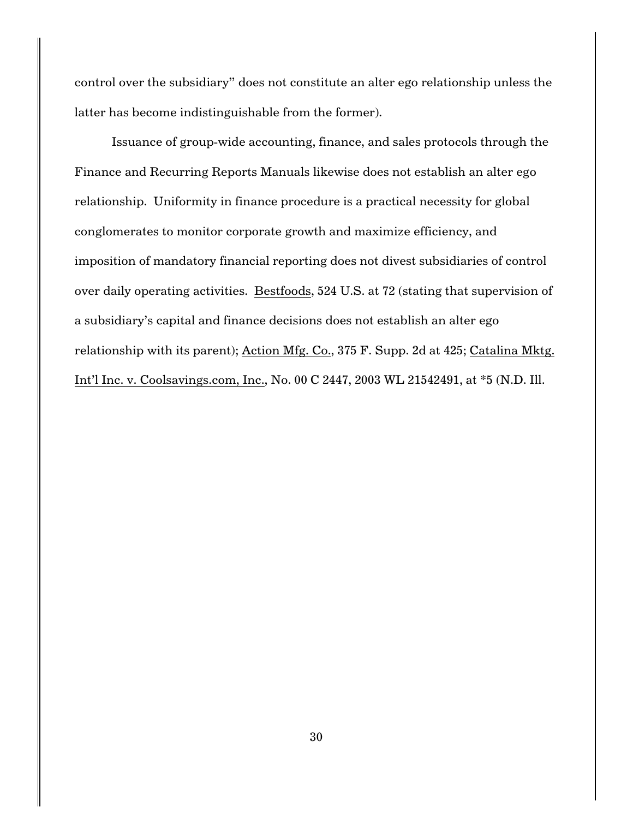control over the subsidiary" does not constitute an alter ego relationship unless the latter has become indistinguishable from the former).

Issuance of group-wide accounting, finance, and sales protocols through the Finance and Recurring Reports Manuals likewise does not establish an alter ego relationship. Uniformity in finance procedure is a practical necessity for global conglomerates to monitor corporate growth and maximize efficiency, and imposition of mandatory financial reporting does not divest subsidiaries of control over daily operating activities. Bestfoods, 524 U.S. at 72 (stating that supervision of a subsidiary's capital and finance decisions does not establish an alter ego relationship with its parent); Action Mfg. Co., 375 F. Supp. 2d at 425; Catalina Mktg. Int'l Inc. v. Coolsavings.com, Inc., No. 00 C 2447, 2003 WL 21542491, at \*5 (N.D. Ill.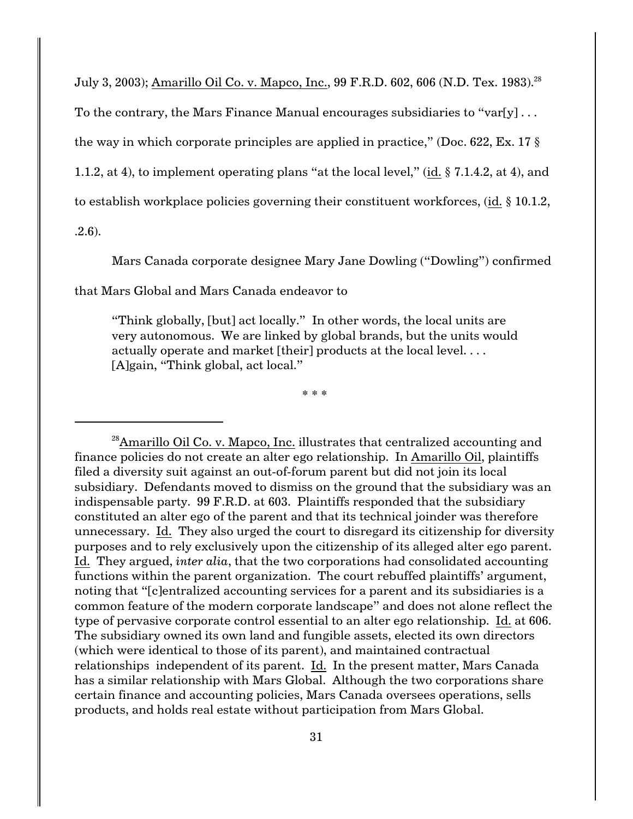July 3, 2003); Amarillo Oil Co. v. Mapco, Inc., 99 F.R.D. 602, 606 (N.D. Tex. 1983).<sup>28</sup>

To the contrary, the Mars Finance Manual encourages subsidiaries to "var[y]...

the way in which corporate principles are applied in practice," (Doc. 622, Ex. 17  $\S$ )

1.1.2, at 4), to implement operating plans "at the local level," (id. § 7.1.4.2, at 4), and

to establish workplace policies governing their constituent workforces, (id. § 10.1.2,

.2.6).

Mars Canada corporate designee Mary Jane Dowling ("Dowling") confirmed

that Mars Global and Mars Canada endeavor to

"Think globally, [but] act locally." In other words, the local units are very autonomous. We are linked by global brands, but the units would actually operate and market [their] products at the local level.... [A]gain, "Think global, act local."

\* \* \*

 $^{28}$ Amarillo Oil Co. v. Mapco, Inc. illustrates that centralized accounting and finance policies do not create an alter ego relationship. In Amarillo Oil, plaintiffs filed a diversity suit against an out-of-forum parent but did not join its local subsidiary. Defendants moved to dismiss on the ground that the subsidiary was an indispensable party. 99 F.R.D. at 603. Plaintiffs responded that the subsidiary constituted an alter ego of the parent and that its technical joinder was therefore unnecessary. Id. They also urged the court to disregard its citizenship for diversity purposes and to rely exclusively upon the citizenship of its alleged alter ego parent. Id. They argued, *inter alia*, that the two corporations had consolidated accounting functions within the parent organization. The court rebuffed plaintiffs' argument, noting that "[c]entralized accounting services for a parent and its subsidiaries is a common feature of the modern corporate landscape" and does not alone reflect the type of pervasive corporate control essential to an alter ego relationship. Id. at 606. The subsidiary owned its own land and fungible assets, elected its own directors (which were identical to those of its parent), and maintained contractual relationships independent of its parent. Id. In the present matter, Mars Canada has a similar relationship with Mars Global. Although the two corporations share certain finance and accounting policies, Mars Canada oversees operations, sells products, and holds real estate without participation from Mars Global.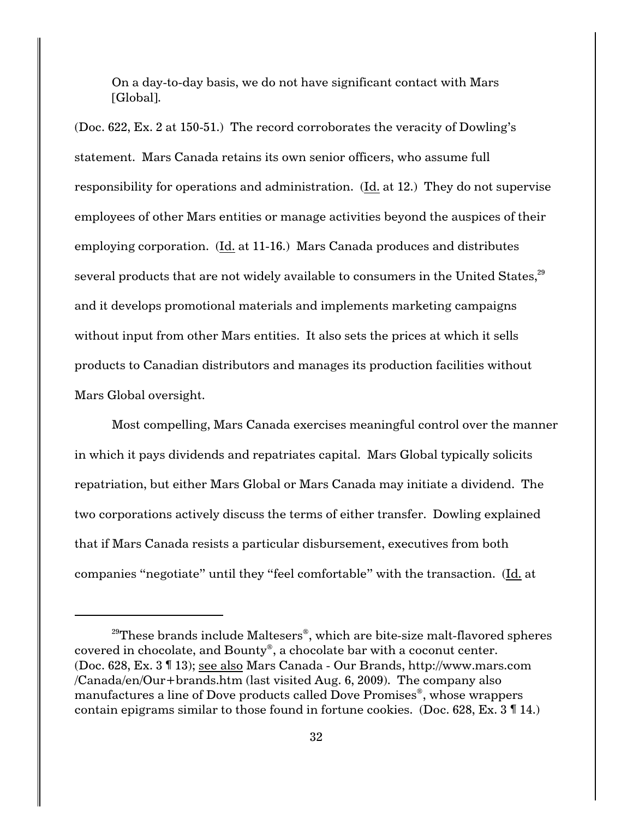On a day-to-day basis, we do not have significant contact with Mars [Global].

(Doc. 622, Ex. 2 at 150-51.) The record corroborates the veracity of Dowling's statement. Mars Canada retains its own senior officers, who assume full responsibility for operations and administration. (Id. at 12.) They do not supervise employees of other Mars entities or manage activities beyond the auspices of their employing corporation. (Id. at 11-16.) Mars Canada produces and distributes several products that are not widely available to consumers in the United States, $^{29}$ and it develops promotional materials and implements marketing campaigns without input from other Mars entities. It also sets the prices at which it sells products to Canadian distributors and manages its production facilities without Mars Global oversight.

Most compelling, Mars Canada exercises meaningful control over the manner in which it pays dividends and repatriates capital. Mars Global typically solicits repatriation, but either Mars Global or Mars Canada may initiate a dividend. The two corporations actively discuss the terms of either transfer. Dowling explained that if Mars Canada resists a particular disbursement, executives from both companies "negotiate" until they "feel comfortable" with the transaction. (Id. at

<sup>&</sup>lt;sup>29</sup>These brands include Maltesers<sup>®</sup>, which are bite-size malt-flavored spheres covered in chocolate, and Bounty<sup>®</sup>, a chocolate bar with a coconut center. (Doc. 628, Ex. 3 ¶ 13); see also Mars Canada - Our Brands, http://www.mars.com /Canada/en/Our+brands.htm (last visited Aug. 6, 2009). The company also manufactures a line of Dove products called Dove Promises<sup>®</sup>, whose wrappers contain epigrams similar to those found in fortune cookies. (Doc. 628, Ex. 3 ¶ 14.)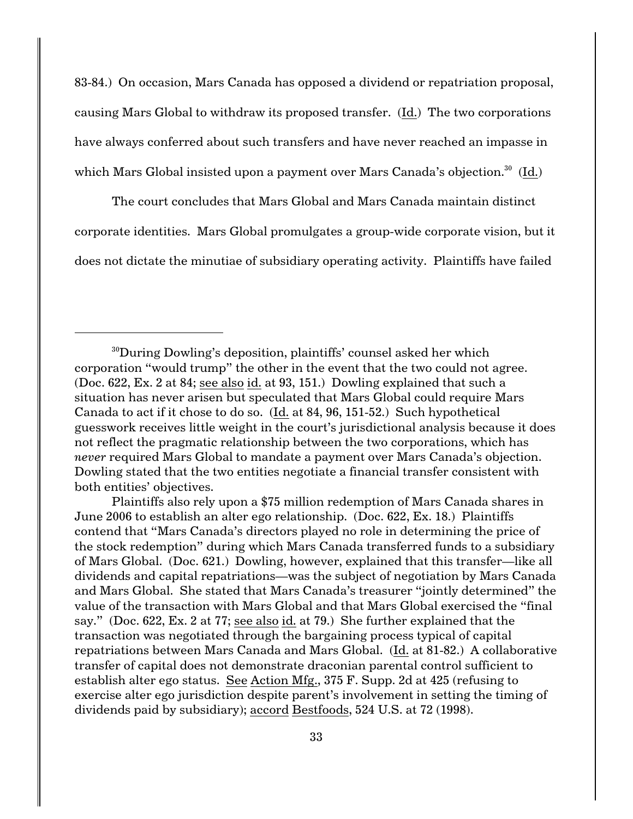83-84.) On occasion, Mars Canada has opposed a dividend or repatriation proposal, causing Mars Global to withdraw its proposed transfer. (Id.) The two corporations have always conferred about such transfers and have never reached an impasse in which Mars Global insisted upon a payment over Mars Canada's objection.<sup>30</sup> (Id.)

The court concludes that Mars Global and Mars Canada maintain distinct corporate identities. Mars Global promulgates a group-wide corporate vision, but it does not dictate the minutiae of subsidiary operating activity. Plaintiffs have failed

Plaintiffs also rely upon a \$75 million redemption of Mars Canada shares in June 2006 to establish an alter ego relationship. (Doc. 622, Ex. 18.) Plaintiffs contend that "Mars Canada's directors played no role in determining the price of the stock redemption" during which Mars Canada transferred funds to a subsidiary of Mars Global. (Doc. 621.) Dowling, however, explained that this transfer—like all dividends and capital repatriations—was the subject of negotiation by Mars Canada and Mars Global. She stated that Mars Canada's treasurer "jointly determined" the value of the transaction with Mars Global and that Mars Global exercised the "final say." (Doc. 622, Ex. 2 at 77; see also id. at 79.) She further explained that the transaction was negotiated through the bargaining process typical of capital repatriations between Mars Canada and Mars Global. (Id. at 81-82.) A collaborative transfer of capital does not demonstrate draconian parental control sufficient to establish alter ego status. See Action Mfg., 375 F. Supp. 2d at 425 (refusing to exercise alter ego jurisdiction despite parent's involvement in setting the timing of dividends paid by subsidiary); accord Bestfoods, 524 U.S. at 72 (1998).

<sup>&</sup>lt;sup>30</sup>During Dowling's deposition, plaintiffs' counsel asked her which corporation "would trump" the other in the event that the two could not agree. (Doc. 622, Ex. 2 at 84; see also id. at 93, 151.) Dowling explained that such a situation has never arisen but speculated that Mars Global could require Mars Canada to act if it chose to do so. (Id. at 84, 96, 151-52.) Such hypothetical guesswork receives little weight in the court's jurisdictional analysis because it does not reflect the pragmatic relationship between the two corporations, which has *never* required Mars Global to mandate a payment over Mars Canada's objection. Dowling stated that the two entities negotiate a financial transfer consistent with both entities' objectives.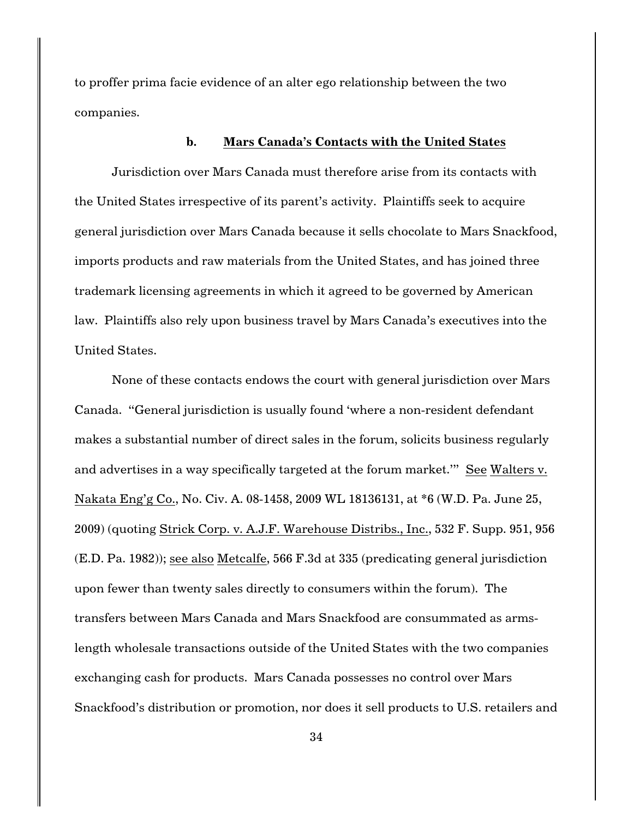to proffer prima facie evidence of an alter ego relationship between the two companies.

# **b. Mars Canada's Contacts with the United States**

Jurisdiction over Mars Canada must therefore arise from its contacts with the United States irrespective of its parent's activity. Plaintiffs seek to acquire general jurisdiction over Mars Canada because it sells chocolate to Mars Snackfood, imports products and raw materials from the United States, and has joined three trademark licensing agreements in which it agreed to be governed by American law. Plaintiffs also rely upon business travel by Mars Canada's executives into the United States.

None of these contacts endows the court with general jurisdiction over Mars Canada. "General jurisdiction is usually found 'where a non-resident defendant makes a substantial number of direct sales in the forum, solicits business regularly and advertises in a way specifically targeted at the forum market.'" See Walters v. Nakata Eng'g Co., No. Civ. A. 08-1458, 2009 WL 18136131, at \*6 (W.D. Pa. June 25, 2009) (quoting Strick Corp. v. A.J.F. Warehouse Distribs., Inc., 532 F. Supp. 951, 956 (E.D. Pa. 1982)); see also Metcalfe, 566 F.3d at 335 (predicating general jurisdiction upon fewer than twenty sales directly to consumers within the forum). The transfers between Mars Canada and Mars Snackfood are consummated as armslength wholesale transactions outside of the United States with the two companies exchanging cash for products. Mars Canada possesses no control over Mars Snackfood's distribution or promotion, nor does it sell products to U.S. retailers and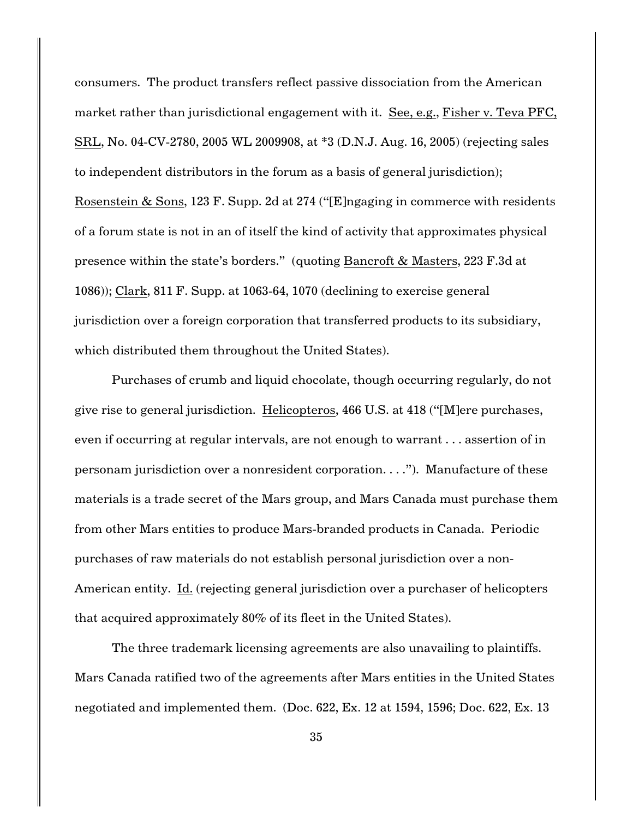consumers. The product transfers reflect passive dissociation from the American market rather than jurisdictional engagement with it. See, e.g., Fisher v. Teva PFC, SRL, No. 04-CV-2780, 2005 WL 2009908, at \*3 (D.N.J. Aug. 16, 2005) (rejecting sales to independent distributors in the forum as a basis of general jurisdiction); Rosenstein & Sons, 123 F. Supp. 2d at 274 ("[E]ngaging in commerce with residents of a forum state is not in an of itself the kind of activity that approximates physical presence within the state's borders." (quoting Bancroft & Masters, 223 F.3d at 1086)); Clark, 811 F. Supp. at 1063-64, 1070 (declining to exercise general jurisdiction over a foreign corporation that transferred products to its subsidiary, which distributed them throughout the United States).

Purchases of crumb and liquid chocolate, though occurring regularly, do not give rise to general jurisdiction. Helicopteros, 466 U.S. at 418 ("[M]ere purchases, even if occurring at regular intervals, are not enough to warrant . . . assertion of in personam jurisdiction over a nonresident corporation. . . ."). Manufacture of these materials is a trade secret of the Mars group, and Mars Canada must purchase them from other Mars entities to produce Mars-branded products in Canada. Periodic purchases of raw materials do not establish personal jurisdiction over a non-American entity. Id. (rejecting general jurisdiction over a purchaser of helicopters that acquired approximately 80% of its fleet in the United States).

The three trademark licensing agreements are also unavailing to plaintiffs. Mars Canada ratified two of the agreements after Mars entities in the United States negotiated and implemented them. (Doc. 622, Ex. 12 at 1594, 1596; Doc. 622, Ex. 13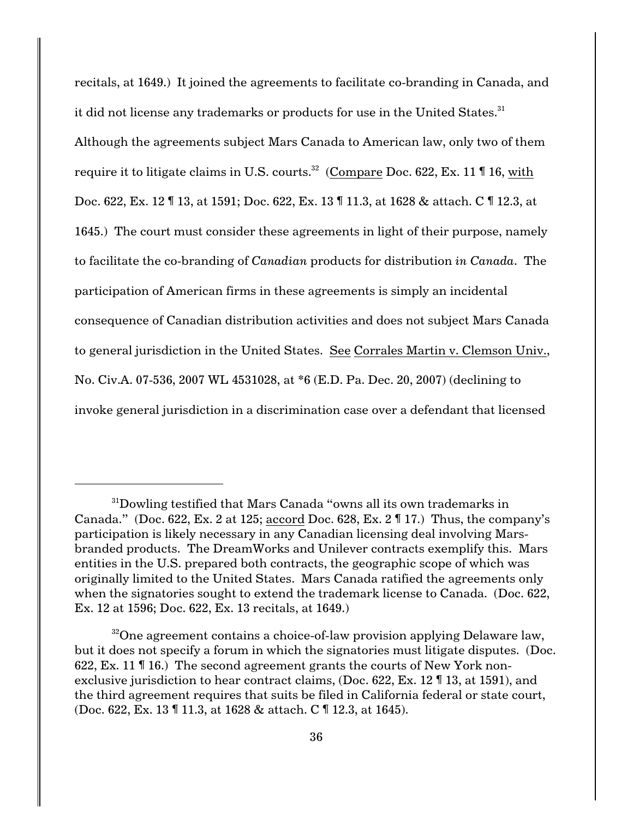recitals, at 1649.) It joined the agreements to facilitate co-branding in Canada, and it did not license any trademarks or products for use in the United States.<sup>31</sup> Although the agreements subject Mars Canada to American law, only two of them require it to litigate claims in U.S. courts.<sup>32</sup> (Compare Doc. 622, Ex. 11  $\P$  16, with Doc. 622, Ex. 12 ¶ 13, at 1591; Doc. 622, Ex. 13 ¶ 11.3, at 1628 & attach. C ¶ 12.3, at 1645.) The court must consider these agreements in light of their purpose, namely to facilitate the co-branding of *Canadian* products for distribution *in Canada*. The participation of American firms in these agreements is simply an incidental consequence of Canadian distribution activities and does not subject Mars Canada to general jurisdiction in the United States. See Corrales Martin v. Clemson Univ., No. Civ.A. 07-536, 2007 WL 4531028, at \*6 (E.D. Pa. Dec. 20, 2007) (declining to invoke general jurisdiction in a discrimination case over a defendant that licensed

 $31$ Dowling testified that Mars Canada "owns all its own trademarks in Canada." (Doc. 622, Ex. 2 at 125; accord Doc. 628, Ex. 2  $\P$  17.) Thus, the company's participation is likely necessary in any Canadian licensing deal involving Marsbranded products. The DreamWorks and Unilever contracts exemplify this. Mars entities in the U.S. prepared both contracts, the geographic scope of which was originally limited to the United States. Mars Canada ratified the agreements only when the signatories sought to extend the trademark license to Canada. (Doc. 622, Ex. 12 at 1596; Doc. 622, Ex. 13 recitals, at 1649.)

 $32^{\circ}$ One agreement contains a choice-of-law provision applying Delaware law, but it does not specify a forum in which the signatories must litigate disputes. (Doc. 622, Ex. 11 ¶ 16.) The second agreement grants the courts of New York nonexclusive jurisdiction to hear contract claims, (Doc. 622, Ex. 12 ¶ 13, at 1591), and the third agreement requires that suits be filed in California federal or state court, (Doc. 622, Ex. 13 ¶ 11.3, at 1628 & attach. C ¶ 12.3, at 1645).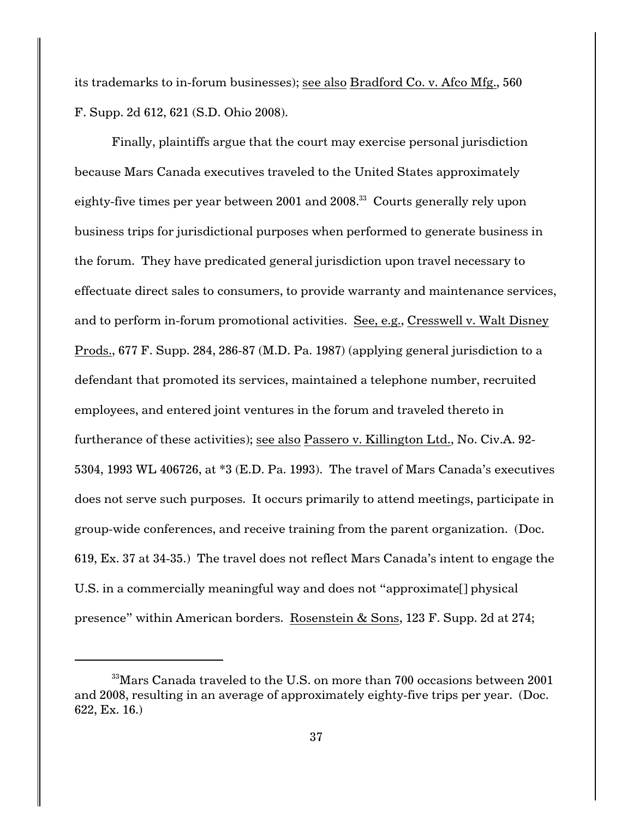its trademarks to in-forum businesses); see also Bradford Co. v. Afco Mfg., 560 F. Supp. 2d 612, 621 (S.D. Ohio 2008).

Finally, plaintiffs argue that the court may exercise personal jurisdiction because Mars Canada executives traveled to the United States approximately eighty-five times per year between 2001 and 2008.<sup>33</sup> Courts generally rely upon business trips for jurisdictional purposes when performed to generate business in the forum. They have predicated general jurisdiction upon travel necessary to effectuate direct sales to consumers, to provide warranty and maintenance services, and to perform in-forum promotional activities. See, e.g., Cresswell v. Walt Disney Prods., 677 F. Supp. 284, 286-87 (M.D. Pa. 1987) (applying general jurisdiction to a defendant that promoted its services, maintained a telephone number, recruited employees, and entered joint ventures in the forum and traveled thereto in furtherance of these activities); see also Passero v. Killington Ltd., No. Civ.A. 92- 5304, 1993 WL 406726, at \*3 (E.D. Pa. 1993). The travel of Mars Canada's executives does not serve such purposes. It occurs primarily to attend meetings, participate in group-wide conferences, and receive training from the parent organization. (Doc. 619, Ex. 37 at 34-35.) The travel does not reflect Mars Canada's intent to engage the U.S. in a commercially meaningful way and does not "approximate[] physical presence" within American borders. Rosenstein & Sons, 123 F. Supp. 2d at 274;

 $33$ Mars Canada traveled to the U.S. on more than 700 occasions between 2001 and 2008, resulting in an average of approximately eighty-five trips per year. (Doc. 622, Ex. 16.)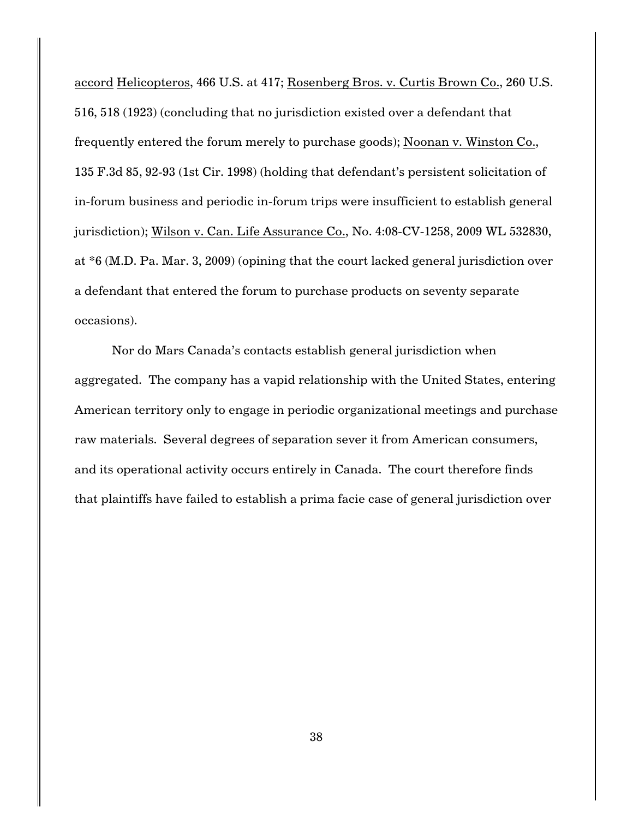accord Helicopteros, 466 U.S. at 417; Rosenberg Bros. v. Curtis Brown Co., 260 U.S. 516, 518 (1923) (concluding that no jurisdiction existed over a defendant that frequently entered the forum merely to purchase goods); Noonan v. Winston Co., 135 F.3d 85, 92-93 (1st Cir. 1998) (holding that defendant's persistent solicitation of in-forum business and periodic in-forum trips were insufficient to establish general jurisdiction); Wilson v. Can. Life Assurance Co., No. 4:08-CV-1258, 2009 WL 532830, at \*6 (M.D. Pa. Mar. 3, 2009) (opining that the court lacked general jurisdiction over a defendant that entered the forum to purchase products on seventy separate occasions).

Nor do Mars Canada's contacts establish general jurisdiction when aggregated. The company has a vapid relationship with the United States, entering American territory only to engage in periodic organizational meetings and purchase raw materials. Several degrees of separation sever it from American consumers, and its operational activity occurs entirely in Canada. The court therefore finds that plaintiffs have failed to establish a prima facie case of general jurisdiction over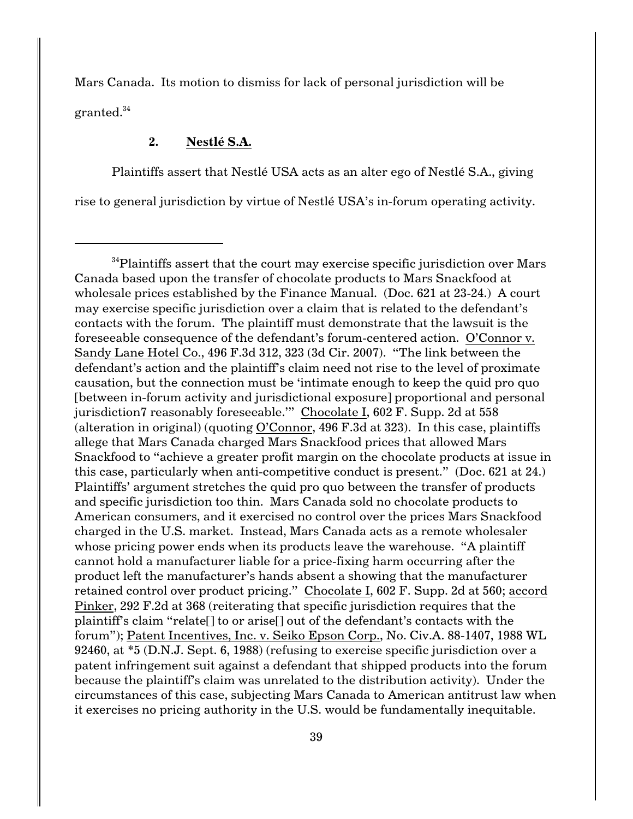Mars Canada. Its motion to dismiss for lack of personal jurisdiction will be granted.<sup>34</sup>

# **2. Nestlé S.A.**

Plaintiffs assert that Nestlé USA acts as an alter ego of Nestlé S.A., giving rise to general jurisdiction by virtue of Nestlé USA's in-forum operating activity.

 $34$ Plaintiffs assert that the court may exercise specific jurisdiction over Mars Canada based upon the transfer of chocolate products to Mars Snackfood at wholesale prices established by the Finance Manual. (Doc. 621 at 23-24.) A court may exercise specific jurisdiction over a claim that is related to the defendant's contacts with the forum. The plaintiff must demonstrate that the lawsuit is the foreseeable consequence of the defendant's forum-centered action. O'Connor v. Sandy Lane Hotel Co., 496 F.3d 312, 323 (3d Cir. 2007). "The link between the defendant's action and the plaintiff's claim need not rise to the level of proximate causation, but the connection must be 'intimate enough to keep the quid pro quo [between in-forum activity and jurisdictional exposure] proportional and personal jurisdiction7 reasonably foreseeable." Chocolate I, 602 F. Supp. 2d at 558 (alteration in original) (quoting O'Connor, 496 F.3d at 323). In this case, plaintiffs allege that Mars Canada charged Mars Snackfood prices that allowed Mars Snackfood to "achieve a greater profit margin on the chocolate products at issue in this case, particularly when anti-competitive conduct is present." (Doc. 621 at 24.) Plaintiffs' argument stretches the quid pro quo between the transfer of products and specific jurisdiction too thin. Mars Canada sold no chocolate products to American consumers, and it exercised no control over the prices Mars Snackfood charged in the U.S. market. Instead, Mars Canada acts as a remote wholesaler whose pricing power ends when its products leave the warehouse. "A plaintiff cannot hold a manufacturer liable for a price-fixing harm occurring after the product left the manufacturer's hands absent a showing that the manufacturer retained control over product pricing." Chocolate I, 602 F. Supp. 2d at 560; accord Pinker, 292 F.2d at 368 (reiterating that specific jurisdiction requires that the plaintiff's claim "relate[] to or arise[] out of the defendant's contacts with the forum"); Patent Incentives, Inc. v. Seiko Epson Corp., No. Civ.A. 88-1407, 1988 WL 92460, at \*5 (D.N.J. Sept. 6, 1988) (refusing to exercise specific jurisdiction over a patent infringement suit against a defendant that shipped products into the forum because the plaintiff's claim was unrelated to the distribution activity). Under the circumstances of this case, subjecting Mars Canada to American antitrust law when it exercises no pricing authority in the U.S. would be fundamentally inequitable.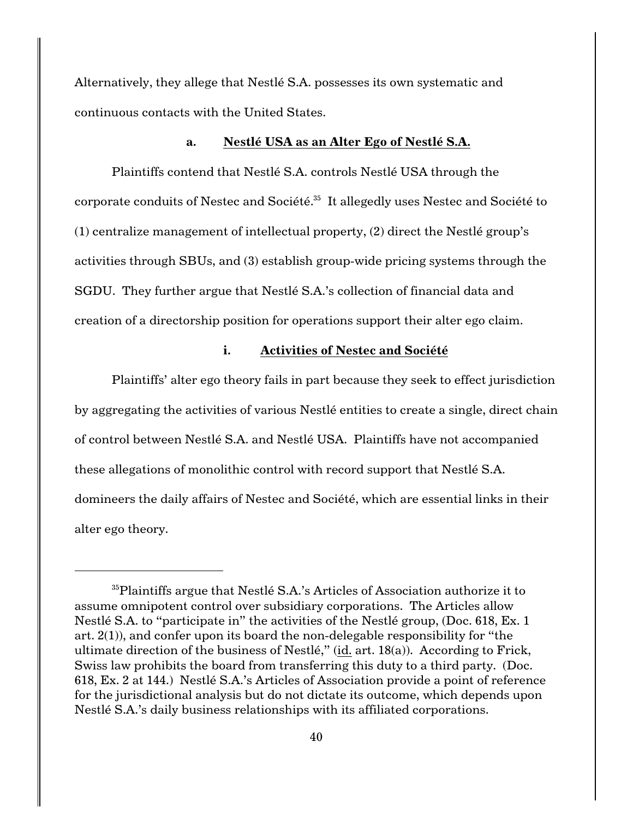Alternatively, they allege that Nestlé S.A. possesses its own systematic and continuous contacts with the United States.

### **a. Nestlé USA as an Alter Ego of Nestlé S.A.**

Plaintiffs contend that Nestlé S.A. controls Nestlé USA through the corporate conduits of Nestec and Société.<sup>35</sup> It allegedly uses Nestec and Société to (1) centralize management of intellectual property, (2) direct the Nestlé group's activities through SBUs, and (3) establish group-wide pricing systems through the SGDU. They further argue that Nestlé S.A.'s collection of financial data and creation of a directorship position for operations support their alter ego claim.

# **i. Activities of Nestec and Société**

Plaintiffs' alter ego theory fails in part because they seek to effect jurisdiction by aggregating the activities of various Nestlé entities to create a single, direct chain of control between Nestlé S.A. and Nestlé USA. Plaintiffs have not accompanied these allegations of monolithic control with record support that Nestlé S.A. domineers the daily affairs of Nestec and Société, which are essential links in their alter ego theory.

 ${}^{35}$ Plaintiffs argue that Nestlé S.A.'s Articles of Association authorize it to assume omnipotent control over subsidiary corporations. The Articles allow Nestlé S.A. to "participate in" the activities of the Nestlé group, (Doc. 618, Ex. 1 art. 2(1)), and confer upon its board the non-delegable responsibility for "the ultimate direction of the business of Nestlé," (id. art. 18(a)). According to Frick, Swiss law prohibits the board from transferring this duty to a third party. (Doc. 618, Ex. 2 at 144.) Nestlé S.A.'s Articles of Association provide a point of reference for the jurisdictional analysis but do not dictate its outcome, which depends upon Nestlé S.A.'s daily business relationships with its affiliated corporations.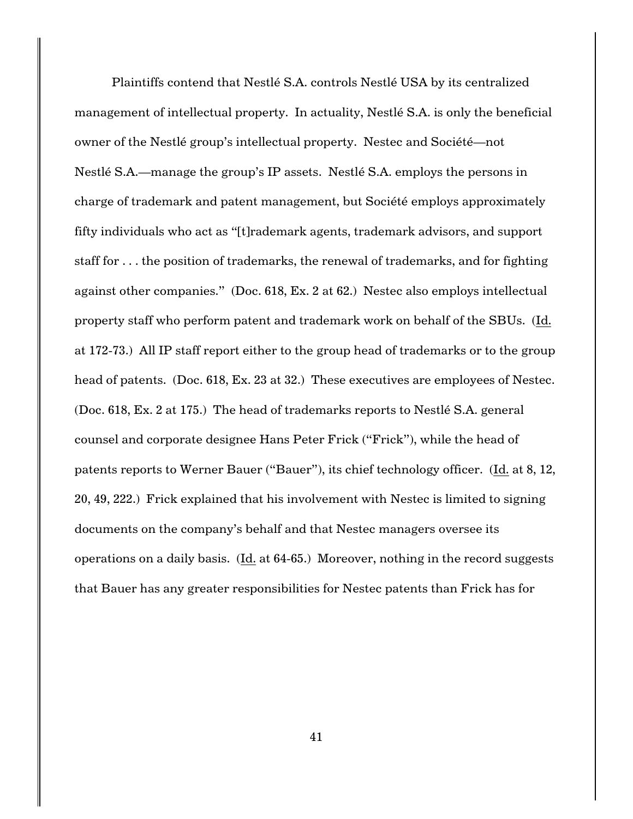Plaintiffs contend that Nestlé S.A. controls Nestlé USA by its centralized management of intellectual property. In actuality, Nestlé S.A. is only the beneficial owner of the Nestlé group's intellectual property. Nestec and Société—not Nestlé S.A.—manage the group's IP assets. Nestlé S.A. employs the persons in charge of trademark and patent management, but Société employs approximately fifty individuals who act as "[t]rademark agents, trademark advisors, and support staff for . . . the position of trademarks, the renewal of trademarks, and for fighting against other companies." (Doc. 618, Ex. 2 at 62.) Nestec also employs intellectual property staff who perform patent and trademark work on behalf of the SBUs. (Id. at 172-73.) All IP staff report either to the group head of trademarks or to the group head of patents. (Doc. 618, Ex. 23 at 32.) These executives are employees of Nestec. (Doc. 618, Ex. 2 at 175.) The head of trademarks reports to Nestlé S.A. general counsel and corporate designee Hans Peter Frick ("Frick"), while the head of patents reports to Werner Bauer ("Bauer"), its chief technology officer. (Id. at 8, 12, 20, 49, 222.) Frick explained that his involvement with Nestec is limited to signing documents on the company's behalf and that Nestec managers oversee its operations on a daily basis. (Id. at 64-65.) Moreover, nothing in the record suggests that Bauer has any greater responsibilities for Nestec patents than Frick has for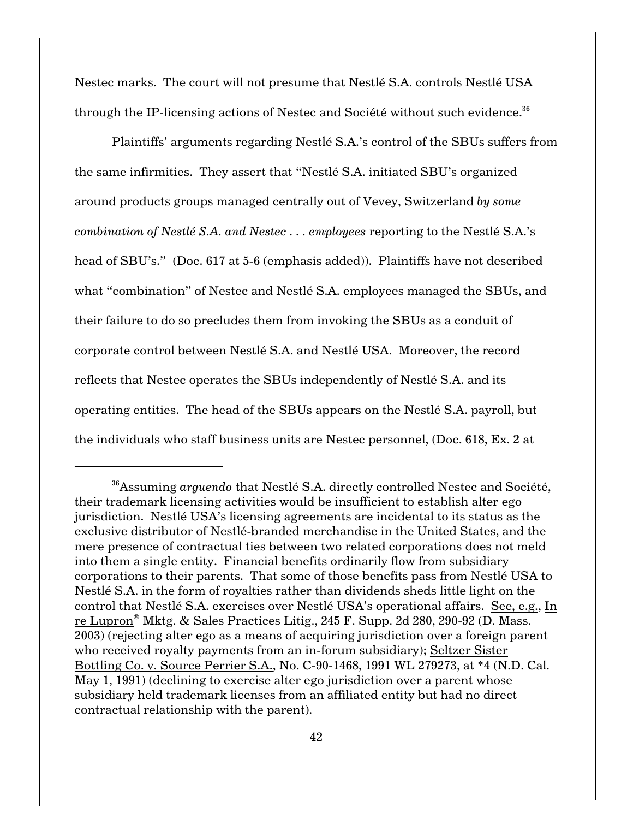Nestec marks. The court will not presume that Nestlé S.A. controls Nestlé USA through the IP-licensing actions of Nestec and Société without such evidence.<sup>36</sup>

Plaintiffs' arguments regarding Nestlé S.A.'s control of the SBUs suffers from the same infirmities. They assert that "Nestlé S.A. initiated SBU's organized around products groups managed centrally out of Vevey, Switzerland *by some combination of Nestlé S.A. and Nestec . . . employees* reporting to the Nestlé S.A.'s head of SBU's." (Doc. 617 at 5-6 (emphasis added)). Plaintiffs have not described what "combination" of Nestec and Nestlé S.A. employees managed the SBUs, and their failure to do so precludes them from invoking the SBUs as a conduit of corporate control between Nestlé S.A. and Nestlé USA. Moreover, the record reflects that Nestec operates the SBUs independently of Nestlé S.A. and its operating entities. The head of the SBUs appears on the Nestlé S.A. payroll, but the individuals who staff business units are Nestec personnel, (Doc. 618, Ex. 2 at

<sup>&</sup>lt;sup>36</sup> Assuming *arguendo* that Nestlé S.A. directly controlled Nestec and Société, their trademark licensing activities would be insufficient to establish alter ego jurisdiction. Nestlé USA's licensing agreements are incidental to its status as the exclusive distributor of Nestlé-branded merchandise in the United States, and the mere presence of contractual ties between two related corporations does not meld into them a single entity. Financial benefits ordinarily flow from subsidiary corporations to their parents. That some of those benefits pass from Nestlé USA to Nestlé S.A. in the form of royalties rather than dividends sheds little light on the control that Nestlé S.A. exercises over Nestlé USA's operational affairs. See, e.g., In re Lupron<sup>®</sup> Mktg. & Sales Practices Litig., 245 F. Supp. 2d 280, 290-92 (D. Mass. 2003) (rejecting alter ego as a means of acquiring jurisdiction over a foreign parent who received royalty payments from an in-forum subsidiary); Seltzer Sister Bottling Co. v. Source Perrier S.A., No. C-90-1468, 1991 WL 279273, at \*4 (N.D. Cal. May 1, 1991) (declining to exercise alter ego jurisdiction over a parent whose subsidiary held trademark licenses from an affiliated entity but had no direct contractual relationship with the parent).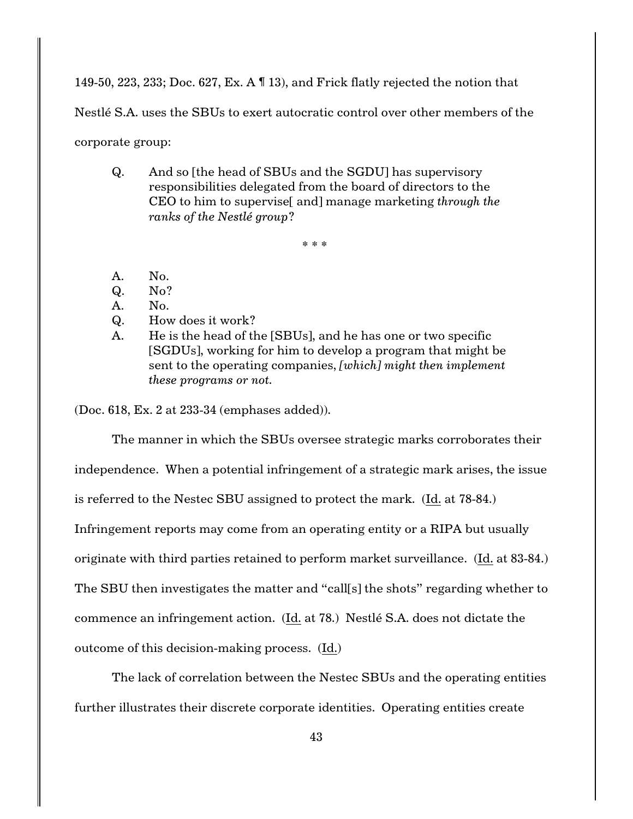149-50, 223, 233; Doc. 627, Ex. A ¶ 13), and Frick flatly rejected the notion that

Nestlé S.A. uses the SBUs to exert autocratic control over other members of the

corporate group:

Q. And so [the head of SBUs and the SGDU] has supervisory responsibilities delegated from the board of directors to the CEO to him to supervise[ and] manage marketing *through the ranks of the Nestlé group*?

\* \* \*

- A. No.
- Q. No?
- A. No.
- Q. How does it work?
- A. He is the head of the [SBUs], and he has one or two specific [SGDUs], working for him to develop a program that might be sent to the operating companies, *[which] might then implement these programs or not.*

(Doc. 618, Ex. 2 at 233-34 (emphases added)).

The manner in which the SBUs oversee strategic marks corroborates their independence. When a potential infringement of a strategic mark arises, the issue is referred to the Nestec SBU assigned to protect the mark. (Id. at 78-84.) Infringement reports may come from an operating entity or a RIPA but usually originate with third parties retained to perform market surveillance. (Id. at 83-84.) The SBU then investigates the matter and "call[s] the shots" regarding whether to commence an infringement action. (Id. at 78.) Nestlé S.A. does not dictate the outcome of this decision-making process. (Id.)

The lack of correlation between the Nestec SBUs and the operating entities further illustrates their discrete corporate identities. Operating entities create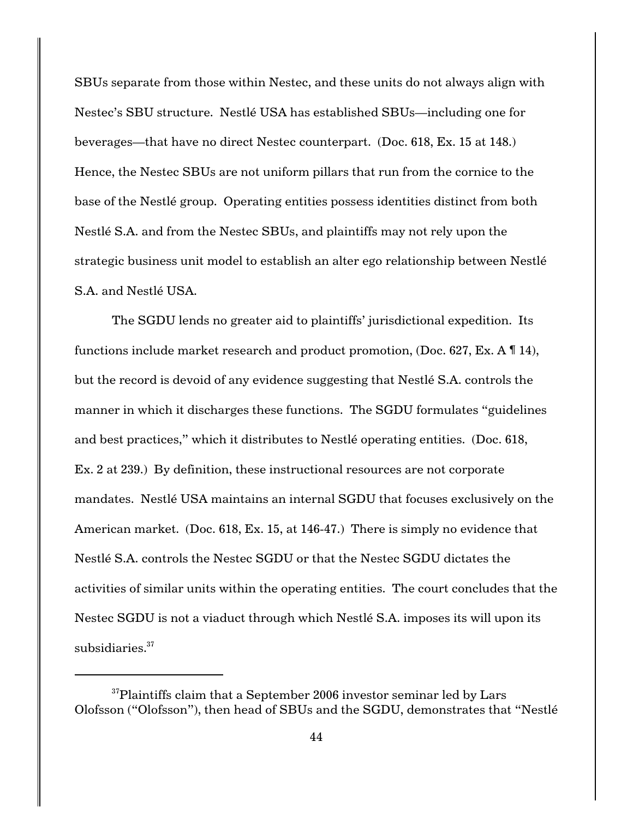SBUs separate from those within Nestec, and these units do not always align with Nestec's SBU structure. Nestlé USA has established SBUs—including one for beverages—that have no direct Nestec counterpart. (Doc. 618, Ex. 15 at 148.) Hence, the Nestec SBUs are not uniform pillars that run from the cornice to the base of the Nestlé group. Operating entities possess identities distinct from both Nestlé S.A. and from the Nestec SBUs, and plaintiffs may not rely upon the strategic business unit model to establish an alter ego relationship between Nestlé S.A. and Nestlé USA.

The SGDU lends no greater aid to plaintiffs' jurisdictional expedition. Its functions include market research and product promotion, (Doc. 627, Ex. A ¶ 14), but the record is devoid of any evidence suggesting that Nestlé S.A. controls the manner in which it discharges these functions. The SGDU formulates "guidelines and best practices," which it distributes to Nestlé operating entities. (Doc. 618, Ex. 2 at 239.) By definition, these instructional resources are not corporate mandates. Nestlé USA maintains an internal SGDU that focuses exclusively on the American market. (Doc. 618, Ex. 15, at 146-47.) There is simply no evidence that Nestlé S.A. controls the Nestec SGDU or that the Nestec SGDU dictates the activities of similar units within the operating entities. The court concludes that the Nestec SGDU is not a viaduct through which Nestlé S.A. imposes its will upon its subsidiaries.<sup>37</sup>

 $37$ Plaintiffs claim that a September 2006 investor seminar led by Lars Olofsson ("Olofsson"), then head of SBUs and the SGDU, demonstrates that "Nestlé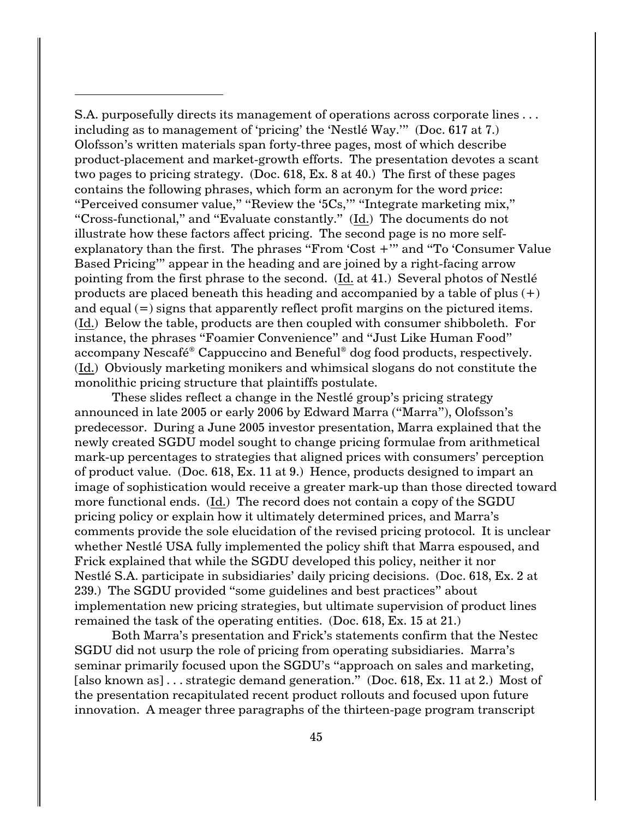S.A. purposefully directs its management of operations across corporate lines . . . including as to management of 'pricing' the 'Nestlé Way.'" (Doc. 617 at 7.) Olofsson's written materials span forty-three pages, most of which describe product-placement and market-growth efforts. The presentation devotes a scant two pages to pricing strategy. (Doc. 618, Ex. 8 at 40.) The first of these pages contains the following phrases, which form an acronym for the word *price*: "Perceived consumer value," "Review the '5Cs,'" "Integrate marketing mix," "Cross-functional," and "Evaluate constantly." (Id.) The documents do not illustrate how these factors affect pricing. The second page is no more selfexplanatory than the first. The phrases "From 'Cost +'" and "To 'Consumer Value Based Pricing'" appear in the heading and are joined by a right-facing arrow pointing from the first phrase to the second. (Id. at 41.) Several photos of Nestlé products are placed beneath this heading and accompanied by a table of plus  $(+)$ and equal  $(=)$  signs that apparently reflect profit margins on the pictured items. (Id.) Below the table, products are then coupled with consumer shibboleth. For instance, the phrases "Foamier Convenience" and "Just Like Human Food" accompany Nescafé<sup>®</sup> Cappuccino and Beneful<sup>®</sup> dog food products, respectively. (Id.) Obviously marketing monikers and whimsical slogans do not constitute the monolithic pricing structure that plaintiffs postulate.

These slides reflect a change in the Nestlé group's pricing strategy announced in late 2005 or early 2006 by Edward Marra ("Marra"), Olofsson's predecessor. During a June 2005 investor presentation, Marra explained that the newly created SGDU model sought to change pricing formulae from arithmetical mark-up percentages to strategies that aligned prices with consumers' perception of product value. (Doc. 618, Ex. 11 at 9.) Hence, products designed to impart an image of sophistication would receive a greater mark-up than those directed toward more functional ends. (Id.) The record does not contain a copy of the SGDU pricing policy or explain how it ultimately determined prices, and Marra's comments provide the sole elucidation of the revised pricing protocol. It is unclear whether Nestlé USA fully implemented the policy shift that Marra espoused, and Frick explained that while the SGDU developed this policy, neither it nor Nestlé S.A. participate in subsidiaries' daily pricing decisions. (Doc. 618, Ex. 2 at 239.) The SGDU provided "some guidelines and best practices" about implementation new pricing strategies, but ultimate supervision of product lines remained the task of the operating entities. (Doc. 618, Ex. 15 at 21.)

Both Marra's presentation and Frick's statements confirm that the Nestec SGDU did not usurp the role of pricing from operating subsidiaries. Marra's seminar primarily focused upon the SGDU's "approach on sales and marketing, [also known as] . . . strategic demand generation." (Doc. 618, Ex. 11 at 2.) Most of the presentation recapitulated recent product rollouts and focused upon future innovation. A meager three paragraphs of the thirteen-page program transcript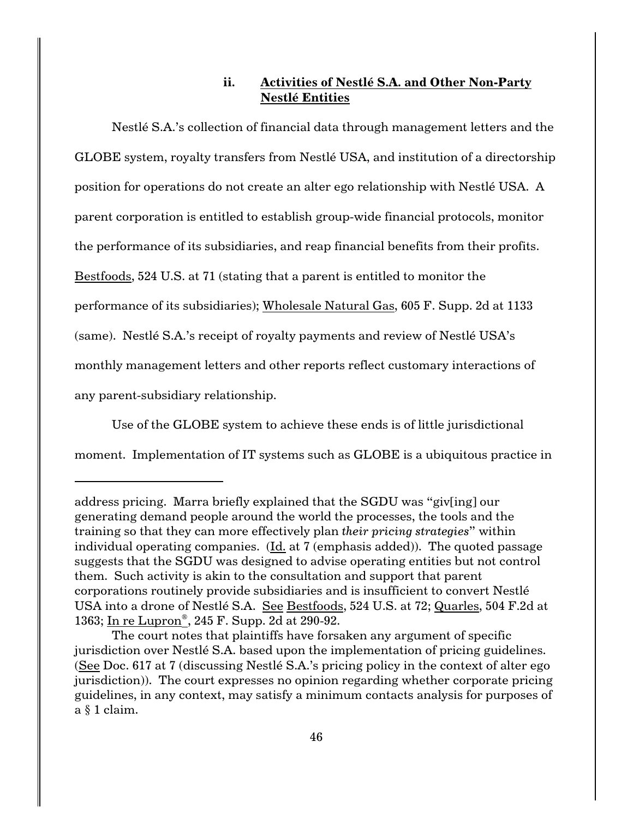# **ii. Activities of Nestlé S.A. and Other Non-Party Nestlé Entities**

Nestlé S.A.'s collection of financial data through management letters and the GLOBE system, royalty transfers from Nestlé USA, and institution of a directorship position for operations do not create an alter ego relationship with Nestlé USA. A parent corporation is entitled to establish group-wide financial protocols, monitor the performance of its subsidiaries, and reap financial benefits from their profits. Bestfoods, 524 U.S. at 71 (stating that a parent is entitled to monitor the performance of its subsidiaries); Wholesale Natural Gas, 605 F. Supp. 2d at 1133 (same). Nestlé S.A.'s receipt of royalty payments and review of Nestlé USA's monthly management letters and other reports reflect customary interactions of any parent-subsidiary relationship.

Use of the GLOBE system to achieve these ends is of little jurisdictional moment. Implementation of IT systems such as GLOBE is a ubiquitous practice in

address pricing. Marra briefly explained that the SGDU was "giv[ing] our generating demand people around the world the processes, the tools and the training so that they can more effectively plan *their pricing strategies*" within individual operating companies. (Id. at 7 (emphasis added)). The quoted passage suggests that the SGDU was designed to advise operating entities but not control them. Such activity is akin to the consultation and support that parent corporations routinely provide subsidiaries and is insufficient to convert Nestlé USA into a drone of Nestlé S.A. See Bestfoods, 524 U.S. at 72; Quarles, 504 F.2d at 1363; In re Lupron<sup>®</sup>, 245 F. Supp. 2d at 290-92.

The court notes that plaintiffs have forsaken any argument of specific jurisdiction over Nestlé S.A. based upon the implementation of pricing guidelines. (See Doc. 617 at 7 (discussing Nestlé S.A.'s pricing policy in the context of alter ego jurisdiction)). The court expresses no opinion regarding whether corporate pricing guidelines, in any context, may satisfy a minimum contacts analysis for purposes of a § 1 claim.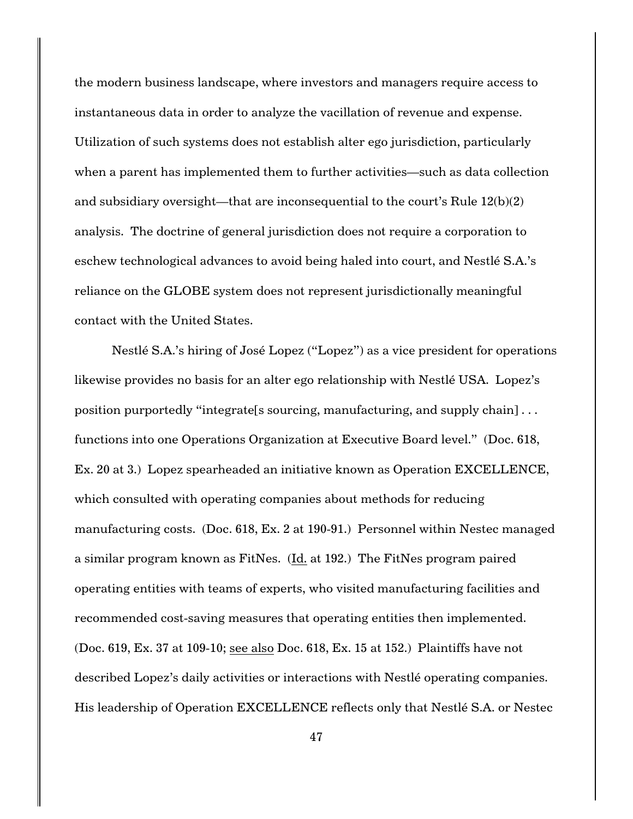the modern business landscape, where investors and managers require access to instantaneous data in order to analyze the vacillation of revenue and expense. Utilization of such systems does not establish alter ego jurisdiction, particularly when a parent has implemented them to further activities—such as data collection and subsidiary oversight—that are inconsequential to the court's Rule 12(b)(2) analysis. The doctrine of general jurisdiction does not require a corporation to eschew technological advances to avoid being haled into court, and Nestlé S.A.'s reliance on the GLOBE system does not represent jurisdictionally meaningful contact with the United States.

Nestlé S.A.'s hiring of José Lopez ("Lopez") as a vice president for operations likewise provides no basis for an alter ego relationship with Nestlé USA. Lopez's position purportedly "integrate[s sourcing, manufacturing, and supply chain] . . . functions into one Operations Organization at Executive Board level." (Doc. 618, Ex. 20 at 3.) Lopez spearheaded an initiative known as Operation EXCELLENCE, which consulted with operating companies about methods for reducing manufacturing costs. (Doc. 618, Ex. 2 at 190-91.) Personnel within Nestec managed a similar program known as FitNes. (Id. at 192.) The FitNes program paired operating entities with teams of experts, who visited manufacturing facilities and recommended cost-saving measures that operating entities then implemented. (Doc. 619, Ex. 37 at 109-10; see also Doc. 618, Ex. 15 at 152.) Plaintiffs have not described Lopez's daily activities or interactions with Nestlé operating companies. His leadership of Operation EXCELLENCE reflects only that Nestlé S.A. or Nestec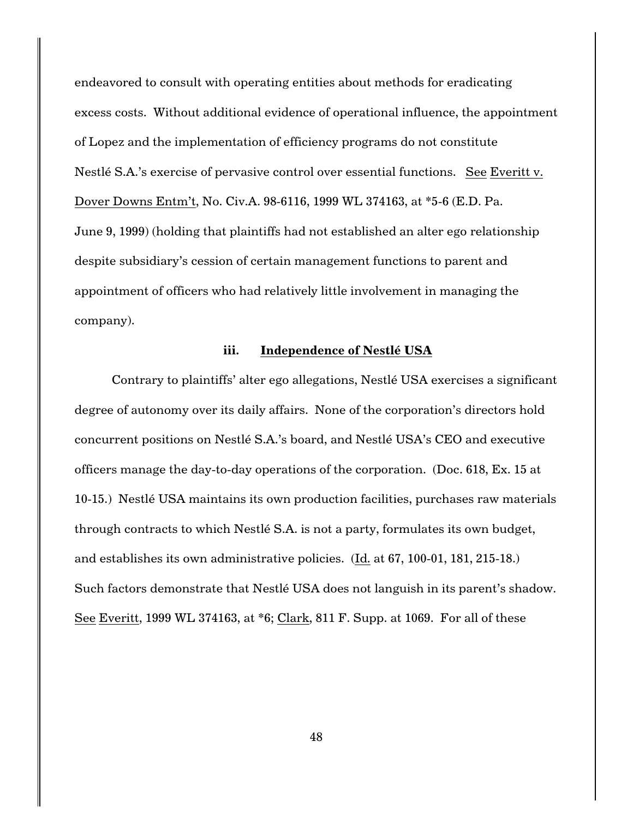endeavored to consult with operating entities about methods for eradicating excess costs. Without additional evidence of operational influence, the appointment of Lopez and the implementation of efficiency programs do not constitute Nestlé S.A.'s exercise of pervasive control over essential functions. See Everitt v. Dover Downs Entm't, No. Civ.A. 98-6116, 1999 WL 374163, at \*5-6 (E.D. Pa. June 9, 1999) (holding that plaintiffs had not established an alter ego relationship despite subsidiary's cession of certain management functions to parent and appointment of officers who had relatively little involvement in managing the company).

#### **iii. Independence of Nestlé USA**

Contrary to plaintiffs' alter ego allegations, Nestlé USA exercises a significant degree of autonomy over its daily affairs. None of the corporation's directors hold concurrent positions on Nestlé S.A.'s board, and Nestlé USA's CEO and executive officers manage the day-to-day operations of the corporation. (Doc. 618, Ex. 15 at 10-15.) Nestlé USA maintains its own production facilities, purchases raw materials through contracts to which Nestlé S.A. is not a party, formulates its own budget, and establishes its own administrative policies. (Id. at 67, 100-01, 181, 215-18.) Such factors demonstrate that Nestlé USA does not languish in its parent's shadow. See Everitt, 1999 WL 374163, at \*6; Clark, 811 F. Supp. at 1069. For all of these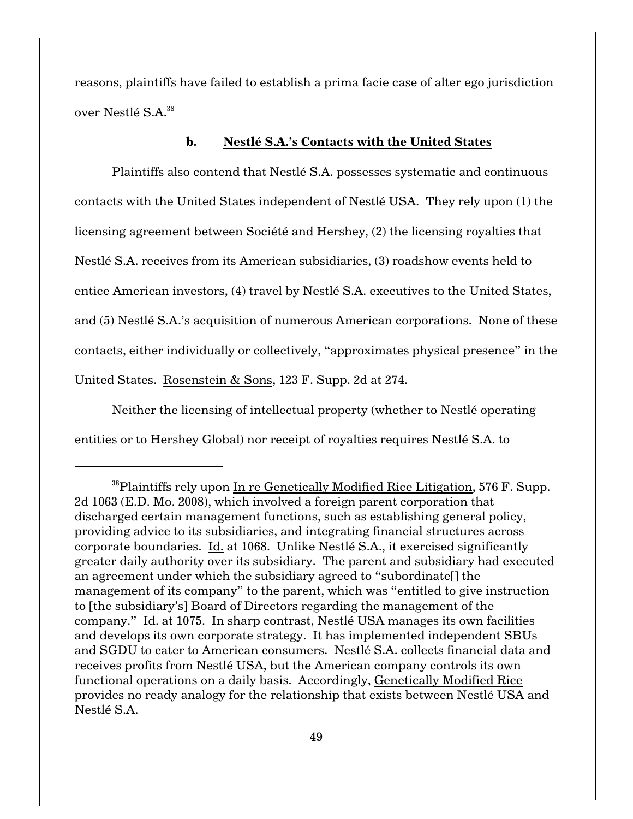reasons, plaintiffs have failed to establish a prima facie case of alter ego jurisdiction over Nestlé S.A.<sup>38</sup>

# **b. Nestlé S.A.'s Contacts with the United States**

Plaintiffs also contend that Nestlé S.A. possesses systematic and continuous contacts with the United States independent of Nestlé USA. They rely upon (1) the licensing agreement between Société and Hershey, (2) the licensing royalties that Nestlé S.A. receives from its American subsidiaries, (3) roadshow events held to entice American investors, (4) travel by Nestlé S.A. executives to the United States, and (5) Nestlé S.A.'s acquisition of numerous American corporations. None of these contacts, either individually or collectively, "approximates physical presence" in the United States. Rosenstein & Sons, 123 F. Supp. 2d at 274.

Neither the licensing of intellectual property (whether to Nestlé operating entities or to Hershey Global) nor receipt of royalties requires Nestlé S.A. to

 $38$ Plaintiffs rely upon In re Genetically Modified Rice Litigation, 576 F. Supp. 2d 1063 (E.D. Mo. 2008), which involved a foreign parent corporation that discharged certain management functions, such as establishing general policy, providing advice to its subsidiaries, and integrating financial structures across corporate boundaries. Id. at 1068. Unlike Nestlé S.A., it exercised significantly greater daily authority over its subsidiary. The parent and subsidiary had executed an agreement under which the subsidiary agreed to "subordinate[] the management of its company" to the parent, which was "entitled to give instruction to [the subsidiary's] Board of Directors regarding the management of the company." Id. at 1075. In sharp contrast, Nestlé USA manages its own facilities and develops its own corporate strategy. It has implemented independent SBUs and SGDU to cater to American consumers. Nestlé S.A. collects financial data and receives profits from Nestlé USA, but the American company controls its own functional operations on a daily basis. Accordingly, Genetically Modified Rice provides no ready analogy for the relationship that exists between Nestlé USA and Nestlé S.A.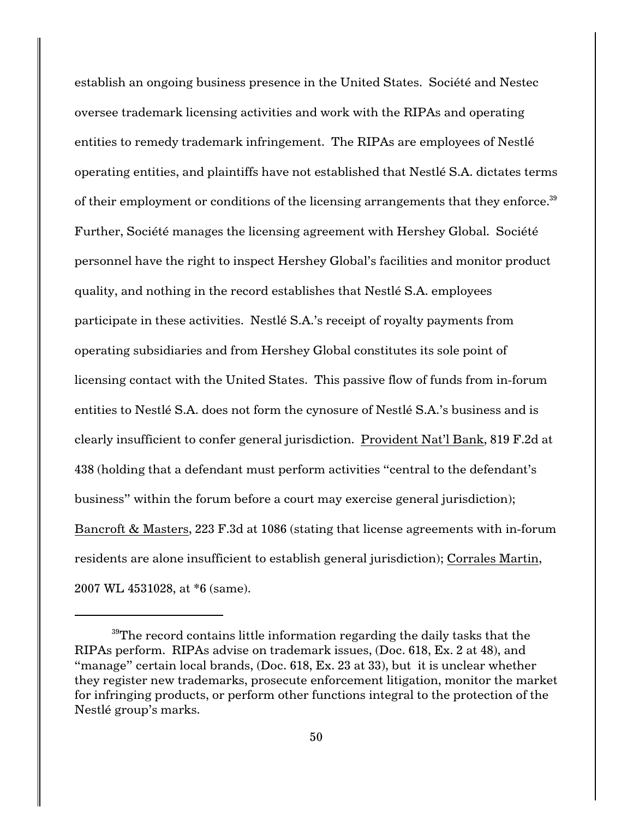establish an ongoing business presence in the United States. Société and Nestec oversee trademark licensing activities and work with the RIPAs and operating entities to remedy trademark infringement. The RIPAs are employees of Nestlé operating entities, and plaintiffs have not established that Nestlé S.A. dictates terms of their employment or conditions of the licensing arrangements that they enforce.<sup>39</sup> Further, Société manages the licensing agreement with Hershey Global. Société personnel have the right to inspect Hershey Global's facilities and monitor product quality, and nothing in the record establishes that Nestlé S.A. employees participate in these activities. Nestlé S.A.'s receipt of royalty payments from operating subsidiaries and from Hershey Global constitutes its sole point of licensing contact with the United States. This passive flow of funds from in-forum entities to Nestlé S.A. does not form the cynosure of Nestlé S.A.'s business and is clearly insufficient to confer general jurisdiction. Provident Nat'l Bank, 819 F.2d at 438 (holding that a defendant must perform activities "central to the defendant's business" within the forum before a court may exercise general jurisdiction); Bancroft & Masters, 223 F.3d at 1086 (stating that license agreements with in-forum residents are alone insufficient to establish general jurisdiction); Corrales Martin, 2007 WL 4531028, at \*6 (same).

 $39$ The record contains little information regarding the daily tasks that the RIPAs perform. RIPAs advise on trademark issues, (Doc. 618, Ex. 2 at 48), and "manage" certain local brands, (Doc. 618, Ex. 23 at 33), but it is unclear whether they register new trademarks, prosecute enforcement litigation, monitor the market for infringing products, or perform other functions integral to the protection of the Nestlé group's marks.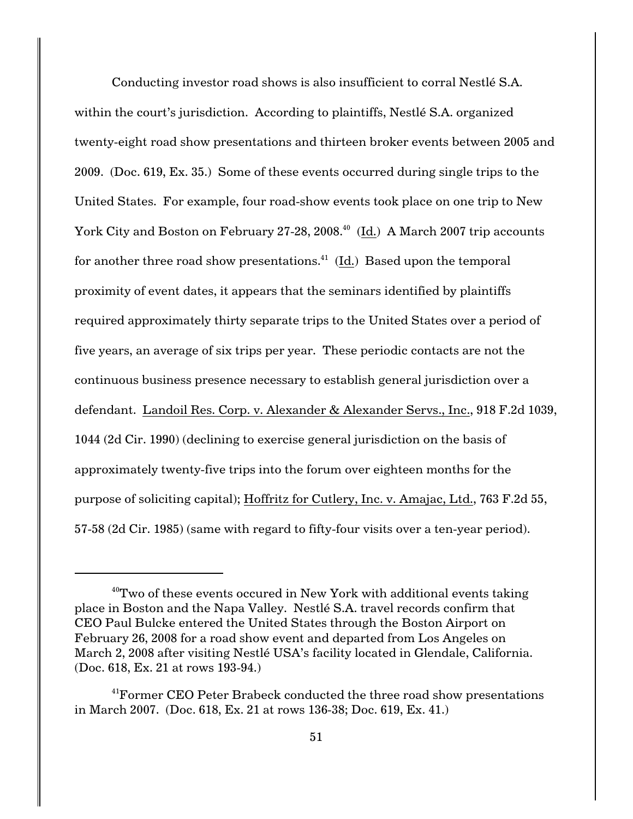Conducting investor road shows is also insufficient to corral Nestlé S.A. within the court's jurisdiction. According to plaintiffs, Nestlé S.A. organized twenty-eight road show presentations and thirteen broker events between 2005 and 2009. (Doc. 619, Ex. 35.) Some of these events occurred during single trips to the United States. For example, four road-show events took place on one trip to New York City and Boston on February 27-28, 2008.<sup>40</sup> (Id.) A March 2007 trip accounts for another three road show presentations.<sup>41</sup> (Id.) Based upon the temporal proximity of event dates, it appears that the seminars identified by plaintiffs required approximately thirty separate trips to the United States over a period of five years, an average of six trips per year. These periodic contacts are not the continuous business presence necessary to establish general jurisdiction over a defendant. Landoil Res. Corp. v. Alexander & Alexander Servs., Inc., 918 F.2d 1039, 1044 (2d Cir. 1990) (declining to exercise general jurisdiction on the basis of approximately twenty-five trips into the forum over eighteen months for the purpose of soliciting capital); Hoffritz for Cutlery, Inc. v. Amajac, Ltd., 763 F.2d 55, 57-58 (2d Cir. 1985) (same with regard to fifty-four visits over a ten-year period).

 $40$ <sup>w</sup> Two of these events occured in New York with additional events taking place in Boston and the Napa Valley. Nestlé S.A. travel records confirm that CEO Paul Bulcke entered the United States through the Boston Airport on February 26, 2008 for a road show event and departed from Los Angeles on March 2, 2008 after visiting Nestlé USA's facility located in Glendale, California. (Doc. 618, Ex. 21 at rows 193-94.)

<sup>&</sup>lt;sup>41</sup> Former CEO Peter Brabeck conducted the three road show presentations in March 2007. (Doc. 618, Ex. 21 at rows 136-38; Doc. 619, Ex. 41.)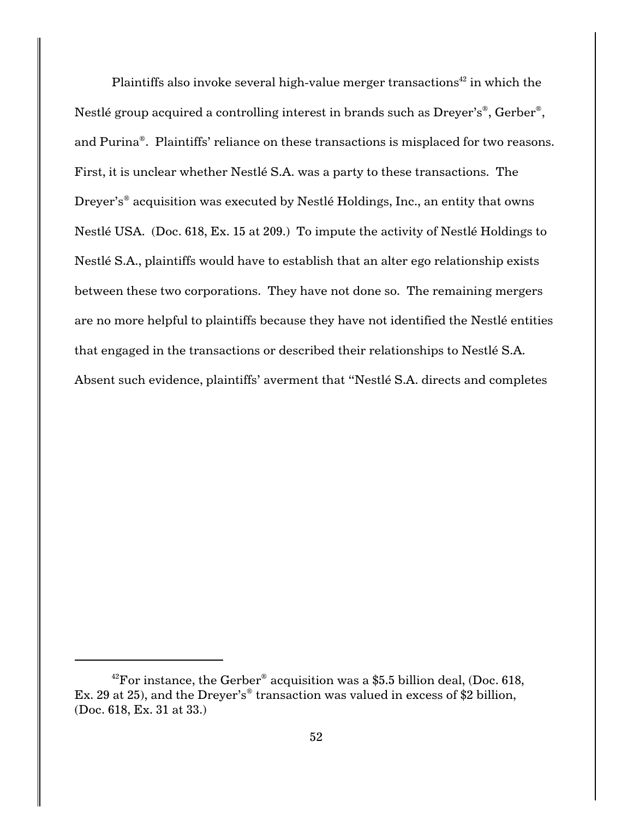Plaintiffs also invoke several high-value merger transactions<sup>42</sup> in which the Nestlé group acquired a controlling interest in brands such as  $Dreyer's<sup>®</sup>$ , Gerber<sup>®</sup>, and Purina®. Plaintiffs' reliance on these transactions is misplaced for two reasons. First, it is unclear whether Nestlé S.A. was a party to these transactions. The Dreyer's<sup>®</sup> acquisition was executed by Nestlé Holdings, Inc., an entity that owns Nestlé USA. (Doc. 618, Ex. 15 at 209.) To impute the activity of Nestlé Holdings to Nestlé S.A., plaintiffs would have to establish that an alter ego relationship exists between these two corporations. They have not done so. The remaining mergers are no more helpful to plaintiffs because they have not identified the Nestlé entities that engaged in the transactions or described their relationships to Nestlé S.A. Absent such evidence, plaintiffs' averment that "Nestlé S.A. directs and completes

<sup>&</sup>lt;sup>42</sup>For instance, the Gerber<sup>®</sup> acquisition was a \$5.5 billion deal, (Doc. 618, Ex. 29 at 25), and the Dreyer's<sup>®</sup> transaction was valued in excess of \$2 billion, (Doc. 618, Ex. 31 at 33.)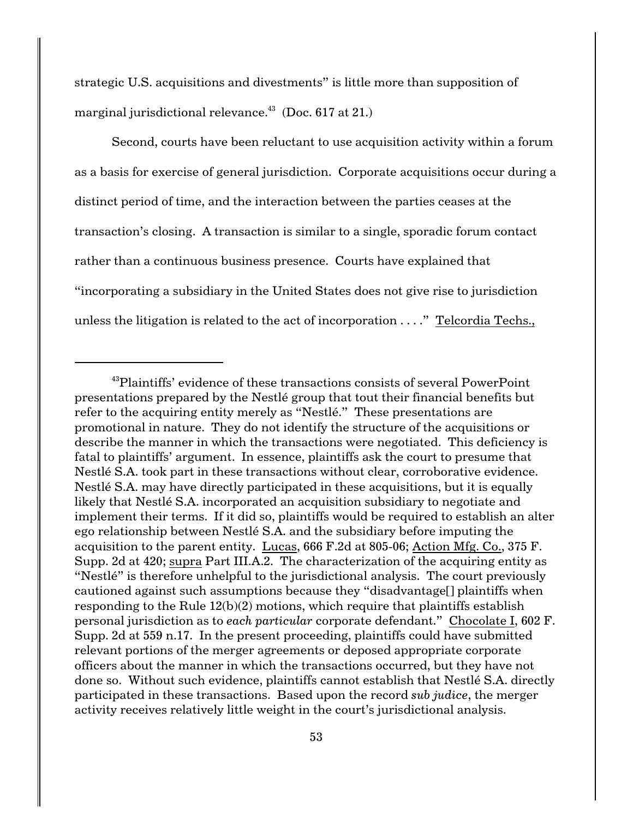strategic U.S. acquisitions and divestments" is little more than supposition of marginal jurisdictional relevance. $43$  (Doc. 617 at 21.)

Second, courts have been reluctant to use acquisition activity within a forum as a basis for exercise of general jurisdiction. Corporate acquisitions occur during a distinct period of time, and the interaction between the parties ceases at the transaction's closing. A transaction is similar to a single, sporadic forum contact rather than a continuous business presence. Courts have explained that "incorporating a subsidiary in the United States does not give rise to jurisdiction unless the litigation is related to the act of incorporation . . . ." Telcordia Techs.,

<sup>&</sup>lt;sup>43</sup>Plaintiffs' evidence of these transactions consists of several PowerPoint presentations prepared by the Nestlé group that tout their financial benefits but refer to the acquiring entity merely as "Nestlé." These presentations are promotional in nature. They do not identify the structure of the acquisitions or describe the manner in which the transactions were negotiated. This deficiency is fatal to plaintiffs' argument. In essence, plaintiffs ask the court to presume that Nestlé S.A. took part in these transactions without clear, corroborative evidence. Nestlé S.A. may have directly participated in these acquisitions, but it is equally likely that Nestlé S.A. incorporated an acquisition subsidiary to negotiate and implement their terms. If it did so, plaintiffs would be required to establish an alter ego relationship between Nestlé S.A. and the subsidiary before imputing the acquisition to the parent entity. Lucas, 666 F.2d at 805-06; Action Mfg. Co., 375 F. Supp. 2d at 420; supra Part III.A.2. The characterization of the acquiring entity as "Nestlé" is therefore unhelpful to the jurisdictional analysis. The court previously cautioned against such assumptions because they "disadvantage[] plaintiffs when responding to the Rule 12(b)(2) motions, which require that plaintiffs establish personal jurisdiction as to *each particular* corporate defendant." Chocolate I, 602 F. Supp. 2d at 559 n.17. In the present proceeding, plaintiffs could have submitted relevant portions of the merger agreements or deposed appropriate corporate officers about the manner in which the transactions occurred, but they have not done so. Without such evidence, plaintiffs cannot establish that Nestlé S.A. directly participated in these transactions. Based upon the record *sub judice*, the merger activity receives relatively little weight in the court's jurisdictional analysis.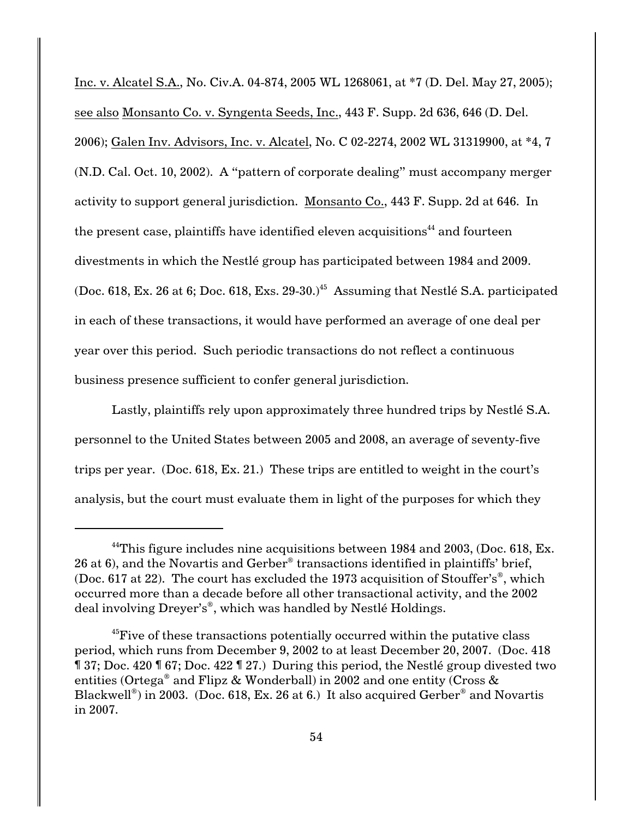Inc. v. Alcatel S.A., No. Civ.A. 04-874, 2005 WL 1268061, at \*7 (D. Del. May 27, 2005); see also Monsanto Co. v. Syngenta Seeds, Inc., 443 F. Supp. 2d 636, 646 (D. Del. 2006); Galen Inv. Advisors, Inc. v. Alcatel, No. C 02-2274, 2002 WL 31319900, at \*4, 7 (N.D. Cal. Oct. 10, 2002). A "pattern of corporate dealing" must accompany merger activity to support general jurisdiction. Monsanto Co., 443 F. Supp. 2d at 646. In the present case, plaintiffs have identified eleven acquisitions<sup> $44$ </sup> and fourteen divestments in which the Nestlé group has participated between 1984 and 2009. (Doc. 618, Ex. 26 at 6; Doc. 618, Exs. 29-30.)<sup> $45$ </sup> Assuming that Nestlé S.A. participated in each of these transactions, it would have performed an average of one deal per year over this period. Such periodic transactions do not reflect a continuous business presence sufficient to confer general jurisdiction.

Lastly, plaintiffs rely upon approximately three hundred trips by Nestlé S.A. personnel to the United States between 2005 and 2008, an average of seventy-five trips per year. (Doc. 618, Ex. 21.) These trips are entitled to weight in the court's analysis, but the court must evaluate them in light of the purposes for which they

<sup>&</sup>lt;sup>44</sup>This figure includes nine acquisitions between 1984 and 2003, (Doc. 618, Ex. 26 at 6), and the Novartis and Gerber<sup>®</sup> transactions identified in plaintiffs' brief, (Doc. 617 at 22). The court has excluded the 1973 acquisition of Stouffer's<sup>®</sup>, which occurred more than a decade before all other transactional activity, and the 2002 deal involving Dreyer's<sup>®</sup>, which was handled by Nestlé Holdings.

<sup>&</sup>lt;sup>45</sup> Five of these transactions potentially occurred within the putative class period, which runs from December 9, 2002 to at least December 20, 2007. (Doc. 418 ¶ 37; Doc. 420 ¶ 67; Doc. 422 ¶ 27.) During this period, the Nestlé group divested two entities (Ortega<sup>®</sup> and Flipz & Wonderball) in 2002 and one entity (Cross & Blackwell<sup>®</sup>) in 2003. (Doc. 618, Ex. 26 at 6.) It also acquired Gerber<sup>®</sup> and Novartis in 2007.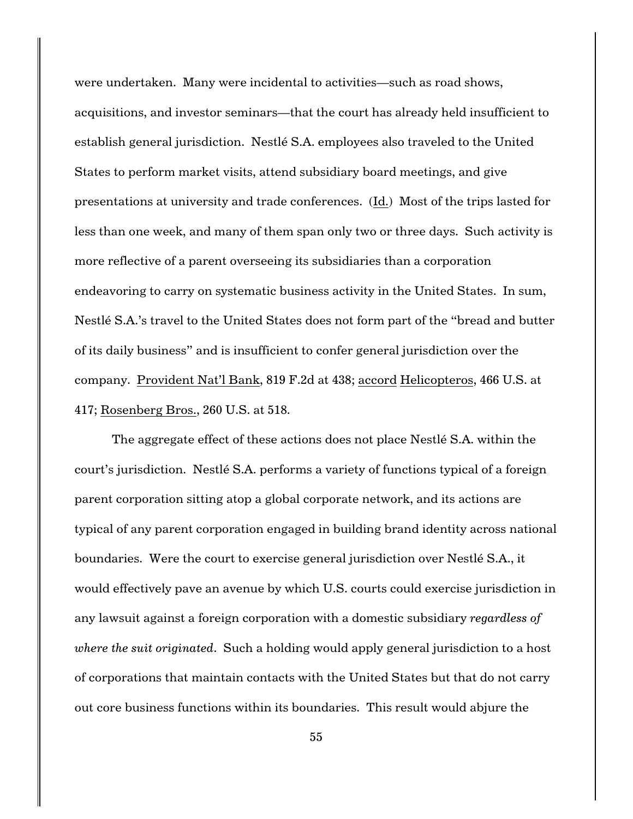were undertaken. Many were incidental to activities—such as road shows, acquisitions, and investor seminars—that the court has already held insufficient to establish general jurisdiction. Nestlé S.A. employees also traveled to the United States to perform market visits, attend subsidiary board meetings, and give presentations at university and trade conferences. (Id.) Most of the trips lasted for less than one week, and many of them span only two or three days. Such activity is more reflective of a parent overseeing its subsidiaries than a corporation endeavoring to carry on systematic business activity in the United States. In sum, Nestlé S.A.'s travel to the United States does not form part of the "bread and butter of its daily business" and is insufficient to confer general jurisdiction over the company. Provident Nat'l Bank, 819 F.2d at 438; accord Helicopteros, 466 U.S. at 417; Rosenberg Bros., 260 U.S. at 518.

The aggregate effect of these actions does not place Nestlé S.A. within the court's jurisdiction. Nestlé S.A. performs a variety of functions typical of a foreign parent corporation sitting atop a global corporate network, and its actions are typical of any parent corporation engaged in building brand identity across national boundaries. Were the court to exercise general jurisdiction over Nestlé S.A., it would effectively pave an avenue by which U.S. courts could exercise jurisdiction in any lawsuit against a foreign corporation with a domestic subsidiary *regardless of where the suit originated*. Such a holding would apply general jurisdiction to a host of corporations that maintain contacts with the United States but that do not carry out core business functions within its boundaries. This result would abjure the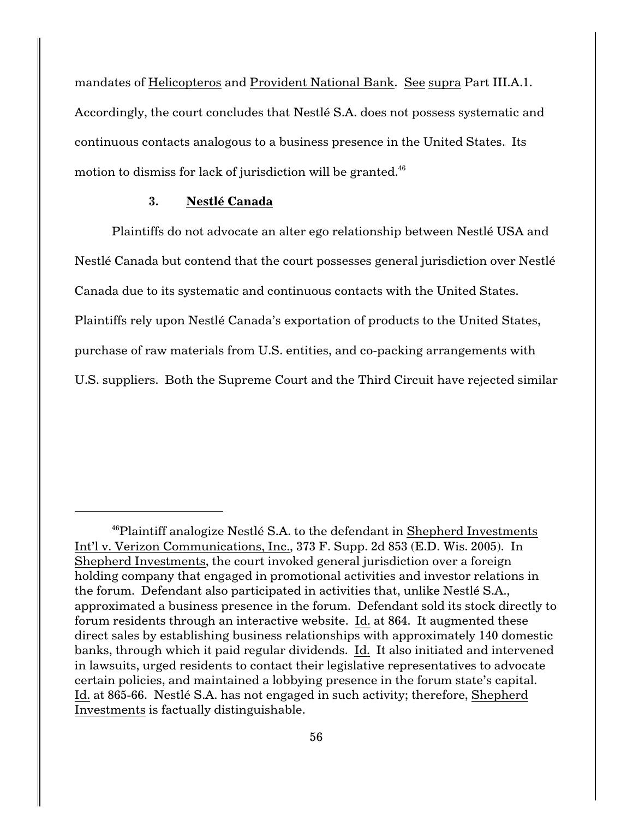mandates of Helicopteros and Provident National Bank. See supra Part III.A.1. Accordingly, the court concludes that Nestlé S.A. does not possess systematic and continuous contacts analogous to a business presence in the United States. Its motion to dismiss for lack of jurisdiction will be granted. $46$ 

### **3. Nestlé Canada**

Plaintiffs do not advocate an alter ego relationship between Nestlé USA and Nestlé Canada but contend that the court possesses general jurisdiction over Nestlé Canada due to its systematic and continuous contacts with the United States. Plaintiffs rely upon Nestlé Canada's exportation of products to the United States, purchase of raw materials from U.S. entities, and co-packing arrangements with U.S. suppliers. Both the Supreme Court and the Third Circuit have rejected similar

<sup>&</sup>lt;sup>46</sup>Plaintiff analogize Nestlé S.A. to the defendant in Shepherd Investments Int'l v. Verizon Communications, Inc., 373 F. Supp. 2d 853 (E.D. Wis. 2005). In Shepherd Investments, the court invoked general jurisdiction over a foreign holding company that engaged in promotional activities and investor relations in the forum. Defendant also participated in activities that, unlike Nestlé S.A., approximated a business presence in the forum. Defendant sold its stock directly to forum residents through an interactive website. Id. at 864. It augmented these direct sales by establishing business relationships with approximately 140 domestic banks, through which it paid regular dividends. Id. It also initiated and intervened in lawsuits, urged residents to contact their legislative representatives to advocate certain policies, and maintained a lobbying presence in the forum state's capital. Id. at 865-66. Nestlé S.A. has not engaged in such activity; therefore, Shepherd Investments is factually distinguishable.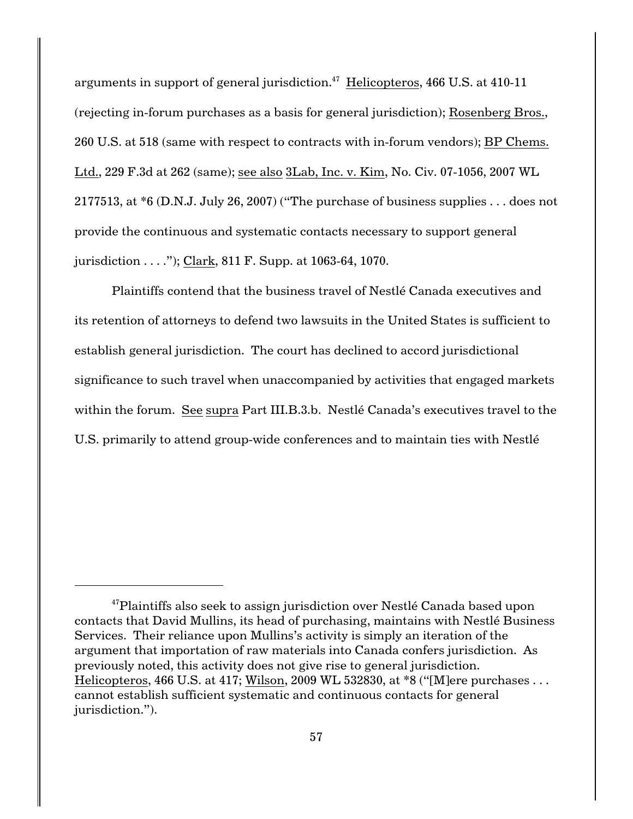arguments in support of general jurisdiction. $47$  Helicopteros, 466 U.S. at 410-11 (rejecting in-forum purchases as a basis for general jurisdiction); Rosenberg Bros., 260 U.S. at 518 (same with respect to contracts with in-forum vendors); BP Chems. Ltd., 229 F.3d at 262 (same); see also 3Lab, Inc. v. Kim, No. Civ. 07-1056, 2007 WL 2177513, at  $*6$  (D.N.J. July 26, 2007) ("The purchase of business supplies ... does not provide the continuous and systematic contacts necessary to support general jurisdiction . . . ."); Clark, 811 F. Supp. at 1063-64, 1070.

Plaintiffs contend that the business travel of Nestlé Canada executives and its retention of attorneys to defend two lawsuits in the United States is sufficient to establish general jurisdiction. The court has declined to accord jurisdictional significance to such travel when unaccompanied by activities that engaged markets within the forum. See supra Part III.B.3.b. Nestlé Canada's executives travel to the U.S. primarily to attend group-wide conferences and to maintain ties with Nestlé

 $47$ Plaintiffs also seek to assign jurisdiction over Nestlé Canada based upon contacts that David Mullins, its head of purchasing, maintains with Nestlé Business Services. Their reliance upon Mullins's activity is simply an iteration of the argument that importation of raw materials into Canada confers jurisdiction. As previously noted, this activity does not give rise to general jurisdiction. Helicopteros, 466 U.S. at 417; Wilson, 2009 WL 532830, at \*8 ("[M]ere purchases . . . cannot establish sufficient systematic and continuous contacts for general jurisdiction.").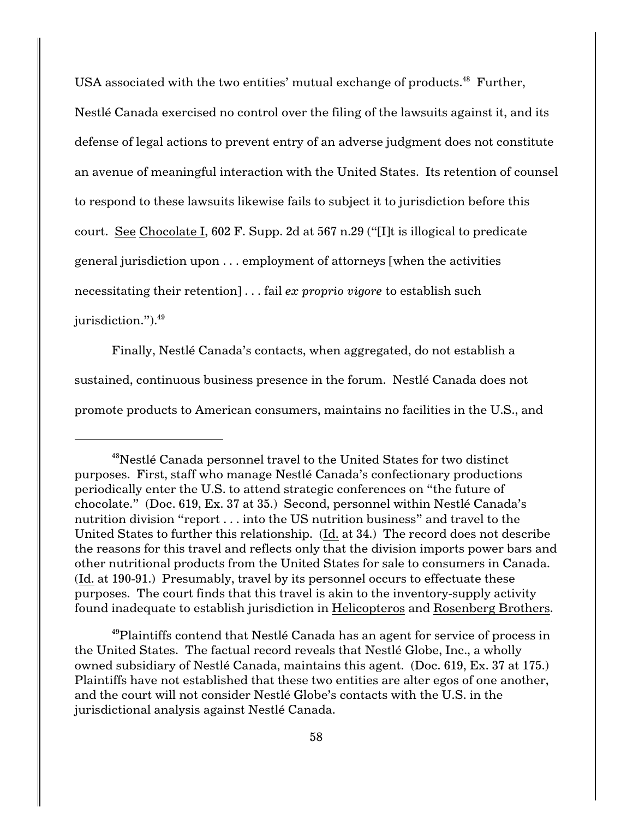USA associated with the two entities' mutual exchange of products.<sup>48</sup> Further, Nestlé Canada exercised no control over the filing of the lawsuits against it, and its defense of legal actions to prevent entry of an adverse judgment does not constitute an avenue of meaningful interaction with the United States. Its retention of counsel to respond to these lawsuits likewise fails to subject it to jurisdiction before this court. See Chocolate I, 602 F. Supp. 2d at 567 n.29 ("[I]t is illogical to predicate general jurisdiction upon . . . employment of attorneys [when the activities necessitating their retention] . . . fail *ex proprio vigore* to establish such jurisdiction.").<sup>49</sup>

Finally, Nestlé Canada's contacts, when aggregated, do not establish a sustained, continuous business presence in the forum. Nestlé Canada does not promote products to American consumers, maintains no facilities in the U.S., and

 $^{49}$ Plaintiffs contend that Nestlé Canada has an agent for service of process in the United States. The factual record reveals that Nestlé Globe, Inc., a wholly owned subsidiary of Nestlé Canada, maintains this agent. (Doc. 619, Ex. 37 at 175.) Plaintiffs have not established that these two entities are alter egos of one another, and the court will not consider Nestlé Globe's contacts with the U.S. in the jurisdictional analysis against Nestlé Canada.

<sup>&</sup>lt;sup>48</sup>Nestlé Canada personnel travel to the United States for two distinct purposes. First, staff who manage Nestlé Canada's confectionary productions periodically enter the U.S. to attend strategic conferences on "the future of chocolate." (Doc. 619, Ex. 37 at 35.) Second, personnel within Nestlé Canada's nutrition division "report . . . into the US nutrition business" and travel to the United States to further this relationship. (Id. at 34.) The record does not describe the reasons for this travel and reflects only that the division imports power bars and other nutritional products from the United States for sale to consumers in Canada. (Id. at 190-91.) Presumably, travel by its personnel occurs to effectuate these purposes. The court finds that this travel is akin to the inventory-supply activity found inadequate to establish jurisdiction in Helicopteros and Rosenberg Brothers.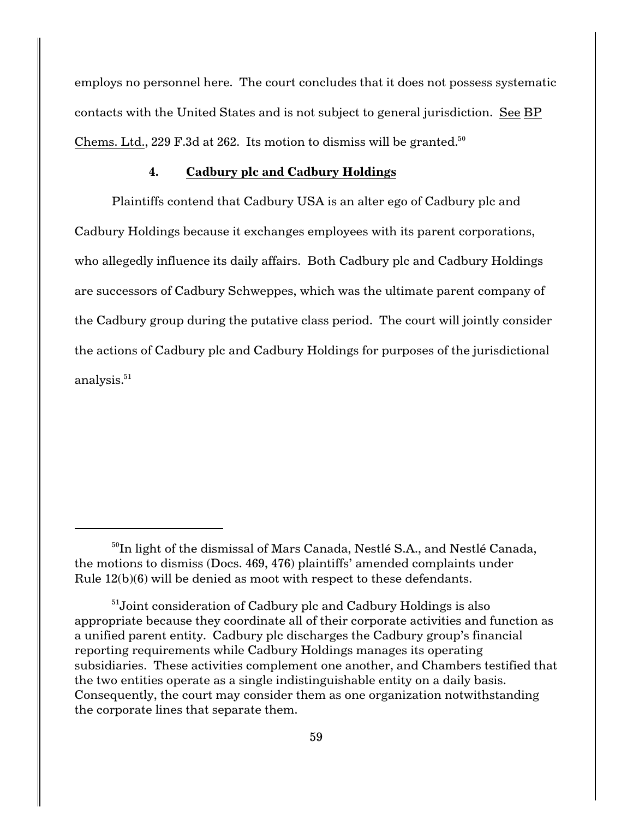employs no personnel here. The court concludes that it does not possess systematic contacts with the United States and is not subject to general jurisdiction. See BP Chems. Ltd., 229 F.3d at 262. Its motion to dismiss will be granted.<sup>50</sup>

## **4. Cadbury plc and Cadbury Holdings**

Plaintiffs contend that Cadbury USA is an alter ego of Cadbury plc and Cadbury Holdings because it exchanges employees with its parent corporations, who allegedly influence its daily affairs. Both Cadbury plc and Cadbury Holdings are successors of Cadbury Schweppes, which was the ultimate parent company of the Cadbury group during the putative class period. The court will jointly consider the actions of Cadbury plc and Cadbury Holdings for purposes of the jurisdictional analysis.<sup>51</sup>

 $^{50}$ In light of the dismissal of Mars Canada, Nestlé S.A., and Nestlé Canada, the motions to dismiss (Docs. 469, 476) plaintiffs' amended complaints under Rule 12(b)(6) will be denied as moot with respect to these defendants.

 $51$ Joint consideration of Cadbury plc and Cadbury Holdings is also appropriate because they coordinate all of their corporate activities and function as a unified parent entity. Cadbury plc discharges the Cadbury group's financial reporting requirements while Cadbury Holdings manages its operating subsidiaries. These activities complement one another, and Chambers testified that the two entities operate as a single indistinguishable entity on a daily basis. Consequently, the court may consider them as one organization notwithstanding the corporate lines that separate them.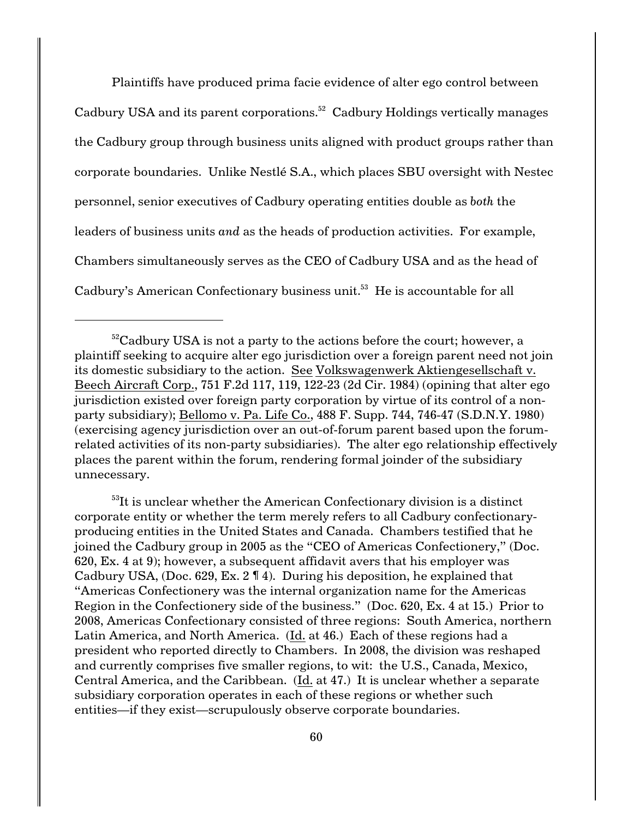Plaintiffs have produced prima facie evidence of alter ego control between Cadbury USA and its parent corporations.<sup>52</sup> Cadbury Holdings vertically manages the Cadbury group through business units aligned with product groups rather than corporate boundaries. Unlike Nestlé S.A., which places SBU oversight with Nestec personnel, senior executives of Cadbury operating entities double as *both* the leaders of business units *and* as the heads of production activities. For example, Chambers simultaneously serves as the CEO of Cadbury USA and as the head of Cadbury's American Confectionary business unit.<sup>53</sup> He is accountable for all

 $53$ It is unclear whether the American Confectionary division is a distinct corporate entity or whether the term merely refers to all Cadbury confectionaryproducing entities in the United States and Canada. Chambers testified that he joined the Cadbury group in 2005 as the "CEO of Americas Confectionery," (Doc. 620, Ex. 4 at 9); however, a subsequent affidavit avers that his employer was Cadbury USA, (Doc. 629, Ex. 2 ¶ 4). During his deposition, he explained that "Americas Confectionery was the internal organization name for the Americas Region in the Confectionery side of the business." (Doc. 620, Ex. 4 at 15.) Prior to 2008, Americas Confectionary consisted of three regions: South America, northern Latin America, and North America. (Id. at 46.) Each of these regions had a president who reported directly to Chambers. In 2008, the division was reshaped and currently comprises five smaller regions, to wit: the U.S., Canada, Mexico, Central America, and the Caribbean. (Id. at 47.) It is unclear whether a separate subsidiary corporation operates in each of these regions or whether such entities—if they exist—scrupulously observe corporate boundaries.

 $52$ Cadbury USA is not a party to the actions before the court; however, a plaintiff seeking to acquire alter ego jurisdiction over a foreign parent need not join its domestic subsidiary to the action. See Volkswagenwerk Aktiengesellschaft v. Beech Aircraft Corp., 751 F.2d 117, 119, 122-23 (2d Cir. 1984) (opining that alter ego jurisdiction existed over foreign party corporation by virtue of its control of a nonparty subsidiary); Bellomo v. Pa. Life Co., 488 F. Supp. 744, 746-47 (S.D.N.Y. 1980) (exercising agency jurisdiction over an out-of-forum parent based upon the forumrelated activities of its non-party subsidiaries). The alter ego relationship effectively places the parent within the forum, rendering formal joinder of the subsidiary unnecessary.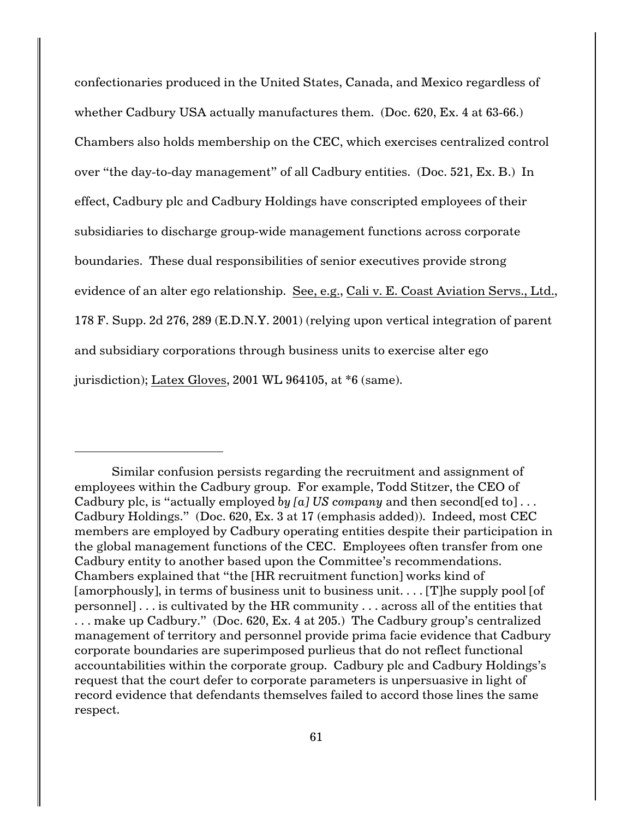confectionaries produced in the United States, Canada, and Mexico regardless of whether Cadbury USA actually manufactures them. (Doc. 620, Ex. 4 at 63-66.) Chambers also holds membership on the CEC, which exercises centralized control over "the day-to-day management" of all Cadbury entities. (Doc. 521, Ex. B.) In effect, Cadbury plc and Cadbury Holdings have conscripted employees of their subsidiaries to discharge group-wide management functions across corporate boundaries. These dual responsibilities of senior executives provide strong evidence of an alter ego relationship. See, e.g., Cali v. E. Coast Aviation Servs., Ltd., 178 F. Supp. 2d 276, 289 (E.D.N.Y. 2001) (relying upon vertical integration of parent and subsidiary corporations through business units to exercise alter ego jurisdiction); Latex Gloves, 2001 WL 964105, at \*6 (same).

Similar confusion persists regarding the recruitment and assignment of employees within the Cadbury group. For example, Todd Stitzer, the CEO of Cadbury plc, is "actually employed *by [a] US company* and then second[ed to] . . . Cadbury Holdings." (Doc. 620, Ex. 3 at 17 (emphasis added)). Indeed, most CEC members are employed by Cadbury operating entities despite their participation in the global management functions of the CEC. Employees often transfer from one Cadbury entity to another based upon the Committee's recommendations. Chambers explained that "the [HR recruitment function] works kind of [amorphously], in terms of business unit to business unit.... [T] he supply pool [of personnel] . . . is cultivated by the HR community . . . across all of the entities that . . . make up Cadbury." (Doc. 620, Ex. 4 at 205.) The Cadbury group's centralized management of territory and personnel provide prima facie evidence that Cadbury corporate boundaries are superimposed purlieus that do not reflect functional accountabilities within the corporate group. Cadbury plc and Cadbury Holdings's request that the court defer to corporate parameters is unpersuasive in light of record evidence that defendants themselves failed to accord those lines the same respect.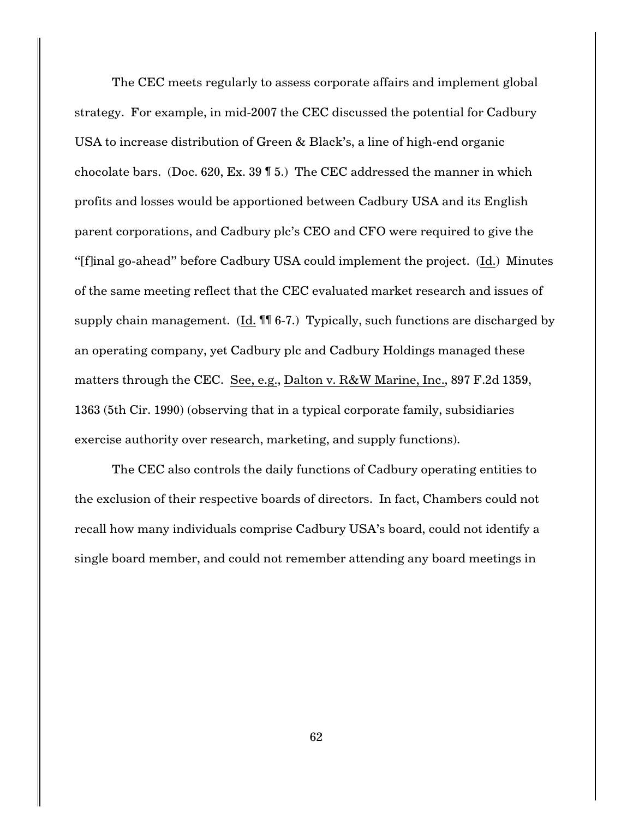The CEC meets regularly to assess corporate affairs and implement global strategy. For example, in mid-2007 the CEC discussed the potential for Cadbury USA to increase distribution of Green & Black's, a line of high-end organic chocolate bars. (Doc. 620, Ex. 39 ¶ 5.) The CEC addressed the manner in which profits and losses would be apportioned between Cadbury USA and its English parent corporations, and Cadbury plc's CEO and CFO were required to give the "[f]inal go-ahead" before Cadbury USA could implement the project. (Id.) Minutes of the same meeting reflect that the CEC evaluated market research and issues of supply chain management. (Id. ¶¶ 6-7.) Typically, such functions are discharged by an operating company, yet Cadbury plc and Cadbury Holdings managed these matters through the CEC. See, e.g., Dalton v. R&W Marine, Inc., 897 F.2d 1359, 1363 (5th Cir. 1990) (observing that in a typical corporate family, subsidiaries exercise authority over research, marketing, and supply functions).

The CEC also controls the daily functions of Cadbury operating entities to the exclusion of their respective boards of directors. In fact, Chambers could not recall how many individuals comprise Cadbury USA's board, could not identify a single board member, and could not remember attending any board meetings in

62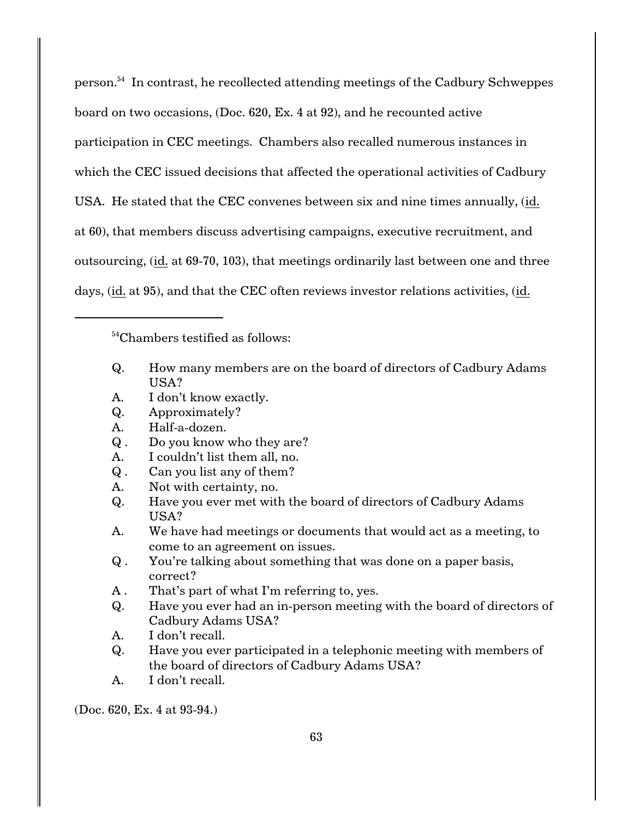person.<sup>54</sup> In contrast, he recollected attending meetings of the Cadbury Schweppes board on two occasions, (Doc. 620, Ex. 4 at 92), and he recounted active participation in CEC meetings. Chambers also recalled numerous instances in which the CEC issued decisions that affected the operational activities of Cadbury USA. He stated that the CEC convenes between six and nine times annually, (id. at 60), that members discuss advertising campaigns, executive recruitment, and outsourcing, (id. at 69-70, 103), that meetings ordinarily last between one and three days, (id. at 95), and that the CEC often reviews investor relations activities, (id.

 $54$ Chambers testified as follows:

- Q. How many members are on the board of directors of Cadbury Adams USA?
- A. I don't know exactly.
- Q. Approximately?
- A. Half-a-dozen.
- Q . Do you know who they are?
- A. I couldn't list them all, no.
- Q . Can you list any of them?
- A. Not with certainty, no.
- Q. Have you ever met with the board of directors of Cadbury Adams USA?
- A. We have had meetings or documents that would act as a meeting, to come to an agreement on issues.
- Q . You're talking about something that was done on a paper basis, correct?
- A . That's part of what I'm referring to, yes.
- Q. Have you ever had an in-person meeting with the board of directors of Cadbury Adams USA?
- A. I don't recall.
- Q. Have you ever participated in a telephonic meeting with members of the board of directors of Cadbury Adams USA?
- A. I don't recall.

(Doc. 620, Ex. 4 at 93-94.)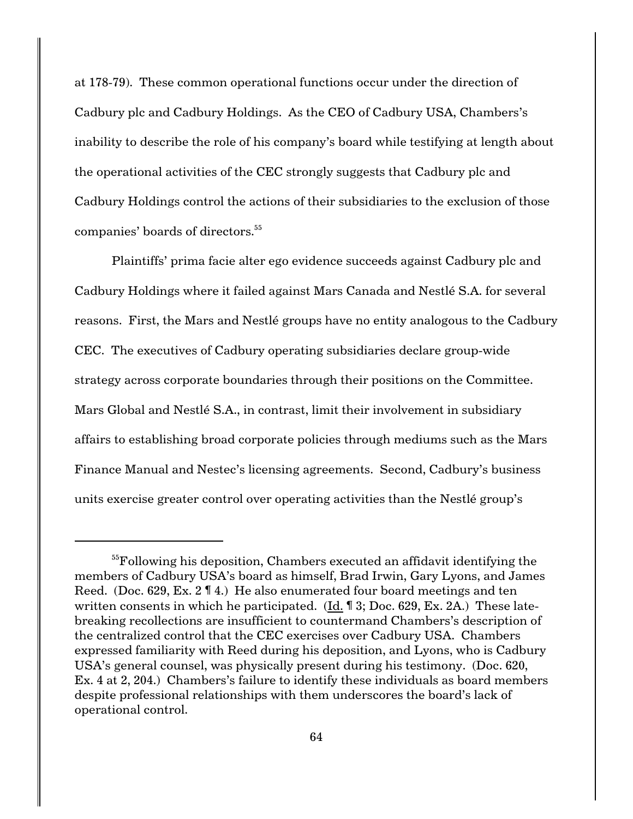at 178-79). These common operational functions occur under the direction of Cadbury plc and Cadbury Holdings. As the CEO of Cadbury USA, Chambers's inability to describe the role of his company's board while testifying at length about the operational activities of the CEC strongly suggests that Cadbury plc and Cadbury Holdings control the actions of their subsidiaries to the exclusion of those companies' boards of directors.<sup>55</sup>

Plaintiffs' prima facie alter ego evidence succeeds against Cadbury plc and Cadbury Holdings where it failed against Mars Canada and Nestlé S.A. for several reasons. First, the Mars and Nestlé groups have no entity analogous to the Cadbury CEC. The executives of Cadbury operating subsidiaries declare group-wide strategy across corporate boundaries through their positions on the Committee. Mars Global and Nestlé S.A., in contrast, limit their involvement in subsidiary affairs to establishing broad corporate policies through mediums such as the Mars Finance Manual and Nestec's licensing agreements. Second, Cadbury's business units exercise greater control over operating activities than the Nestlé group's

<sup>&</sup>lt;sup>55</sup>Following his deposition, Chambers executed an affidavit identifying the members of Cadbury USA's board as himself, Brad Irwin, Gary Lyons, and James Reed. (Doc. 629, Ex. 2 ¶ 4.) He also enumerated four board meetings and ten written consents in which he participated.  $(\text{Id.} \P 3; \text{Doc.} 629, \text{Ex.} 2A)$  These latebreaking recollections are insufficient to countermand Chambers's description of the centralized control that the CEC exercises over Cadbury USA. Chambers expressed familiarity with Reed during his deposition, and Lyons, who is Cadbury USA's general counsel, was physically present during his testimony. (Doc. 620, Ex. 4 at 2, 204.) Chambers's failure to identify these individuals as board members despite professional relationships with them underscores the board's lack of operational control.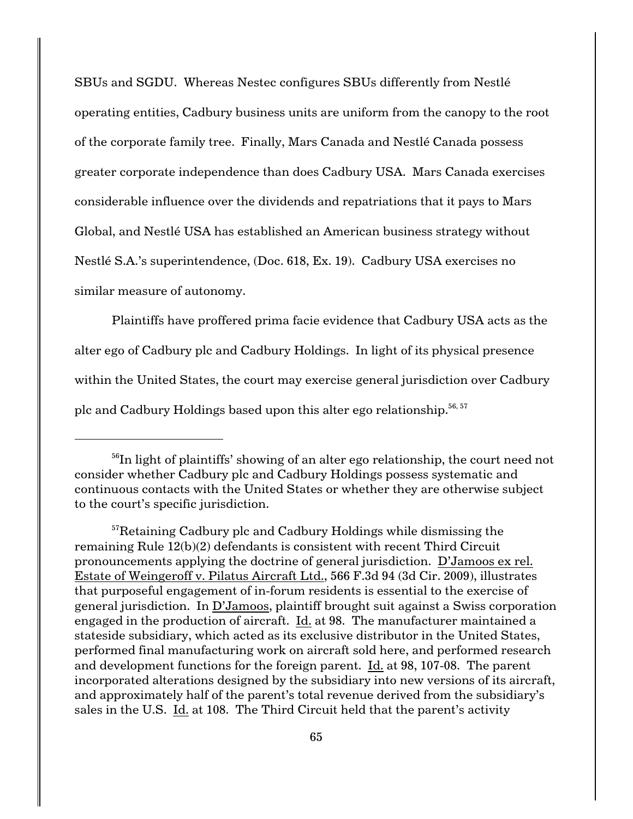SBUs and SGDU. Whereas Nestec configures SBUs differently from Nestlé operating entities, Cadbury business units are uniform from the canopy to the root of the corporate family tree. Finally, Mars Canada and Nestlé Canada possess greater corporate independence than does Cadbury USA. Mars Canada exercises considerable influence over the dividends and repatriations that it pays to Mars Global, and Nestlé USA has established an American business strategy without Nestlé S.A.'s superintendence, (Doc. 618, Ex. 19). Cadbury USA exercises no similar measure of autonomy.

Plaintiffs have proffered prima facie evidence that Cadbury USA acts as the alter ego of Cadbury plc and Cadbury Holdings. In light of its physical presence within the United States, the court may exercise general jurisdiction over Cadbury plc and Cadbury Holdings based upon this alter ego relationship.<sup>56, 57</sup>

 $16^{6}$ In light of plaintiffs' showing of an alter ego relationship, the court need not consider whether Cadbury plc and Cadbury Holdings possess systematic and continuous contacts with the United States or whether they are otherwise subject to the court's specific jurisdiction.

 $57$ Retaining Cadbury plc and Cadbury Holdings while dismissing the remaining Rule 12(b)(2) defendants is consistent with recent Third Circuit pronouncements applying the doctrine of general jurisdiction. D'Jamoos ex rel. Estate of Weingeroff v. Pilatus Aircraft Ltd., 566 F.3d 94 (3d Cir. 2009), illustrates that purposeful engagement of in-forum residents is essential to the exercise of general jurisdiction. In D'Jamoos, plaintiff brought suit against a Swiss corporation engaged in the production of aircraft. Id. at 98. The manufacturer maintained a stateside subsidiary, which acted as its exclusive distributor in the United States, performed final manufacturing work on aircraft sold here, and performed research and development functions for the foreign parent. Id. at 98, 107-08. The parent incorporated alterations designed by the subsidiary into new versions of its aircraft, and approximately half of the parent's total revenue derived from the subsidiary's sales in the U.S. Id. at 108. The Third Circuit held that the parent's activity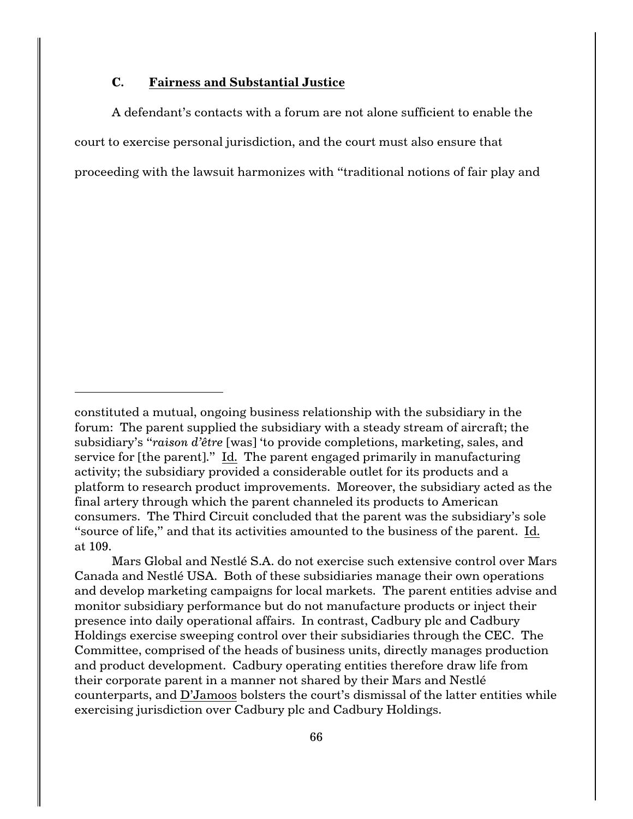## **C. Fairness and Substantial Justice**

A defendant's contacts with a forum are not alone sufficient to enable the court to exercise personal jurisdiction, and the court must also ensure that proceeding with the lawsuit harmonizes with "traditional notions of fair play and

Mars Global and Nestlé S.A. do not exercise such extensive control over Mars Canada and Nestlé USA. Both of these subsidiaries manage their own operations and develop marketing campaigns for local markets. The parent entities advise and monitor subsidiary performance but do not manufacture products or inject their presence into daily operational affairs. In contrast, Cadbury plc and Cadbury Holdings exercise sweeping control over their subsidiaries through the CEC. The Committee, comprised of the heads of business units, directly manages production and product development. Cadbury operating entities therefore draw life from their corporate parent in a manner not shared by their Mars and Nestlé counterparts, and D'Jamoos bolsters the court's dismissal of the latter entities while exercising jurisdiction over Cadbury plc and Cadbury Holdings.

constituted a mutual, ongoing business relationship with the subsidiary in the forum: The parent supplied the subsidiary with a steady stream of aircraft; the subsidiary's "*raison d'être* [was] 'to provide completions, marketing, sales, and service for [the parent]." Id. The parent engaged primarily in manufacturing activity; the subsidiary provided a considerable outlet for its products and a platform to research product improvements. Moreover, the subsidiary acted as the final artery through which the parent channeled its products to American consumers. The Third Circuit concluded that the parent was the subsidiary's sole "source of life," and that its activities amounted to the business of the parent. Id. at 109.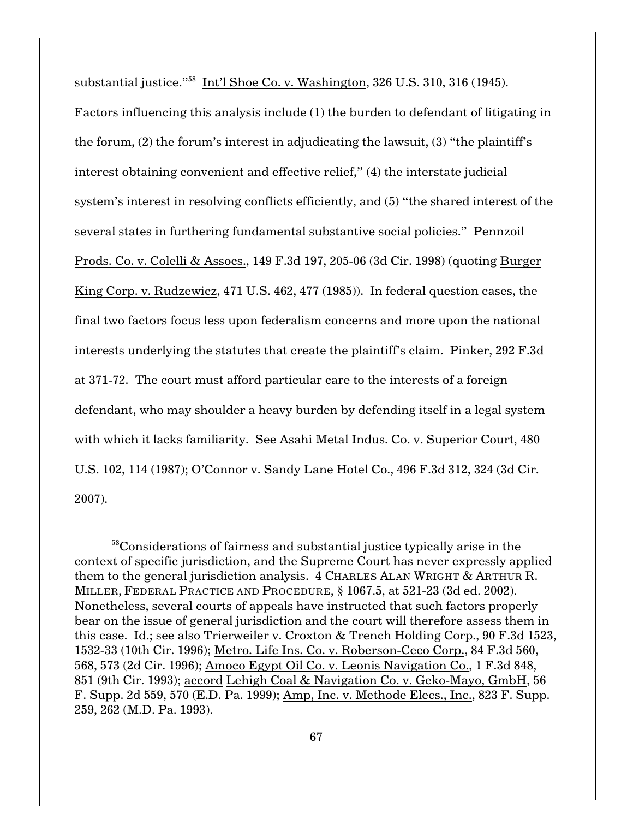substantial justice."<sup>58</sup> Int'l Shoe Co. v. Washington, 326 U.S. 310, 316 (1945).

Factors influencing this analysis include (1) the burden to defendant of litigating in the forum, (2) the forum's interest in adjudicating the lawsuit, (3) "the plaintiff's interest obtaining convenient and effective relief," (4) the interstate judicial system's interest in resolving conflicts efficiently, and (5) "the shared interest of the several states in furthering fundamental substantive social policies." Pennzoil Prods. Co. v. Colelli & Assocs., 149 F.3d 197, 205-06 (3d Cir. 1998) (quoting Burger King Corp. v. Rudzewicz, 471 U.S. 462, 477 (1985)). In federal question cases, the final two factors focus less upon federalism concerns and more upon the national interests underlying the statutes that create the plaintiff's claim. Pinker, 292 F.3d at 371-72. The court must afford particular care to the interests of a foreign defendant, who may shoulder a heavy burden by defending itself in a legal system with which it lacks familiarity. See Asahi Metal Indus. Co. v. Superior Court, 480 U.S. 102, 114 (1987); O'Connor v. Sandy Lane Hotel Co., 496 F.3d 312, 324 (3d Cir. 2007).

 $58$ Considerations of fairness and substantial justice typically arise in the context of specific jurisdiction, and the Supreme Court has never expressly applied them to the general jurisdiction analysis. 4 CHARLES ALAN WRIGHT & ARTHUR R. MILLER, FEDERAL PRACTICE AND PROCEDURE, § 1067.5, at 521-23 (3d ed. 2002). Nonetheless, several courts of appeals have instructed that such factors properly bear on the issue of general jurisdiction and the court will therefore assess them in this case. Id.; see also Trierweiler v. Croxton & Trench Holding Corp., 90 F.3d 1523, 1532-33 (10th Cir. 1996); Metro. Life Ins. Co. v. Roberson-Ceco Corp., 84 F.3d 560, 568, 573 (2d Cir. 1996); Amoco Egypt Oil Co. v. Leonis Navigation Co., 1 F.3d 848, 851 (9th Cir. 1993); accord Lehigh Coal & Navigation Co. v. Geko-Mayo, GmbH, 56 F. Supp. 2d 559, 570 (E.D. Pa. 1999); Amp, Inc. v. Methode Elecs., Inc., 823 F. Supp. 259, 262 (M.D. Pa. 1993).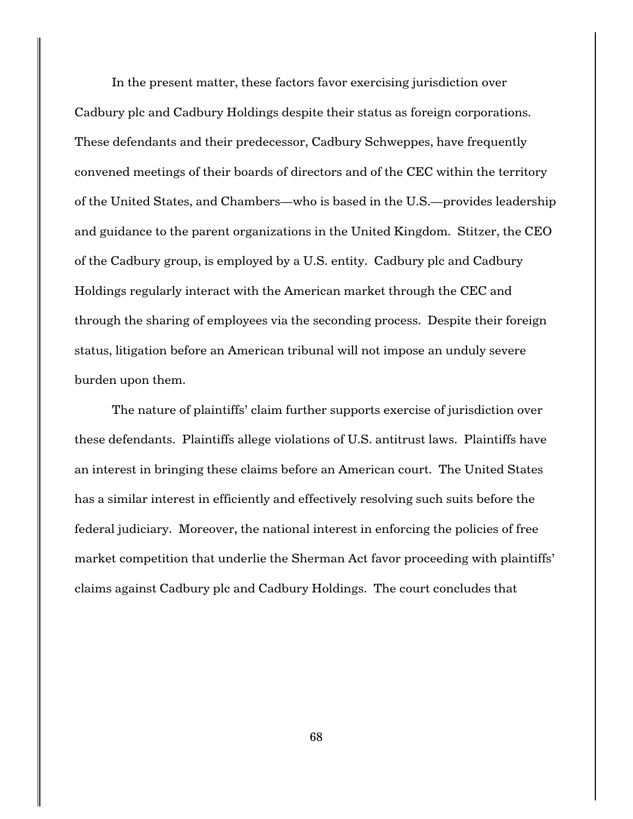In the present matter, these factors favor exercising jurisdiction over Cadbury plc and Cadbury Holdings despite their status as foreign corporations. These defendants and their predecessor, Cadbury Schweppes, have frequently convened meetings of their boards of directors and of the CEC within the territory of the United States, and Chambers—who is based in the U.S.—provides leadership and guidance to the parent organizations in the United Kingdom. Stitzer, the CEO of the Cadbury group, is employed by a U.S. entity. Cadbury plc and Cadbury Holdings regularly interact with the American market through the CEC and through the sharing of employees via the seconding process. Despite their foreign status, litigation before an American tribunal will not impose an unduly severe burden upon them.

The nature of plaintiffs' claim further supports exercise of jurisdiction over these defendants. Plaintiffs allege violations of U.S. antitrust laws. Plaintiffs have an interest in bringing these claims before an American court. The United States has a similar interest in efficiently and effectively resolving such suits before the federal judiciary. Moreover, the national interest in enforcing the policies of free market competition that underlie the Sherman Act favor proceeding with plaintiffs' claims against Cadbury plc and Cadbury Holdings. The court concludes that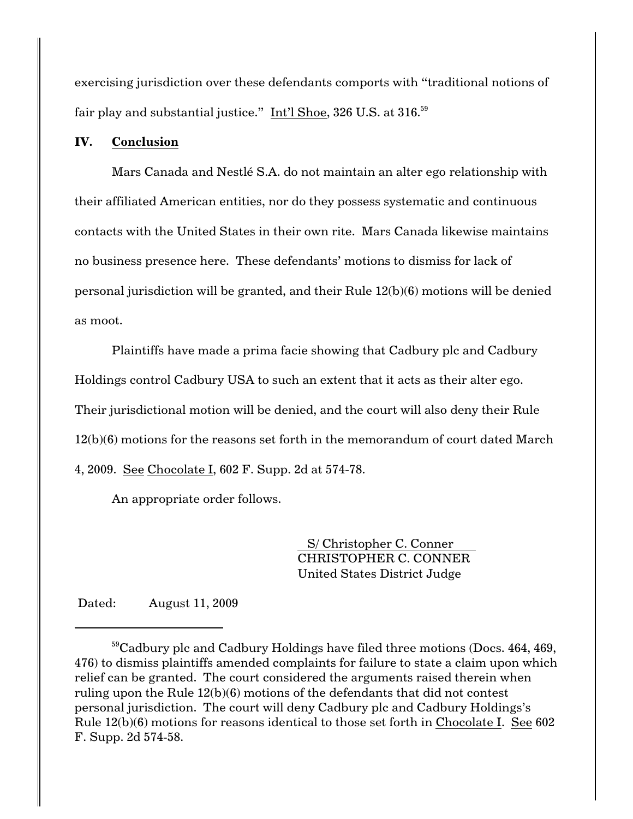exercising jurisdiction over these defendants comports with "traditional notions of fair play and substantial justice." Int'l Shoe, 326 U.S. at 316.<sup>59</sup>

# **IV. Conclusion**

Mars Canada and Nestlé S.A. do not maintain an alter ego relationship with their affiliated American entities, nor do they possess systematic and continuous contacts with the United States in their own rite. Mars Canada likewise maintains no business presence here. These defendants' motions to dismiss for lack of personal jurisdiction will be granted, and their Rule 12(b)(6) motions will be denied as moot.

Plaintiffs have made a prima facie showing that Cadbury plc and Cadbury Holdings control Cadbury USA to such an extent that it acts as their alter ego. Their jurisdictional motion will be denied, and the court will also deny their Rule 12(b)(6) motions for the reasons set forth in the memorandum of court dated March 4, 2009. See Chocolate I, 602 F. Supp. 2d at 574-78.

An appropriate order follows.

S/ Christopher C. Conner CHRISTOPHER C. CONNER United States District Judge

Dated: August 11, 2009

 $59$ Cadbury plc and Cadbury Holdings have filed three motions (Docs. 464, 469, 476) to dismiss plaintiffs amended complaints for failure to state a claim upon which relief can be granted. The court considered the arguments raised therein when ruling upon the Rule 12(b)(6) motions of the defendants that did not contest personal jurisdiction. The court will deny Cadbury plc and Cadbury Holdings's Rule 12(b)(6) motions for reasons identical to those set forth in Chocolate I. See 602 F. Supp. 2d 574-58.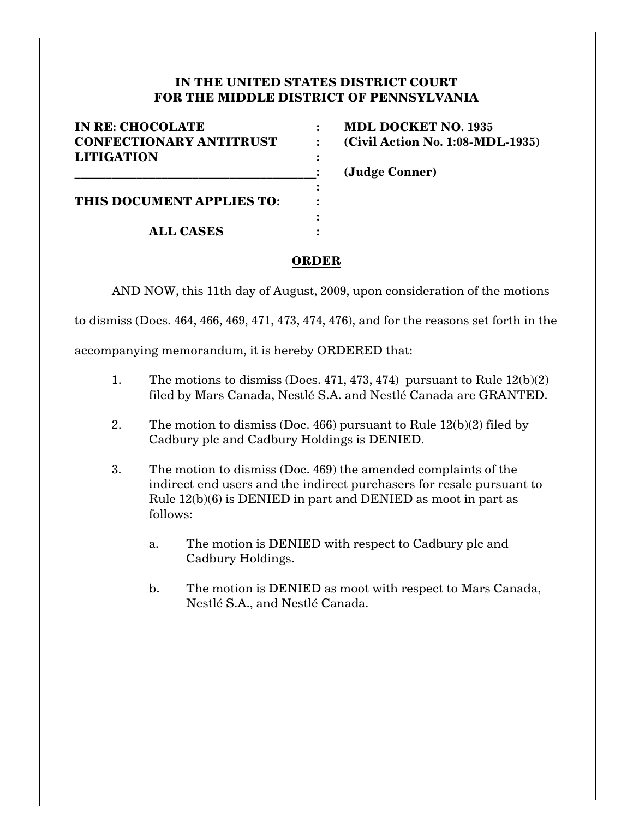# **IN THE UNITED STATES DISTRICT COURT FOR THE MIDDLE DISTRICT OF PENNSYLVANIA**

| <b>IN RE: CHOCOLATE</b>        | <b>MDL DOCKET NO. 1935</b>       |
|--------------------------------|----------------------------------|
| <b>CONFECTIONARY ANTITRUST</b> | (Civil Action No. 1:08-MDL-1935) |
| <b>LITIGATION</b>              |                                  |
|                                | (Judge Conner)                   |
|                                |                                  |
| THIS DOCUMENT APPLIES TO:      |                                  |
|                                |                                  |
| <b>ALL CASES</b>               |                                  |

# **ORDER**

AND NOW, this 11th day of August, 2009, upon consideration of the motions

to dismiss (Docs. 464, 466, 469, 471, 473, 474, 476), and for the reasons set forth in the

accompanying memorandum, it is hereby ORDERED that:

- 1. The motions to dismiss (Docs. 471, 473, 474) pursuant to Rule 12(b)(2) filed by Mars Canada, Nestlé S.A. and Nestlé Canada are GRANTED.
- 2. The motion to dismiss (Doc. 466) pursuant to Rule  $12(b)(2)$  filed by Cadbury plc and Cadbury Holdings is DENIED.
- 3. The motion to dismiss (Doc. 469) the amended complaints of the indirect end users and the indirect purchasers for resale pursuant to Rule 12(b)(6) is DENIED in part and DENIED as moot in part as follows:
	- a. The motion is DENIED with respect to Cadbury plc and Cadbury Holdings.
	- b. The motion is DENIED as moot with respect to Mars Canada, Nestlé S.A., and Nestlé Canada.